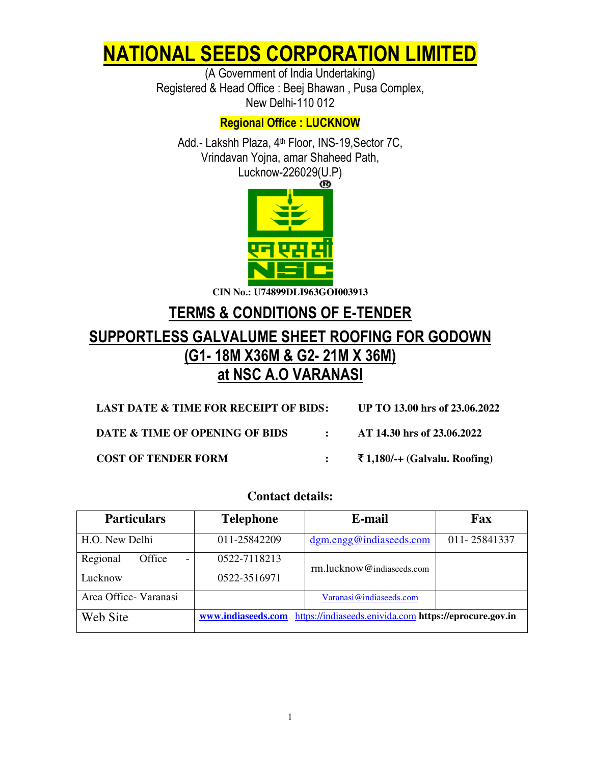# NATIONAL SEEDS CORPORATION LIMITED

(A Government of India Undertaking) Registered & Head Office : Beej Bhawan , Pusa Complex, New Delhi-110 012

# Regional Office : LUCKNOW

Add.- Lakshh Plaza, 4<sup>th</sup> Floor, INS-19, Sector 7C, Vrindavan Yojna, amar Shaheed Path, Lucknow-226029(U.P)



**CIN No.: U74899DLI963GOI003913** 

# TERMS & CONDITIONS OF E-TENDER SUPPORTLESS GALVALUME SHEET ROOFING FOR GODOWN (G1- 18M X36M & G2- 21M X 36M) at NSC A.O VARANASI

| <b>LAST DATE &amp; TIME FOR RECEIPT OF BIDS:</b> |                   | UP TO 13.00 hrs of 23.06.2022                  |  |
|--------------------------------------------------|-------------------|------------------------------------------------|--|
| DATE & TIME OF OPENING OF BIDS                   | $\sim$ 1.0 $\sim$ | AT 14.30 hrs of 23.06.2022                     |  |
| <b>COST OF TENDER FORM</b>                       |                   | : $\overline{\xi}$ 1,180/-+ (Galvalu. Roofing) |  |

# **Contact details:**

| <b>Particulars</b>                             | <b>Telephone</b> | E-mail                                                                    | Fax          |
|------------------------------------------------|------------------|---------------------------------------------------------------------------|--------------|
| H.O. New Delhi                                 | 011-25842209     | dgm.engg@indiaseeds.com                                                   | 011-25841337 |
| Office<br>Regional<br>$\overline{\phantom{0}}$ | 0522-7118213     | rm.lucknow@indiaseeds.com                                                 |              |
| Lucknow                                        | 0522-3516971     |                                                                           |              |
| Area Office- Varanasi                          |                  | Varanasi@indiaseeds.com                                                   |              |
| Web Site                                       |                  | www.indiaseeds.com https://indiaseeds.enivida.com https://eprocure.gov.in |              |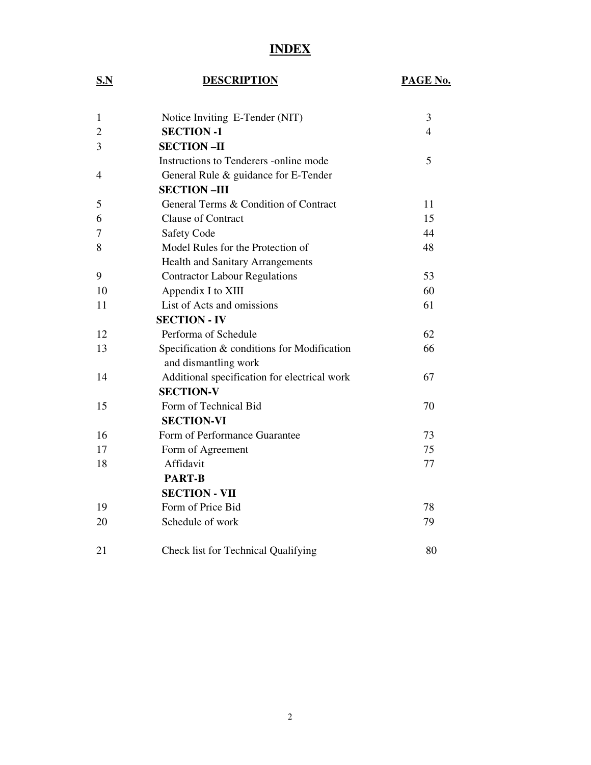# **INDEX**

# **S.N DESCRIPTION PAGE No.**

| Notice Inviting E-Tender (NIT)               | 3  |
|----------------------------------------------|----|
| <b>SECTION -1</b>                            | 4  |
| <b>SECTION-II</b>                            |    |
| Instructions to Tenderers -online mode       | 5  |
| General Rule & guidance for E-Tender         |    |
| <b>SECTION-III</b>                           |    |
| General Terms & Condition of Contract        | 11 |
| <b>Clause of Contract</b>                    | 15 |
| <b>Safety Code</b>                           | 44 |
| Model Rules for the Protection of            | 48 |
| <b>Health and Sanitary Arrangements</b>      |    |
| <b>Contractor Labour Regulations</b>         | 53 |
| Appendix I to XIII                           | 60 |
| List of Acts and omissions                   | 61 |
| <b>SECTION - IV</b>                          |    |
| Performa of Schedule                         | 62 |
| Specification & conditions for Modification  | 66 |
| and dismantling work                         |    |
| Additional specification for electrical work | 67 |
| <b>SECTION-V</b>                             |    |
| Form of Technical Bid                        | 70 |
| <b>SECTION-VI</b>                            |    |
| Form of Performance Guarantee                | 73 |
| Form of Agreement                            | 75 |
| Affidavit                                    | 77 |
| <b>PART-B</b>                                |    |
| <b>SECTION - VII</b>                         |    |
| Form of Price Bid                            | 78 |
| Schedule of work                             | 79 |
| Check list for Technical Qualifying          | 80 |
|                                              |    |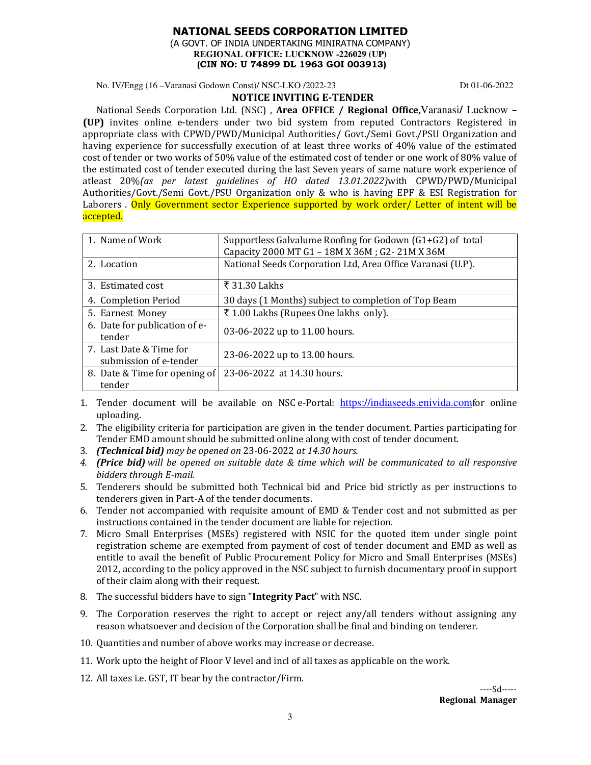#### NATIONAL SEEDS CORPORATION LIMITED (A GOVT. OF INDIA UNDERTAKING MINIRATNA COMPANY) **REGIONAL OFFICE: LUCKNOW -226029 (UP)** (CIN NO: U 74899 DL 1963 GOI 003913)

No. IV/Engg (16 –Varanasi Godown Const)/ NSC-LKO /2022-23 Dt 01-06-2022

# NOTICE INVITING E-TENDER

National Seeds Corporation Ltd. (NSC) , Area OFFICE / Regional Office,Varanasi**/** Lucknow – (UP) invites online e-tenders under two bid system from reputed Contractors Registered in appropriate class with CPWD/PWD/Municipal Authorities/ Govt./Semi Govt./PSU Organization and having experience for successfully execution of at least three works of 40% value of the estimated cost of tender or two works of 50% value of the estimated cost of tender or one work of 80% value of the estimated cost of tender executed during the last Seven years of same nature work experience of atleast 20%(as per latest guidelines of HO dated 13.01.2022)with CPWD/PWD/Municipal Authorities/Govt./Semi Govt./PSU Organization only & who is having EPF & ESI Registration for Laborers . Only Government sector Experience supported by work order/ Letter of intent will be accepted.

| 1. Name of Work                                   | Supportless Galvalume Roofing for Godown (G1+G2) of total<br>Capacity 2000 MT G1 - 18M X 36M; G2-21M X 36M |
|---------------------------------------------------|------------------------------------------------------------------------------------------------------------|
| 2. Location                                       | National Seeds Corporation Ltd, Area Office Varanasi (U.P).                                                |
| 3. Estimated cost                                 | ₹ 31.30 Lakhs                                                                                              |
| 4. Completion Period                              | 30 days (1 Months) subject to completion of Top Beam                                                       |
| 5. Earnest Money                                  | ₹ 1.00 Lakhs (Rupees One lakhs only).                                                                      |
| 6. Date for publication of e-<br>tender           | 03-06-2022 up to 11.00 hours.                                                                              |
| 7. Last Date & Time for<br>submission of e-tender | 23-06-2022 up to 13.00 hours.                                                                              |
| 8. Date & Time for opening of<br>tender           | 23-06-2022 at 14.30 hours.                                                                                 |

- 1. Tender document will be available on NSC e-Portal: https://indiaseeds.enivida.comfor online uploading.
- 2. The eligibility criteria for participation are given in the tender document. Parties participating for Tender EMD amount should be submitted online along with cost of tender document.
- 3. (Technical bid) may be opened on 23-06-2022 at 14.30 hours.
- 4. (Price bid) will be opened on suitable date & time which will be communicated to all responsive bidders through E-mail.
- 5. Tenderers should be submitted both Technical bid and Price bid strictly as per instructions to tenderers given in Part-A of the tender documents.
- 6. Tender not accompanied with requisite amount of EMD & Tender cost and not submitted as per instructions contained in the tender document are liable for rejection.
- 7. Micro Small Enterprises (MSEs) registered with NSIC for the quoted item under single point registration scheme are exempted from payment of cost of tender document and EMD as well as entitle to avail the benefit of Public Procurement Policy for Micro and Small Enterprises (MSEs) 2012, according to the policy approved in the NSC subject to furnish documentary proof in support of their claim along with their request.
- 8. The successful bidders have to sign "Integrity Pact" with NSC.
- 9. The Corporation reserves the right to accept or reject any/all tenders without assigning any reason whatsoever and decision of the Corporation shall be final and binding on tenderer.
- 10. Quantities and number of above works may increase or decrease.
- 11. Work upto the height of Floor V level and incl of all taxes as applicable on the work.
- 12. All taxes i.e. GST, IT bear by the contractor/Firm.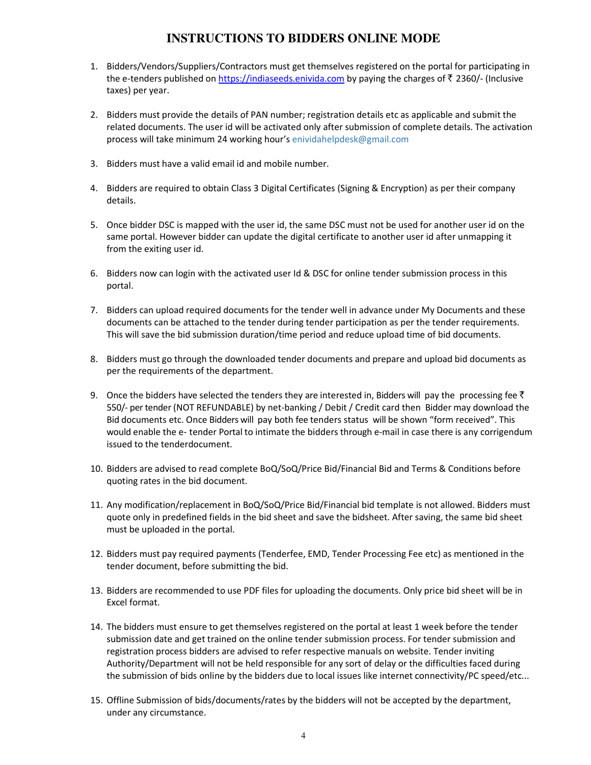# **INSTRUCTIONS TO BIDDERS ONLINE MODE**

- 1. Bidders/Vendors/Suppliers/Contractors must get themselves registered on the portal for participating in the e-tenders published on https://indiaseeds.enivida.com by paying the charges of  $\bar{\tau}$  2360/- (Inclusive taxes) per year.
- 2. Bidders must provide the details of PAN number; registration details etc as applicable and submit the related documents. The user id will be activated only after submission of complete details. The activation process will take minimum 24 working hour's enividahelpdesk@gmail.com
- 3. Bidders must have a valid email id and mobile number.
- 4. Bidders are required to obtain Class 3 Digital Certificates (Signing & Encryption) as per their company details.
- 5. Once bidder DSC is mapped with the user id, the same DSC must not be used for another user id on the same portal. However bidder can update the digital certificate to another user id after unmapping it from the exiting user id.
- 6. Bidders now can login with the activated user Id & DSC for online tender submission process in this portal.
- 7. Bidders can upload required documents for the tender well in advance under My Documents and these documents can be attached to the tender during tender participation as per the tender requirements. This will save the bid submission duration/time period and reduce upload time of bid documents.
- 8. Bidders must go through the downloaded tender documents and prepare and upload bid documents as per the requirements of the department.
- 9. Once the bidders have selected the tenders they are interested in, Bidders will pay the processing fee  $\bar{\tau}$ 550/- per tender (NOT REFUNDABLE) by net-banking / Debit / Credit card then Bidder may download the Bid documents etc. Once Bidders will pay both fee tenders status will be shown "form received". This would enable the e- tender Portal to intimate the bidders through e-mail in case there is any corrigendum issued to the tenderdocument.
- 10. Bidders are advised to read complete BoQ/SoQ/Price Bid/Financial Bid and Terms & Conditions before quoting rates in the bid document.
- 11. Any modification/replacement in BoQ/SoQ/Price Bid/Financial bid template is not allowed. Bidders must quote only in predefined fields in the bid sheet and save the bidsheet. After saving, the same bid sheet must be uploaded in the portal.
- 12. Bidders must pay required payments (Tenderfee, EMD, Tender Processing Fee etc) as mentioned in the tender document, before submitting the bid.
- 13. Bidders are recommended to use PDF files for uploading the documents. Only price bid sheet will be in Excel format.
- 14. The bidders must ensure to get themselves registered on the portal at least 1 week before the tender submission date and get trained on the online tender submission process. For tender submission and registration process bidders are advised to refer respective manuals on website. Tender inviting Authority/Department will not be held responsible for any sort of delay or the difficulties faced during the submission of bids online by the bidders due to local issues like internet connectivity/PC speed/etc...
- 15. Offline Submission of bids/documents/rates by the bidders will not be accepted by the department, under any circumstance.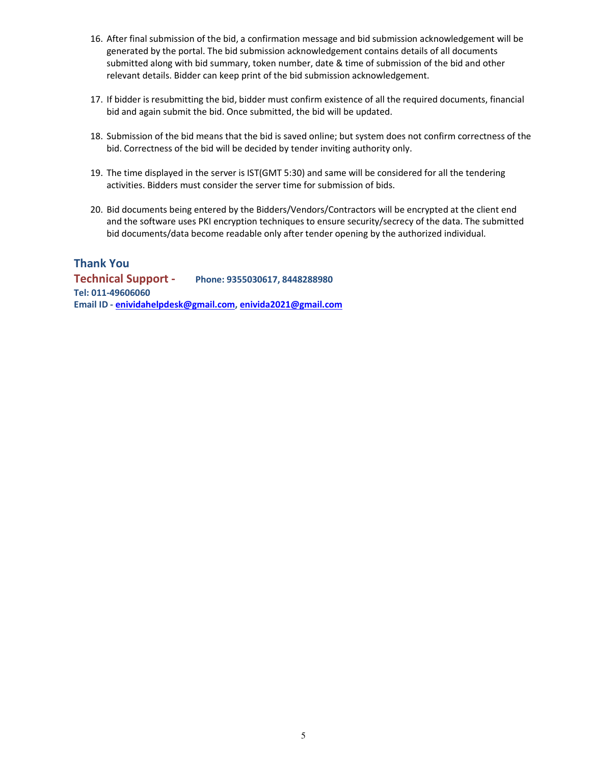- 16. After final submission of the bid, a confirmation message and bid submission acknowledgement will be generated by the portal. The bid submission acknowledgement contains details of all documents submitted along with bid summary, token number, date & time of submission of the bid and other relevant details. Bidder can keep print of the bid submission acknowledgement.
- 17. If bidder is resubmitting the bid, bidder must confirm existence of all the required documents, financial bid and again submit the bid. Once submitted, the bid will be updated.
- 18. Submission of the bid means that the bid is saved online; but system does not confirm correctness of the bid. Correctness of the bid will be decided by tender inviting authority only.
- 19. The time displayed in the server is IST(GMT 5:30) and same will be considered for all the tendering activities. Bidders must consider the server time for submission of bids.
- 20. Bid documents being entered by the Bidders/Vendors/Contractors will be encrypted at the client end and the software uses PKI encryption techniques to ensure security/secrecy of the data. The submitted bid documents/data become readable only after tender opening by the authorized individual.

Thank You Technical Support - Phone: 9355030617, 8448288980 Tel: 011-49606060 Email ID - enividahelpdesk@gmail.com, enivida2021@gmail.com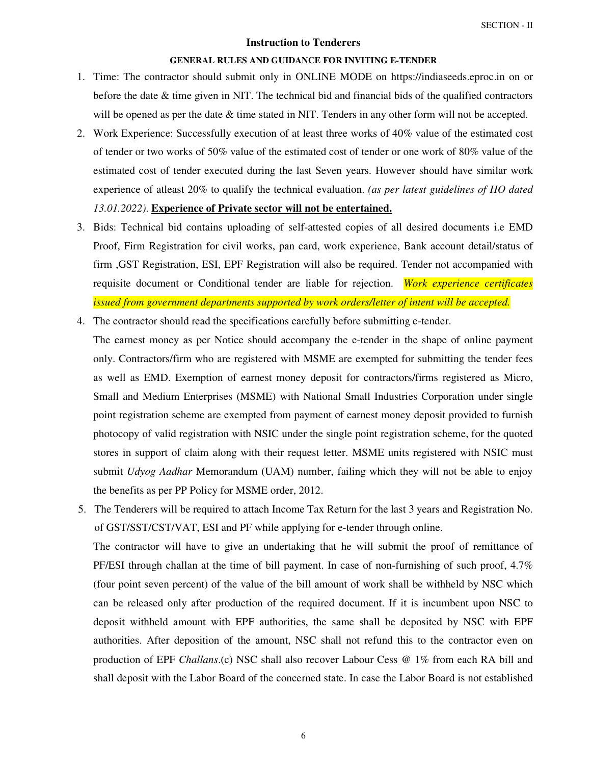#### **Instruction to Tenderers**

#### **GENERAL RULES AND GUIDANCE FOR INVITING E-TENDER**

- 1. Time: The contractor should submit only in ONLINE MODE on https://indiaseeds.eproc.in on or before the date  $\&$  time given in NIT. The technical bid and financial bids of the qualified contractors will be opened as per the date  $\&$  time stated in NIT. Tenders in any other form will not be accepted.
- 2. Work Experience: Successfully execution of at least three works of 40% value of the estimated cost of tender or two works of 50% value of the estimated cost of tender or one work of 80% value of the estimated cost of tender executed during the last Seven years. However should have similar work experience of atleast 20% to qualify the technical evaluation. *(as per latest guidelines of HO dated 13.01.2022)*. **Experience of Private sector will not be entertained.**
- 3. Bids: Technical bid contains uploading of self-attested copies of all desired documents i.e EMD Proof, Firm Registration for civil works, pan card, work experience, Bank account detail/status of firm ,GST Registration, ESI, EPF Registration will also be required. Tender not accompanied with requisite document or Conditional tender are liable for rejection. *Work experience certificates issued from government departments supported by work orders/letter of intent will be accepted.*
- 4. The contractor should read the specifications carefully before submitting e-tender.

The earnest money as per Notice should accompany the e-tender in the shape of online payment only. Contractors/firm who are registered with MSME are exempted for submitting the tender fees as well as EMD. Exemption of earnest money deposit for contractors/firms registered as Micro, Small and Medium Enterprises (MSME) with National Small Industries Corporation under single point registration scheme are exempted from payment of earnest money deposit provided to furnish photocopy of valid registration with NSIC under the single point registration scheme, for the quoted stores in support of claim along with their request letter. MSME units registered with NSIC must submit *Udyog Aadhar* Memorandum (UAM) number, failing which they will not be able to enjoy the benefits as per PP Policy for MSME order, 2012.

5. The Tenderers will be required to attach Income Tax Return for the last 3 years and Registration No. of GST/SST/CST/VAT, ESI and PF while applying for e-tender through online.

The contractor will have to give an undertaking that he will submit the proof of remittance of PF/ESI through challan at the time of bill payment. In case of non-furnishing of such proof, 4.7% (four point seven percent) of the value of the bill amount of work shall be withheld by NSC which can be released only after production of the required document. If it is incumbent upon NSC to deposit withheld amount with EPF authorities, the same shall be deposited by NSC with EPF authorities. After deposition of the amount, NSC shall not refund this to the contractor even on production of EPF *Challans*.(c) NSC shall also recover Labour Cess @ 1% from each RA bill and shall deposit with the Labor Board of the concerned state. In case the Labor Board is not established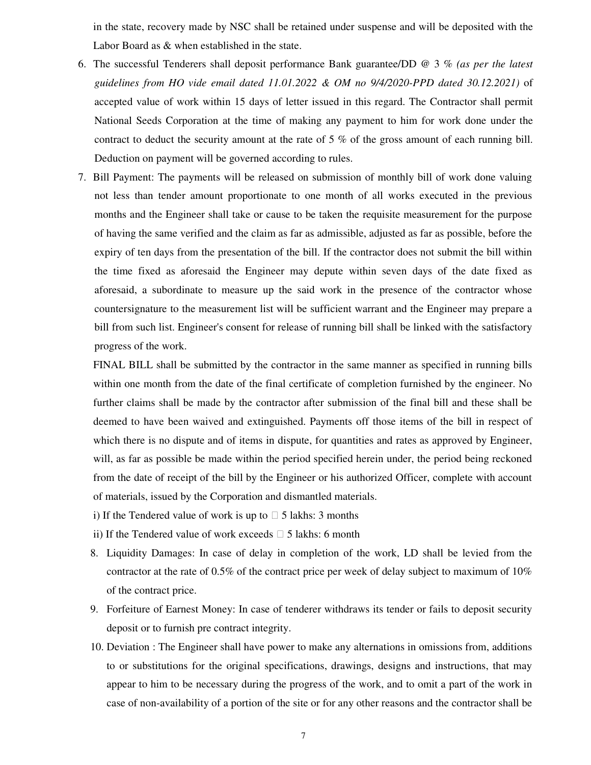in the state, recovery made by NSC shall be retained under suspense and will be deposited with the Labor Board as & when established in the state.

- 6. The successful Tenderers shall deposit performance Bank guarantee/DD @ 3 % *(as per the latest guidelines from HO vide email dated 11.01.2022 & OM no 9/4/2020-PPD dated 30.12.2021)* of accepted value of work within 15 days of letter issued in this regard. The Contractor shall permit National Seeds Corporation at the time of making any payment to him for work done under the contract to deduct the security amount at the rate of 5 % of the gross amount of each running bill. Deduction on payment will be governed according to rules.
- 7. Bill Payment: The payments will be released on submission of monthly bill of work done valuing not less than tender amount proportionate to one month of all works executed in the previous months and the Engineer shall take or cause to be taken the requisite measurement for the purpose of having the same verified and the claim as far as admissible, adjusted as far as possible, before the expiry of ten days from the presentation of the bill. If the contractor does not submit the bill within the time fixed as aforesaid the Engineer may depute within seven days of the date fixed as aforesaid, a subordinate to measure up the said work in the presence of the contractor whose countersignature to the measurement list will be sufficient warrant and the Engineer may prepare a bill from such list. Engineer's consent for release of running bill shall be linked with the satisfactory progress of the work.

FINAL BILL shall be submitted by the contractor in the same manner as specified in running bills within one month from the date of the final certificate of completion furnished by the engineer. No further claims shall be made by the contractor after submission of the final bill and these shall be deemed to have been waived and extinguished. Payments off those items of the bill in respect of which there is no dispute and of items in dispute, for quantities and rates as approved by Engineer, will, as far as possible be made within the period specified herein under, the period being reckoned from the date of receipt of the bill by the Engineer or his authorized Officer, complete with account of materials, issued by the Corporation and dismantled materials.

- i) If the Tendered value of work is up to  $5$  lakhs: 3 months
- ii) If the Tendered value of work exceeds 5 lakhs: 6 month
- 8. Liquidity Damages: In case of delay in completion of the work, LD shall be levied from the contractor at the rate of 0.5% of the contract price per week of delay subject to maximum of 10% of the contract price.
- 9. Forfeiture of Earnest Money: In case of tenderer withdraws its tender or fails to deposit security deposit or to furnish pre contract integrity.
- 10. Deviation : The Engineer shall have power to make any alternations in omissions from, additions to or substitutions for the original specifications, drawings, designs and instructions, that may appear to him to be necessary during the progress of the work, and to omit a part of the work in case of non-availability of a portion of the site or for any other reasons and the contractor shall be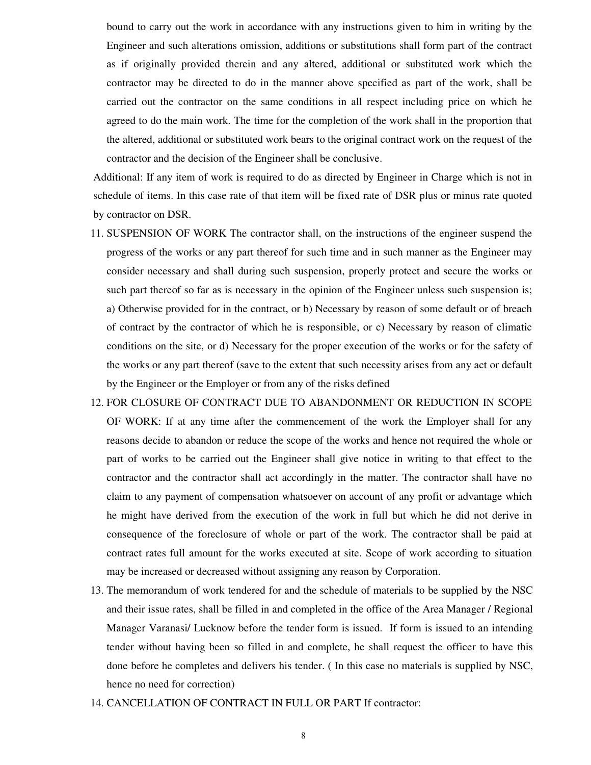bound to carry out the work in accordance with any instructions given to him in writing by the Engineer and such alterations omission, additions or substitutions shall form part of the contract as if originally provided therein and any altered, additional or substituted work which the contractor may be directed to do in the manner above specified as part of the work, shall be carried out the contractor on the same conditions in all respect including price on which he agreed to do the main work. The time for the completion of the work shall in the proportion that the altered, additional or substituted work bears to the original contract work on the request of the contractor and the decision of the Engineer shall be conclusive.

Additional: If any item of work is required to do as directed by Engineer in Charge which is not in schedule of items. In this case rate of that item will be fixed rate of DSR plus or minus rate quoted by contractor on DSR.

- 11. SUSPENSION OF WORK The contractor shall, on the instructions of the engineer suspend the progress of the works or any part thereof for such time and in such manner as the Engineer may consider necessary and shall during such suspension, properly protect and secure the works or such part thereof so far as is necessary in the opinion of the Engineer unless such suspension is; a) Otherwise provided for in the contract, or b) Necessary by reason of some default or of breach of contract by the contractor of which he is responsible, or c) Necessary by reason of climatic conditions on the site, or d) Necessary for the proper execution of the works or for the safety of the works or any part thereof (save to the extent that such necessity arises from any act or default by the Engineer or the Employer or from any of the risks defined
- 12. FOR CLOSURE OF CONTRACT DUE TO ABANDONMENT OR REDUCTION IN SCOPE OF WORK: If at any time after the commencement of the work the Employer shall for any reasons decide to abandon or reduce the scope of the works and hence not required the whole or part of works to be carried out the Engineer shall give notice in writing to that effect to the contractor and the contractor shall act accordingly in the matter. The contractor shall have no claim to any payment of compensation whatsoever on account of any profit or advantage which he might have derived from the execution of the work in full but which he did not derive in consequence of the foreclosure of whole or part of the work. The contractor shall be paid at contract rates full amount for the works executed at site. Scope of work according to situation may be increased or decreased without assigning any reason by Corporation.
- 13. The memorandum of work tendered for and the schedule of materials to be supplied by the NSC and their issue rates, shall be filled in and completed in the office of the Area Manager / Regional Manager Varanasi/ Lucknow before the tender form is issued. If form is issued to an intending tender without having been so filled in and complete, he shall request the officer to have this done before he completes and delivers his tender. ( In this case no materials is supplied by NSC, hence no need for correction)
- 14. CANCELLATION OF CONTRACT IN FULL OR PART If contractor: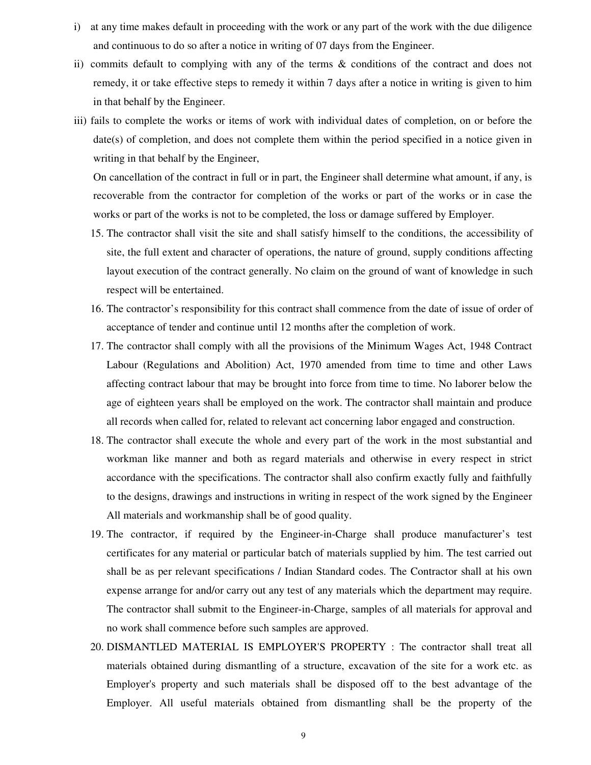- i) at any time makes default in proceeding with the work or any part of the work with the due diligence and continuous to do so after a notice in writing of 07 days from the Engineer.
- ii) commits default to complying with any of the terms & conditions of the contract and does not remedy, it or take effective steps to remedy it within 7 days after a notice in writing is given to him in that behalf by the Engineer.
- iii) fails to complete the works or items of work with individual dates of completion, on or before the date(s) of completion, and does not complete them within the period specified in a notice given in writing in that behalf by the Engineer,

On cancellation of the contract in full or in part, the Engineer shall determine what amount, if any, is recoverable from the contractor for completion of the works or part of the works or in case the works or part of the works is not to be completed, the loss or damage suffered by Employer.

- 15. The contractor shall visit the site and shall satisfy himself to the conditions, the accessibility of site, the full extent and character of operations, the nature of ground, supply conditions affecting layout execution of the contract generally. No claim on the ground of want of knowledge in such respect will be entertained.
- 16. The contractor's responsibility for this contract shall commence from the date of issue of order of acceptance of tender and continue until 12 months after the completion of work.
- 17. The contractor shall comply with all the provisions of the Minimum Wages Act, 1948 Contract Labour (Regulations and Abolition) Act, 1970 amended from time to time and other Laws affecting contract labour that may be brought into force from time to time. No laborer below the age of eighteen years shall be employed on the work. The contractor shall maintain and produce all records when called for, related to relevant act concerning labor engaged and construction.
- 18. The contractor shall execute the whole and every part of the work in the most substantial and workman like manner and both as regard materials and otherwise in every respect in strict accordance with the specifications. The contractor shall also confirm exactly fully and faithfully to the designs, drawings and instructions in writing in respect of the work signed by the Engineer All materials and workmanship shall be of good quality.
- 19. The contractor, if required by the Engineer-in-Charge shall produce manufacturer's test certificates for any material or particular batch of materials supplied by him. The test carried out shall be as per relevant specifications / Indian Standard codes. The Contractor shall at his own expense arrange for and/or carry out any test of any materials which the department may require. The contractor shall submit to the Engineer-in-Charge, samples of all materials for approval and no work shall commence before such samples are approved.
- 20. DISMANTLED MATERIAL IS EMPLOYER'S PROPERTY : The contractor shall treat all materials obtained during dismantling of a structure, excavation of the site for a work etc. as Employer's property and such materials shall be disposed off to the best advantage of the Employer. All useful materials obtained from dismantling shall be the property of the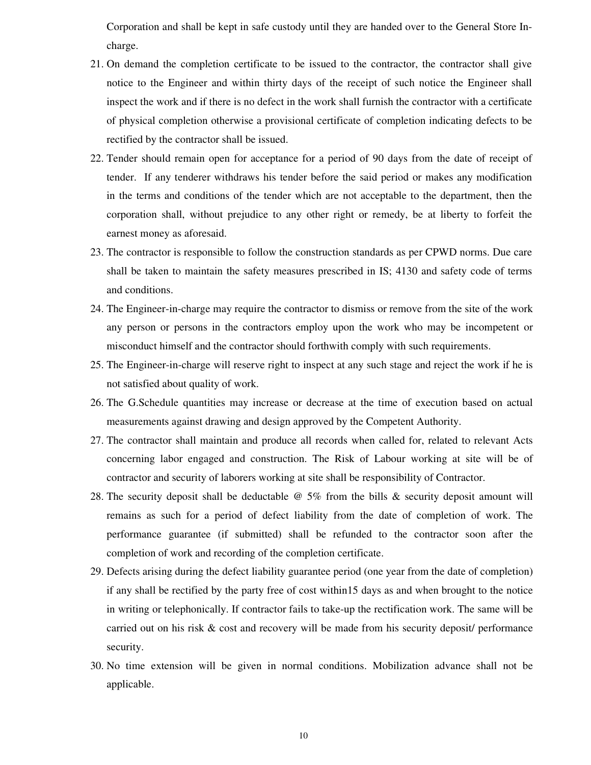Corporation and shall be kept in safe custody until they are handed over to the General Store Incharge.

- 21. On demand the completion certificate to be issued to the contractor, the contractor shall give notice to the Engineer and within thirty days of the receipt of such notice the Engineer shall inspect the work and if there is no defect in the work shall furnish the contractor with a certificate of physical completion otherwise a provisional certificate of completion indicating defects to be rectified by the contractor shall be issued.
- 22. Tender should remain open for acceptance for a period of 90 days from the date of receipt of tender. If any tenderer withdraws his tender before the said period or makes any modification in the terms and conditions of the tender which are not acceptable to the department, then the corporation shall, without prejudice to any other right or remedy, be at liberty to forfeit the earnest money as aforesaid.
- 23. The contractor is responsible to follow the construction standards as per CPWD norms. Due care shall be taken to maintain the safety measures prescribed in IS; 4130 and safety code of terms and conditions.
- 24. The Engineer-in-charge may require the contractor to dismiss or remove from the site of the work any person or persons in the contractors employ upon the work who may be incompetent or misconduct himself and the contractor should forthwith comply with such requirements.
- 25. The Engineer-in-charge will reserve right to inspect at any such stage and reject the work if he is not satisfied about quality of work.
- 26. The G.Schedule quantities may increase or decrease at the time of execution based on actual measurements against drawing and design approved by the Competent Authority.
- 27. The contractor shall maintain and produce all records when called for, related to relevant Acts concerning labor engaged and construction. The Risk of Labour working at site will be of contractor and security of laborers working at site shall be responsibility of Contractor.
- 28. The security deposit shall be deductable @ 5% from the bills & security deposit amount will remains as such for a period of defect liability from the date of completion of work. The performance guarantee (if submitted) shall be refunded to the contractor soon after the completion of work and recording of the completion certificate.
- 29. Defects arising during the defect liability guarantee period (one year from the date of completion) if any shall be rectified by the party free of cost within15 days as and when brought to the notice in writing or telephonically. If contractor fails to take-up the rectification work. The same will be carried out on his risk & cost and recovery will be made from his security deposit/ performance security.
- 30. No time extension will be given in normal conditions. Mobilization advance shall not be applicable.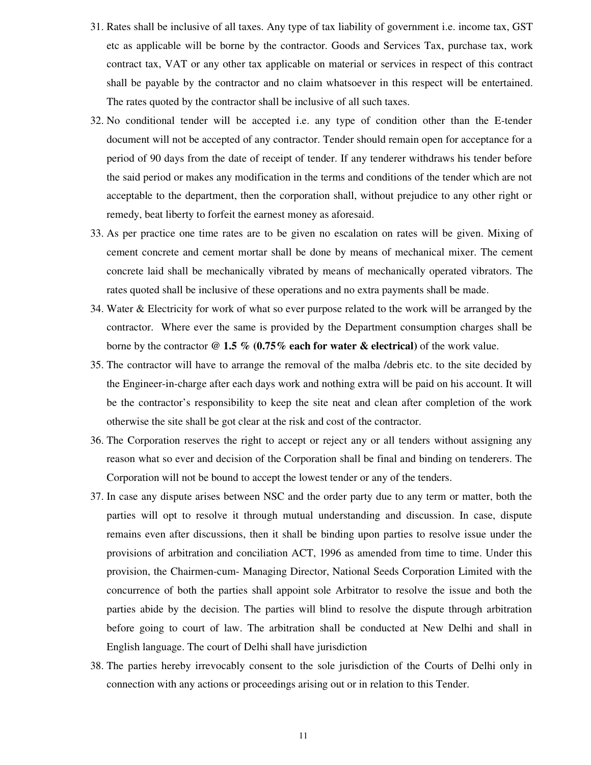- 31. Rates shall be inclusive of all taxes. Any type of tax liability of government i.e. income tax, GST etc as applicable will be borne by the contractor. Goods and Services Tax, purchase tax, work contract tax, VAT or any other tax applicable on material or services in respect of this contract shall be payable by the contractor and no claim whatsoever in this respect will be entertained. The rates quoted by the contractor shall be inclusive of all such taxes.
- 32. No conditional tender will be accepted i.e. any type of condition other than the E-tender document will not be accepted of any contractor. Tender should remain open for acceptance for a period of 90 days from the date of receipt of tender. If any tenderer withdraws his tender before the said period or makes any modification in the terms and conditions of the tender which are not acceptable to the department, then the corporation shall, without prejudice to any other right or remedy, beat liberty to forfeit the earnest money as aforesaid.
- 33. As per practice one time rates are to be given no escalation on rates will be given. Mixing of cement concrete and cement mortar shall be done by means of mechanical mixer. The cement concrete laid shall be mechanically vibrated by means of mechanically operated vibrators. The rates quoted shall be inclusive of these operations and no extra payments shall be made.
- 34. Water & Electricity for work of what so ever purpose related to the work will be arranged by the contractor. Where ever the same is provided by the Department consumption charges shall be borne by the contractor **@ 1.5 % (0.75% each for water & electrical)** of the work value.
- 35. The contractor will have to arrange the removal of the malba /debris etc. to the site decided by the Engineer-in-charge after each days work and nothing extra will be paid on his account. It will be the contractor's responsibility to keep the site neat and clean after completion of the work otherwise the site shall be got clear at the risk and cost of the contractor.
- 36. The Corporation reserves the right to accept or reject any or all tenders without assigning any reason what so ever and decision of the Corporation shall be final and binding on tenderers. The Corporation will not be bound to accept the lowest tender or any of the tenders.
- 37. In case any dispute arises between NSC and the order party due to any term or matter, both the parties will opt to resolve it through mutual understanding and discussion. In case, dispute remains even after discussions, then it shall be binding upon parties to resolve issue under the provisions of arbitration and conciliation ACT, 1996 as amended from time to time. Under this provision, the Chairmen-cum- Managing Director, National Seeds Corporation Limited with the concurrence of both the parties shall appoint sole Arbitrator to resolve the issue and both the parties abide by the decision. The parties will blind to resolve the dispute through arbitration before going to court of law. The arbitration shall be conducted at New Delhi and shall in English language. The court of Delhi shall have jurisdiction
- 38. The parties hereby irrevocably consent to the sole jurisdiction of the Courts of Delhi only in connection with any actions or proceedings arising out or in relation to this Tender.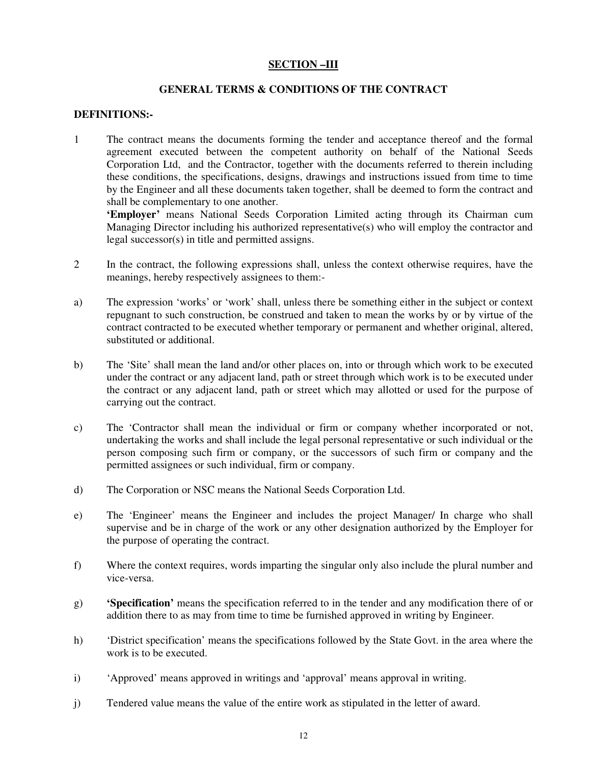#### **SECTION –III**

#### **GENERAL TERMS & CONDITIONS OF THE CONTRACT**

#### **DEFINITIONS:-**

1 The contract means the documents forming the tender and acceptance thereof and the formal agreement executed between the competent authority on behalf of the National Seeds Corporation Ltd, and the Contractor, together with the documents referred to therein including these conditions, the specifications, designs, drawings and instructions issued from time to time by the Engineer and all these documents taken together, shall be deemed to form the contract and shall be complementary to one another.

**'Employer'** means National Seeds Corporation Limited acting through its Chairman cum Managing Director including his authorized representative(s) who will employ the contractor and legal successor(s) in title and permitted assigns.

- 2 In the contract, the following expressions shall, unless the context otherwise requires, have the meanings, hereby respectively assignees to them:-
- a) The expression 'works' or 'work' shall, unless there be something either in the subject or context repugnant to such construction, be construed and taken to mean the works by or by virtue of the contract contracted to be executed whether temporary or permanent and whether original, altered, substituted or additional.
- b) The 'Site' shall mean the land and/or other places on, into or through which work to be executed under the contract or any adjacent land, path or street through which work is to be executed under the contract or any adjacent land, path or street which may allotted or used for the purpose of carrying out the contract.
- c) The 'Contractor shall mean the individual or firm or company whether incorporated or not, undertaking the works and shall include the legal personal representative or such individual or the person composing such firm or company, or the successors of such firm or company and the permitted assignees or such individual, firm or company.
- d) The Corporation or NSC means the National Seeds Corporation Ltd.
- e) The 'Engineer' means the Engineer and includes the project Manager/ In charge who shall supervise and be in charge of the work or any other designation authorized by the Employer for the purpose of operating the contract.
- f) Where the context requires, words imparting the singular only also include the plural number and vice-versa.
- g) **'Specification'** means the specification referred to in the tender and any modification there of or addition there to as may from time to time be furnished approved in writing by Engineer.
- h) 'District specification' means the specifications followed by the State Govt. in the area where the work is to be executed.
- i) 'Approved' means approved in writings and 'approval' means approval in writing.
- j) Tendered value means the value of the entire work as stipulated in the letter of award.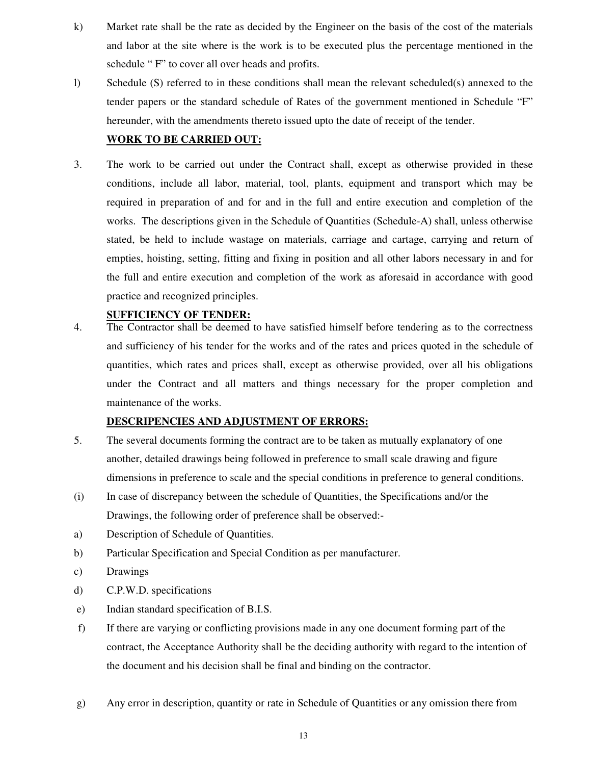- k) Market rate shall be the rate as decided by the Engineer on the basis of the cost of the materials and labor at the site where is the work is to be executed plus the percentage mentioned in the schedule " F" to cover all over heads and profits.
- l) Schedule (S) referred to in these conditions shall mean the relevant scheduled(s) annexed to the tender papers or the standard schedule of Rates of the government mentioned in Schedule "F" hereunder, with the amendments thereto issued upto the date of receipt of the tender.

# **WORK TO BE CARRIED OUT:**

3. The work to be carried out under the Contract shall, except as otherwise provided in these conditions, include all labor, material, tool, plants, equipment and transport which may be required in preparation of and for and in the full and entire execution and completion of the works. The descriptions given in the Schedule of Quantities (Schedule-A) shall, unless otherwise stated, be held to include wastage on materials, carriage and cartage, carrying and return of empties, hoisting, setting, fitting and fixing in position and all other labors necessary in and for the full and entire execution and completion of the work as aforesaid in accordance with good practice and recognized principles.

# **SUFFICIENCY OF TENDER:**

4. The Contractor shall be deemed to have satisfied himself before tendering as to the correctness and sufficiency of his tender for the works and of the rates and prices quoted in the schedule of quantities, which rates and prices shall, except as otherwise provided, over all his obligations under the Contract and all matters and things necessary for the proper completion and maintenance of the works.

# **DESCRIPENCIES AND ADJUSTMENT OF ERRORS:**

- 5. The several documents forming the contract are to be taken as mutually explanatory of one another, detailed drawings being followed in preference to small scale drawing and figure dimensions in preference to scale and the special conditions in preference to general conditions.
- (i) In case of discrepancy between the schedule of Quantities, the Specifications and/or the Drawings, the following order of preference shall be observed:-
- a) Description of Schedule of Quantities.
- b) Particular Specification and Special Condition as per manufacturer.
- c) Drawings
- d) C.P.W.D. specifications
- e) Indian standard specification of B.I.S.
- f) If there are varying or conflicting provisions made in any one document forming part of the contract, the Acceptance Authority shall be the deciding authority with regard to the intention of the document and his decision shall be final and binding on the contractor.
- g) Any error in description, quantity or rate in Schedule of Quantities or any omission there from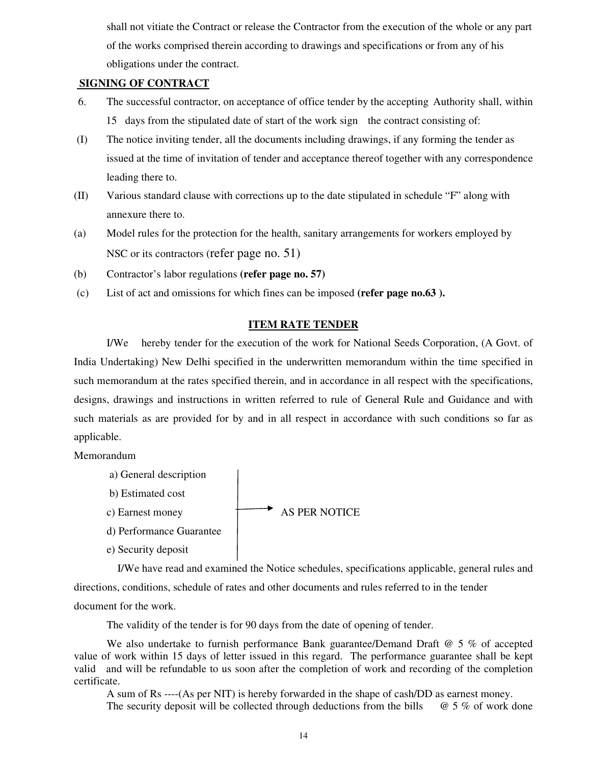shall not vitiate the Contract or release the Contractor from the execution of the whole or any part of the works comprised therein according to drawings and specifications or from any of his obligations under the contract.

#### **SIGNING OF CONTRACT**

- 6. The successful contractor, on acceptance of office tender by the accepting Authority shall, within 15 days from the stipulated date of start of the work sign the contract consisting of:
- (I) The notice inviting tender, all the documents including drawings, if any forming the tender as issued at the time of invitation of tender and acceptance thereof together with any correspondence leading there to.
- (II) Various standard clause with corrections up to the date stipulated in schedule "F" along with annexure there to.
- (a) Model rules for the protection for the health, sanitary arrangements for workers employed by NSC or its contractors (refer page no. 51)
- (b)Contractor's labor regulations **(refer page no. 57)**
- (c) List of act and omissions for which fines can be imposed **(refer page no.63 ).**

#### **ITEM RATE TENDER**

 I/We hereby tender for the execution of the work for National Seeds Corporation, (A Govt. of India Undertaking) New Delhi specified in the underwritten memorandum within the time specified in such memorandum at the rates specified therein, and in accordance in all respect with the specifications, designs, drawings and instructions in written referred to rule of General Rule and Guidance and with such materials as are provided for by and in all respect in accordance with such conditions so far as applicable.

Memorandum

- a) General description b) Estimated cost c) Earnest money AS PER NOTICE d) Performance Guarantee
- 
- e) Security deposit

 I/We have read and examined the Notice schedules, specifications applicable, general rules and directions, conditions, schedule of rates and other documents and rules referred to in the tender document for the work.

The validity of the tender is for 90 days from the date of opening of tender.

We also undertake to furnish performance Bank guarantee/Demand Draft  $@ 5 \%$  of accepted value of work within 15 days of letter issued in this regard. The performance guarantee shall be kept valid and will be refundable to us soon after the completion of work and recording of the completion certificate.

A sum of Rs ----(As per NIT) is hereby forwarded in the shape of cash/DD as earnest money. The security deposit will be collected through deductions from the bills  $\qquad \otimes 5 \%$  of work done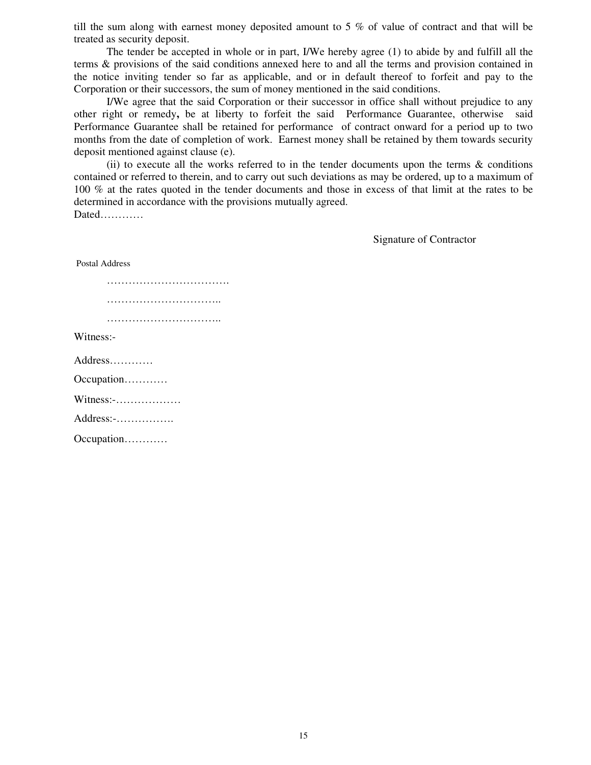till the sum along with earnest money deposited amount to 5 % of value of contract and that will be treated as security deposit.

 The tender be accepted in whole or in part, I/We hereby agree (1) to abide by and fulfill all the terms & provisions of the said conditions annexed here to and all the terms and provision contained in the notice inviting tender so far as applicable, and or in default thereof to forfeit and pay to the Corporation or their successors, the sum of money mentioned in the said conditions.

I/We agree that the said Corporation or their successor in office shall without prejudice to any other right or remedy**,** be at liberty to forfeit the said Performance Guarantee, otherwise said Performance Guarantee shall be retained for performance of contract onward for a period up to two months from the date of completion of work. Earnest money shall be retained by them towards security deposit mentioned against clause (e).

(ii) to execute all the works referred to in the tender documents upon the terms  $\&$  conditions contained or referred to therein, and to carry out such deviations as may be ordered, up to a maximum of 100 % at the rates quoted in the tender documents and those in excess of that limit at the rates to be determined in accordance with the provisions mutually agreed. Dated…………

Signature of Contractor

Postal Address

……………………………………… ………………………………… …………………………..

Witness:-

Address…………

Occupation…………

Witness:-………………

Address:-…………….

Occupation…………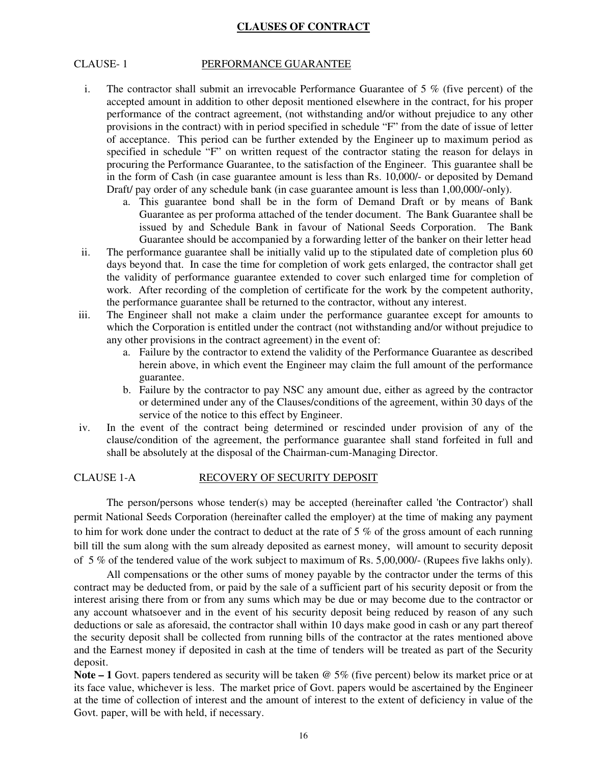# **CLAUSES OF CONTRACT**

#### CLAUSE- 1 PERFORMANCE GUARANTEE

- i. The contractor shall submit an irrevocable Performance Guarantee of 5 % (five percent) of the accepted amount in addition to other deposit mentioned elsewhere in the contract, for his proper performance of the contract agreement, (not withstanding and/or without prejudice to any other provisions in the contract) with in period specified in schedule "F" from the date of issue of letter of acceptance. This period can be further extended by the Engineer up to maximum period as specified in schedule "F" on written request of the contractor stating the reason for delays in procuring the Performance Guarantee, to the satisfaction of the Engineer. This guarantee shall be in the form of Cash (in case guarantee amount is less than Rs. 10,000/- or deposited by Demand Draft/ pay order of any schedule bank (in case guarantee amount is less than 1,00,000/-only).
	- a. This guarantee bond shall be in the form of Demand Draft or by means of Bank Guarantee as per proforma attached of the tender document. The Bank Guarantee shall be issued by and Schedule Bank in favour of National Seeds Corporation. The Bank Guarantee should be accompanied by a forwarding letter of the banker on their letter head
- ii. The performance guarantee shall be initially valid up to the stipulated date of completion plus 60 days beyond that. In case the time for completion of work gets enlarged, the contractor shall get the validity of performance guarantee extended to cover such enlarged time for completion of work. After recording of the completion of certificate for the work by the competent authority, the performance guarantee shall be returned to the contractor, without any interest.
- iii. The Engineer shall not make a claim under the performance guarantee except for amounts to which the Corporation is entitled under the contract (not withstanding and/or without prejudice to any other provisions in the contract agreement) in the event of:
	- a. Failure by the contractor to extend the validity of the Performance Guarantee as described herein above, in which event the Engineer may claim the full amount of the performance guarantee.
	- b. Failure by the contractor to pay NSC any amount due, either as agreed by the contractor or determined under any of the Clauses/conditions of the agreement, within 30 days of the service of the notice to this effect by Engineer.
- iv. In the event of the contract being determined or rescinded under provision of any of the clause/condition of the agreement, the performance guarantee shall stand forfeited in full and shall be absolutely at the disposal of the Chairman-cum-Managing Director.

#### CLAUSE 1-A RECOVERY OF SECURITY DEPOSIT

 The person/persons whose tender(s) may be accepted (hereinafter called 'the Contractor') shall permit National Seeds Corporation (hereinafter called the employer) at the time of making any payment to him for work done under the contract to deduct at the rate of 5 % of the gross amount of each running bill till the sum along with the sum already deposited as earnest money, will amount to security deposit of 5 % of the tendered value of the work subject to maximum of Rs. 5,00,000/- (Rupees five lakhs only).

 All compensations or the other sums of money payable by the contractor under the terms of this contract may be deducted from, or paid by the sale of a sufficient part of his security deposit or from the interest arising there from or from any sums which may be due or may become due to the contractor or any account whatsoever and in the event of his security deposit being reduced by reason of any such deductions or sale as aforesaid, the contractor shall within 10 days make good in cash or any part thereof the security deposit shall be collected from running bills of the contractor at the rates mentioned above and the Earnest money if deposited in cash at the time of tenders will be treated as part of the Security deposit.

**Note – 1** Govt. papers tendered as security will be taken @ 5% (five percent) below its market price or at its face value, whichever is less. The market price of Govt. papers would be ascertained by the Engineer at the time of collection of interest and the amount of interest to the extent of deficiency in value of the Govt. paper, will be with held, if necessary.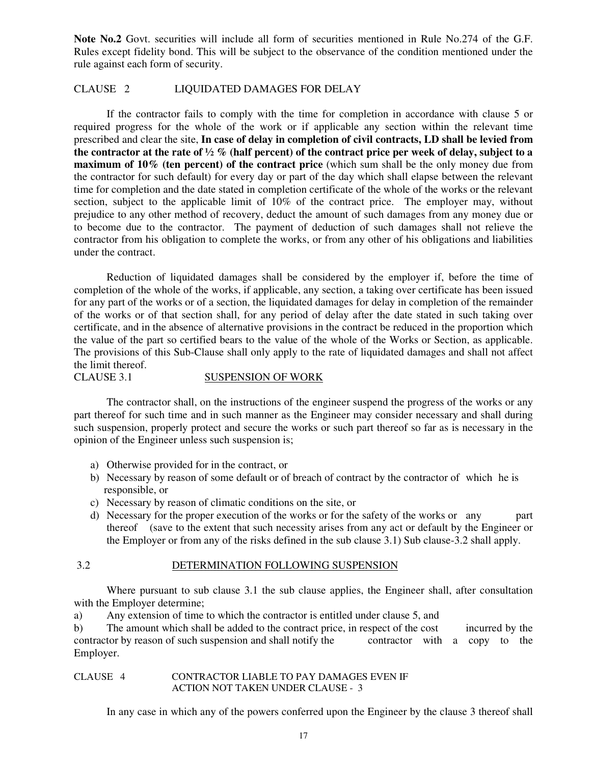**Note No.2** Govt. securities will include all form of securities mentioned in Rule No.274 of the G.F. Rules except fidelity bond. This will be subject to the observance of the condition mentioned under the rule against each form of security.

## CLAUSE 2 LIQUIDATED DAMAGES FOR DELAY

 If the contractor fails to comply with the time for completion in accordance with clause 5 or required progress for the whole of the work or if applicable any section within the relevant time prescribed and clear the site, **In case of delay in completion of civil contracts, LD shall be levied from the contractor at the rate of ½ % (half percent) of the contract price per week of delay, subject to a maximum of 10% (ten percent) of the contract price** (which sum shall be the only money due from the contractor for such default) for every day or part of the day which shall elapse between the relevant time for completion and the date stated in completion certificate of the whole of the works or the relevant section, subject to the applicable limit of 10% of the contract price. The employer may, without prejudice to any other method of recovery, deduct the amount of such damages from any money due or to become due to the contractor. The payment of deduction of such damages shall not relieve the contractor from his obligation to complete the works, or from any other of his obligations and liabilities under the contract.

 Reduction of liquidated damages shall be considered by the employer if, before the time of completion of the whole of the works, if applicable, any section, a taking over certificate has been issued for any part of the works or of a section, the liquidated damages for delay in completion of the remainder of the works or of that section shall, for any period of delay after the date stated in such taking over certificate, and in the absence of alternative provisions in the contract be reduced in the proportion which the value of the part so certified bears to the value of the whole of the Works or Section, as applicable. The provisions of this Sub-Clause shall only apply to the rate of liquidated damages and shall not affect the limit thereof.

#### CLAUSE 3.1 SUSPENSION OF WORK

 The contractor shall, on the instructions of the engineer suspend the progress of the works or any part thereof for such time and in such manner as the Engineer may consider necessary and shall during such suspension, properly protect and secure the works or such part thereof so far as is necessary in the opinion of the Engineer unless such suspension is;

- a) Otherwise provided for in the contract, or
- b) Necessary by reason of some default or of breach of contract by the contractor of which he is responsible, or
- c) Necessary by reason of climatic conditions on the site, or
- d) Necessary for the proper execution of the works or for the safety of the works or any part thereof (save to the extent that such necessity arises from any act or default by the Engineer or the Employer or from any of the risks defined in the sub clause 3.1) Sub clause-3.2 shall apply.

# 3.2 DETERMINATION FOLLOWING SUSPENSION

 Where pursuant to sub clause 3.1 the sub clause applies, the Engineer shall, after consultation with the Employer determine;

a) Any extension of time to which the contractor is entitled under clause 5, and

b) The amount which shall be added to the contract price, in respect of the cost incurred by the contractor by reason of such suspension and shall notify the contractor with a copy to the Employer.

#### CLAUSE 4 CONTRACTOR LIABLE TO PAY DAMAGES EVEN IF ACTION NOT TAKEN UNDER CLAUSE - 3

In any case in which any of the powers conferred upon the Engineer by the clause 3 thereof shall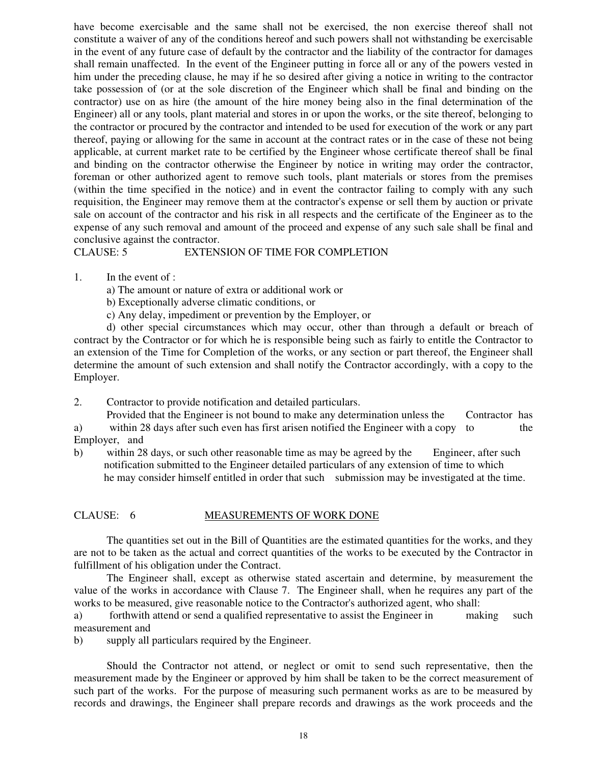have become exercisable and the same shall not be exercised, the non exercise thereof shall not constitute a waiver of any of the conditions hereof and such powers shall not withstanding be exercisable in the event of any future case of default by the contractor and the liability of the contractor for damages shall remain unaffected. In the event of the Engineer putting in force all or any of the powers vested in him under the preceding clause, he may if he so desired after giving a notice in writing to the contractor take possession of (or at the sole discretion of the Engineer which shall be final and binding on the contractor) use on as hire (the amount of the hire money being also in the final determination of the Engineer) all or any tools, plant material and stores in or upon the works, or the site thereof, belonging to the contractor or procured by the contractor and intended to be used for execution of the work or any part thereof, paying or allowing for the same in account at the contract rates or in the case of these not being applicable, at current market rate to be certified by the Engineer whose certificate thereof shall be final and binding on the contractor otherwise the Engineer by notice in writing may order the contractor, foreman or other authorized agent to remove such tools, plant materials or stores from the premises (within the time specified in the notice) and in event the contractor failing to comply with any such requisition, the Engineer may remove them at the contractor's expense or sell them by auction or private sale on account of the contractor and his risk in all respects and the certificate of the Engineer as to the expense of any such removal and amount of the proceed and expense of any such sale shall be final and conclusive against the contractor.

#### CLAUSE: 5 EXTENSION OF TIME FOR COMPLETION

- 1. In the event of :
	- a) The amount or nature of extra or additional work or
	- b) Exceptionally adverse climatic conditions, or
	- c) Any delay, impediment or prevention by the Employer, or

 d) other special circumstances which may occur, other than through a default or breach of contract by the Contractor or for which he is responsible being such as fairly to entitle the Contractor to an extension of the Time for Completion of the works, or any section or part thereof, the Engineer shall determine the amount of such extension and shall notify the Contractor accordingly, with a copy to the Employer.

2. Contractor to provide notification and detailed particulars.

 Provided that the Engineer is not bound to make any determination unless the Contractor has a) within 28 days after such even has first arisen notified the Engineer with a copy to the Employer, and

b) within 28 days, or such other reasonable time as may be agreed by the Engineer, after such notification submitted to the Engineer detailed particulars of any extension of time to which he may consider himself entitled in order that such submission may be investigated at the time.

#### CLAUSE: 6 MEASUREMENTS OF WORK DONE

 The quantities set out in the Bill of Quantities are the estimated quantities for the works, and they are not to be taken as the actual and correct quantities of the works to be executed by the Contractor in fulfillment of his obligation under the Contract.

 The Engineer shall, except as otherwise stated ascertain and determine, by measurement the value of the works in accordance with Clause 7. The Engineer shall, when he requires any part of the works to be measured, give reasonable notice to the Contractor's authorized agent, who shall:

a) forthwith attend or send a qualified representative to assist the Engineer in making such measurement and

b) supply all particulars required by the Engineer.

 Should the Contractor not attend, or neglect or omit to send such representative, then the measurement made by the Engineer or approved by him shall be taken to be the correct measurement of such part of the works. For the purpose of measuring such permanent works as are to be measured by records and drawings, the Engineer shall prepare records and drawings as the work proceeds and the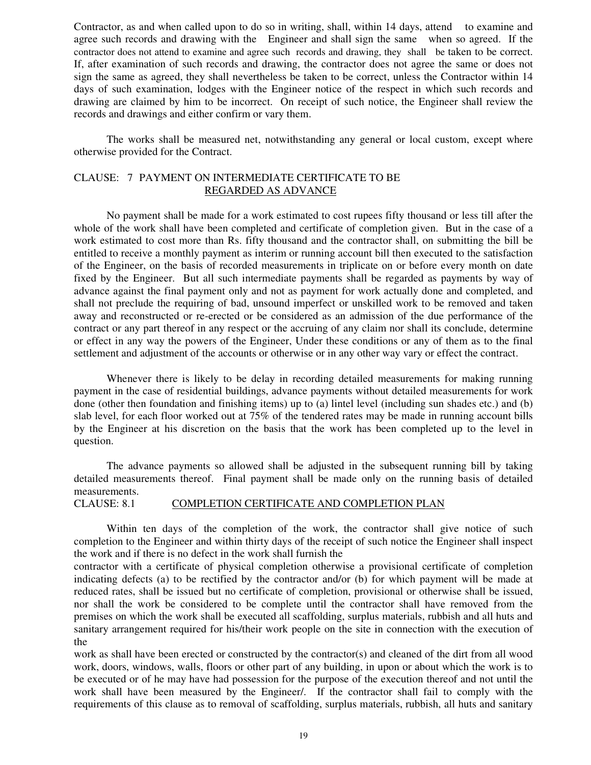Contractor, as and when called upon to do so in writing, shall, within 14 days, attend to examine and agree such records and drawing with the Engineer and shall sign the same when so agreed. If the contractor does not attend to examine and agree such records and drawing, they shall be taken to be correct. If, after examination of such records and drawing, the contractor does not agree the same or does not sign the same as agreed, they shall nevertheless be taken to be correct, unless the Contractor within 14 days of such examination, lodges with the Engineer notice of the respect in which such records and drawing are claimed by him to be incorrect. On receipt of such notice, the Engineer shall review the records and drawings and either confirm or vary them.

 The works shall be measured net, notwithstanding any general or local custom, except where otherwise provided for the Contract.

#### CLAUSE: 7 PAYMENT ON INTERMEDIATE CERTIFICATE TO BE REGARDED AS ADVANCE

 No payment shall be made for a work estimated to cost rupees fifty thousand or less till after the whole of the work shall have been completed and certificate of completion given. But in the case of a work estimated to cost more than Rs. fifty thousand and the contractor shall, on submitting the bill be entitled to receive a monthly payment as interim or running account bill then executed to the satisfaction of the Engineer, on the basis of recorded measurements in triplicate on or before every month on date fixed by the Engineer. But all such intermediate payments shall be regarded as payments by way of advance against the final payment only and not as payment for work actually done and completed, and shall not preclude the requiring of bad, unsound imperfect or unskilled work to be removed and taken away and reconstructed or re-erected or be considered as an admission of the due performance of the contract or any part thereof in any respect or the accruing of any claim nor shall its conclude, determine or effect in any way the powers of the Engineer, Under these conditions or any of them as to the final settlement and adjustment of the accounts or otherwise or in any other way vary or effect the contract.

 Whenever there is likely to be delay in recording detailed measurements for making running payment in the case of residential buildings, advance payments without detailed measurements for work done (other then foundation and finishing items) up to (a) lintel level (including sun shades etc.) and (b) slab level, for each floor worked out at 75% of the tendered rates may be made in running account bills by the Engineer at his discretion on the basis that the work has been completed up to the level in question.

 The advance payments so allowed shall be adjusted in the subsequent running bill by taking detailed measurements thereof. Final payment shall be made only on the running basis of detailed measurements.

#### CLAUSE: 8.1 COMPLETION CERTIFICATE AND COMPLETION PLAN

 Within ten days of the completion of the work, the contractor shall give notice of such completion to the Engineer and within thirty days of the receipt of such notice the Engineer shall inspect the work and if there is no defect in the work shall furnish the

contractor with a certificate of physical completion otherwise a provisional certificate of completion indicating defects (a) to be rectified by the contractor and/or (b) for which payment will be made at reduced rates, shall be issued but no certificate of completion, provisional or otherwise shall be issued, nor shall the work be considered to be complete until the contractor shall have removed from the premises on which the work shall be executed all scaffolding, surplus materials, rubbish and all huts and sanitary arrangement required for his/their work people on the site in connection with the execution of the

work as shall have been erected or constructed by the contractor(s) and cleaned of the dirt from all wood work, doors, windows, walls, floors or other part of any building, in upon or about which the work is to be executed or of he may have had possession for the purpose of the execution thereof and not until the work shall have been measured by the Engineer/. If the contractor shall fail to comply with the requirements of this clause as to removal of scaffolding, surplus materials, rubbish, all huts and sanitary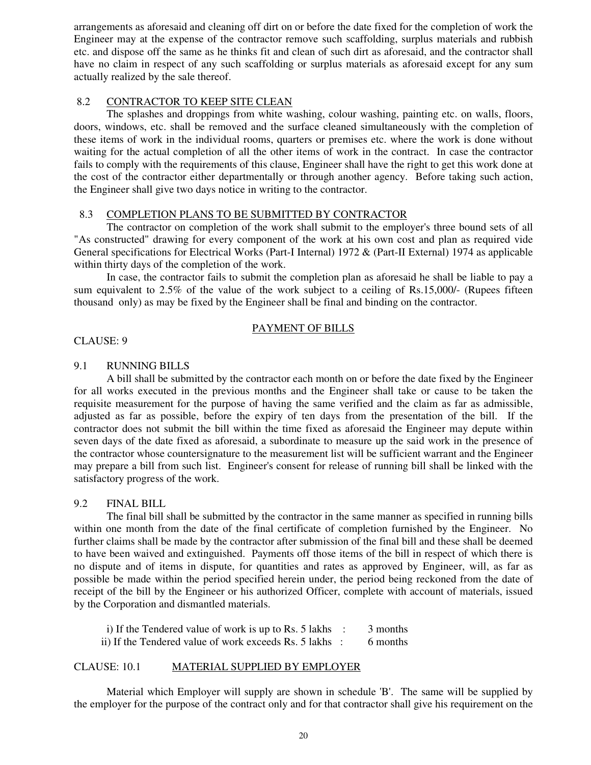arrangements as aforesaid and cleaning off dirt on or before the date fixed for the completion of work the Engineer may at the expense of the contractor remove such scaffolding, surplus materials and rubbish etc. and dispose off the same as he thinks fit and clean of such dirt as aforesaid, and the contractor shall have no claim in respect of any such scaffolding or surplus materials as aforesaid except for any sum actually realized by the sale thereof.

# 8.2 CONTRACTOR TO KEEP SITE CLEAN

 The splashes and droppings from white washing, colour washing, painting etc. on walls, floors, doors, windows, etc. shall be removed and the surface cleaned simultaneously with the completion of these items of work in the individual rooms, quarters or premises etc. where the work is done without waiting for the actual completion of all the other items of work in the contract. In case the contractor fails to comply with the requirements of this clause, Engineer shall have the right to get this work done at the cost of the contractor either departmentally or through another agency. Before taking such action, the Engineer shall give two days notice in writing to the contractor.

#### 8.3 COMPLETION PLANS TO BE SUBMITTED BY CONTRACTOR

 The contractor on completion of the work shall submit to the employer's three bound sets of all "As constructed" drawing for every component of the work at his own cost and plan as required vide General specifications for Electrical Works (Part-I Internal) 1972 & (Part-II External) 1974 as applicable within thirty days of the completion of the work.

 In case, the contractor fails to submit the completion plan as aforesaid he shall be liable to pay a sum equivalent to 2.5% of the value of the work subject to a ceiling of Rs.15,000/- (Rupees fifteen thousand only) as may be fixed by the Engineer shall be final and binding on the contractor.

#### PAYMENT OF BILLS

#### CLAUSE: 9

#### 9.1 RUNNING BILLS

 A bill shall be submitted by the contractor each month on or before the date fixed by the Engineer for all works executed in the previous months and the Engineer shall take or cause to be taken the requisite measurement for the purpose of having the same verified and the claim as far as admissible, adjusted as far as possible, before the expiry of ten days from the presentation of the bill. If the contractor does not submit the bill within the time fixed as aforesaid the Engineer may depute within seven days of the date fixed as aforesaid, a subordinate to measure up the said work in the presence of the contractor whose countersignature to the measurement list will be sufficient warrant and the Engineer may prepare a bill from such list. Engineer's consent for release of running bill shall be linked with the satisfactory progress of the work.

#### 9.2 FINAL BILL

 The final bill shall be submitted by the contractor in the same manner as specified in running bills within one month from the date of the final certificate of completion furnished by the Engineer. No further claims shall be made by the contractor after submission of the final bill and these shall be deemed to have been waived and extinguished. Payments off those items of the bill in respect of which there is no dispute and of items in dispute, for quantities and rates as approved by Engineer, will, as far as possible be made within the period specified herein under, the period being reckoned from the date of receipt of the bill by the Engineer or his authorized Officer, complete with account of materials, issued by the Corporation and dismantled materials.

| i) If the Tendered value of work is up to Rs. 5 lakhs   | 3 months |
|---------------------------------------------------------|----------|
| ii) If the Tendered value of work exceeds Rs. 5 lakhs : | 6 months |

#### CLAUSE: 10.1 MATERIAL SUPPLIED BY EMPLOYER

 Material which Employer will supply are shown in schedule 'B'. The same will be supplied by the employer for the purpose of the contract only and for that contractor shall give his requirement on the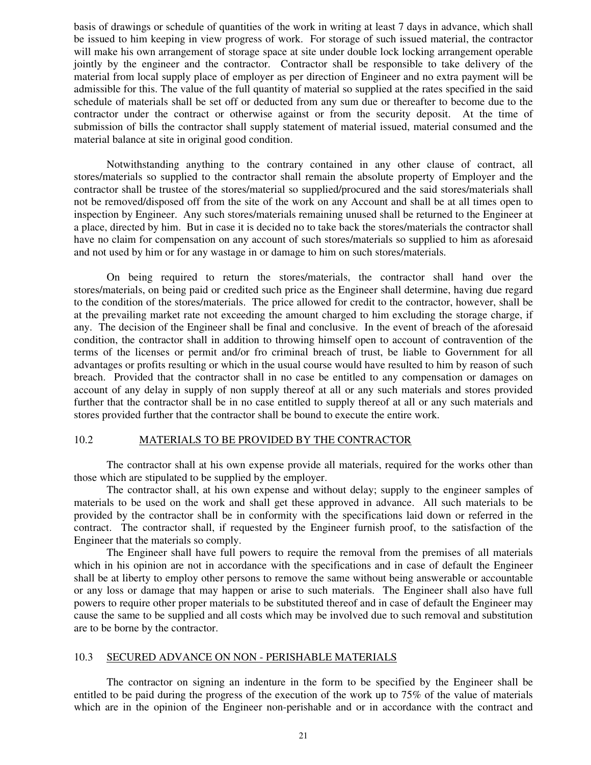basis of drawings or schedule of quantities of the work in writing at least 7 days in advance, which shall be issued to him keeping in view progress of work. For storage of such issued material, the contractor will make his own arrangement of storage space at site under double lock locking arrangement operable jointly by the engineer and the contractor. Contractor shall be responsible to take delivery of the material from local supply place of employer as per direction of Engineer and no extra payment will be admissible for this. The value of the full quantity of material so supplied at the rates specified in the said schedule of materials shall be set off or deducted from any sum due or thereafter to become due to the contractor under the contract or otherwise against or from the security deposit. At the time of submission of bills the contractor shall supply statement of material issued, material consumed and the material balance at site in original good condition.

 Notwithstanding anything to the contrary contained in any other clause of contract, all stores/materials so supplied to the contractor shall remain the absolute property of Employer and the contractor shall be trustee of the stores/material so supplied/procured and the said stores/materials shall not be removed/disposed off from the site of the work on any Account and shall be at all times open to inspection by Engineer. Any such stores/materials remaining unused shall be returned to the Engineer at a place, directed by him. But in case it is decided no to take back the stores/materials the contractor shall have no claim for compensation on any account of such stores/materials so supplied to him as aforesaid and not used by him or for any wastage in or damage to him on such stores/materials.

 On being required to return the stores/materials, the contractor shall hand over the stores/materials, on being paid or credited such price as the Engineer shall determine, having due regard to the condition of the stores/materials. The price allowed for credit to the contractor, however, shall be at the prevailing market rate not exceeding the amount charged to him excluding the storage charge, if any. The decision of the Engineer shall be final and conclusive. In the event of breach of the aforesaid condition, the contractor shall in addition to throwing himself open to account of contravention of the terms of the licenses or permit and/or fro criminal breach of trust, be liable to Government for all advantages or profits resulting or which in the usual course would have resulted to him by reason of such breach. Provided that the contractor shall in no case be entitled to any compensation or damages on account of any delay in supply of non supply thereof at all or any such materials and stores provided further that the contractor shall be in no case entitled to supply thereof at all or any such materials and stores provided further that the contractor shall be bound to execute the entire work.

#### 10.2 MATERIALS TO BE PROVIDED BY THE CONTRACTOR

 The contractor shall at his own expense provide all materials, required for the works other than those which are stipulated to be supplied by the employer.

 The contractor shall, at his own expense and without delay; supply to the engineer samples of materials to be used on the work and shall get these approved in advance. All such materials to be provided by the contractor shall be in conformity with the specifications laid down or referred in the contract. The contractor shall, if requested by the Engineer furnish proof, to the satisfaction of the Engineer that the materials so comply.

 The Engineer shall have full powers to require the removal from the premises of all materials which in his opinion are not in accordance with the specifications and in case of default the Engineer shall be at liberty to employ other persons to remove the same without being answerable or accountable or any loss or damage that may happen or arise to such materials. The Engineer shall also have full powers to require other proper materials to be substituted thereof and in case of default the Engineer may cause the same to be supplied and all costs which may be involved due to such removal and substitution are to be borne by the contractor.

#### 10.3 SECURED ADVANCE ON NON - PERISHABLE MATERIALS

 The contractor on signing an indenture in the form to be specified by the Engineer shall be entitled to be paid during the progress of the execution of the work up to 75% of the value of materials which are in the opinion of the Engineer non-perishable and or in accordance with the contract and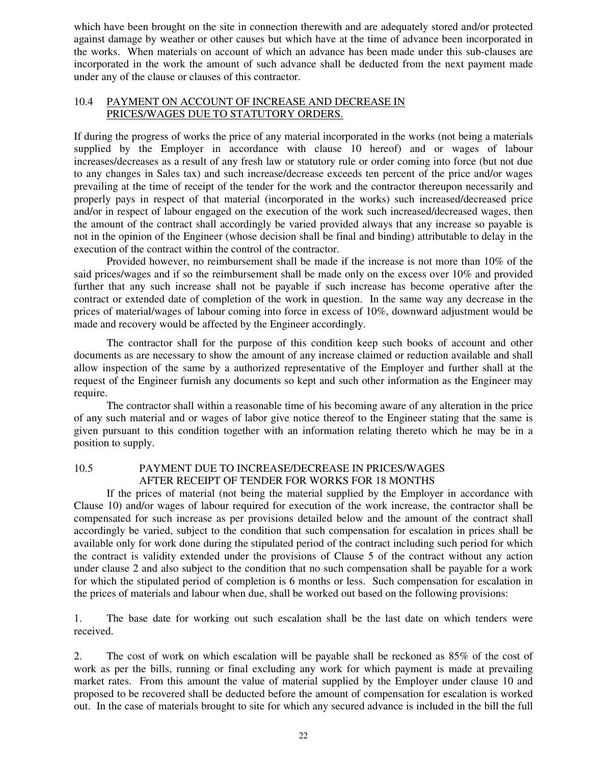which have been brought on the site in connection therewith and are adequately stored and/or protected against damage by weather or other causes but which have at the time of advance been incorporated in the works. When materials on account of which an advance has been made under this sub-clauses are incorporated in the work the amount of such advance shall be deducted from the next payment made under any of the clause or clauses of this contractor.

## 10.4 PAYMENT ON ACCOUNT OF INCREASE AND DECREASE IN PRICES/WAGES DUE TO STATUTORY ORDERS.

If during the progress of works the price of any material incorporated in the works (not being a materials supplied by the Employer in accordance with clause 10 hereof) and or wages of labour increases/decreases as a result of any fresh law or statutory rule or order coming into force (but not due to any changes in Sales tax) and such increase/decrease exceeds ten percent of the price and/or wages prevailing at the time of receipt of the tender for the work and the contractor thereupon necessarily and properly pays in respect of that material (incorporated in the works) such increased/decreased price and/or in respect of labour engaged on the execution of the work such increased/decreased wages, then the amount of the contract shall accordingly be varied provided always that any increase so payable is not in the opinion of the Engineer (whose decision shall be final and binding) attributable to delay in the execution of the contract within the control of the contractor.

 Provided however, no reimbursement shall be made if the increase is not more than 10% of the said prices/wages and if so the reimbursement shall be made only on the excess over 10% and provided further that any such increase shall not be payable if such increase has become operative after the contract or extended date of completion of the work in question. In the same way any decrease in the prices of material/wages of labour coming into force in excess of 10%, downward adjustment would be made and recovery would be affected by the Engineer accordingly.

 The contractor shall for the purpose of this condition keep such books of account and other documents as are necessary to show the amount of any increase claimed or reduction available and shall allow inspection of the same by a authorized representative of the Employer and further shall at the request of the Engineer furnish any documents so kept and such other information as the Engineer may require.

 The contractor shall within a reasonable time of his becoming aware of any alteration in the price of any such material and or wages of labor give notice thereof to the Engineer stating that the same is given pursuant to this condition together with an information relating thereto which he may be in a position to supply.

# 10.5 PAYMENT DUE TO INCREASE/DECREASE IN PRICES/WAGES AFTER RECEIPT OF TENDER FOR WORKS FOR 18 MONTHS

 If the prices of material (not being the material supplied by the Employer in accordance with Clause 10) and/or wages of labour required for execution of the work increase, the contractor shall be compensated for such increase as per provisions detailed below and the amount of the contract shall accordingly be varied, subject to the condition that such compensation for escalation in prices shall be available only for work done during the stipulated period of the contract including such period for which the contract is validity extended under the provisions of Clause 5 of the contract without any action under clause 2 and also subject to the condition that no such compensation shall be payable for a work for which the stipulated period of completion is 6 months or less. Such compensation for escalation in the prices of materials and labour when due, shall be worked out based on the following provisions:

1. The base date for working out such escalation shall be the last date on which tenders were received.

2. The cost of work on which escalation will be payable shall be reckoned as 85% of the cost of work as per the bills, running or final excluding any work for which payment is made at prevailing market rates. From this amount the value of material supplied by the Employer under clause 10 and proposed to be recovered shall be deducted before the amount of compensation for escalation is worked out. In the case of materials brought to site for which any secured advance is included in the bill the full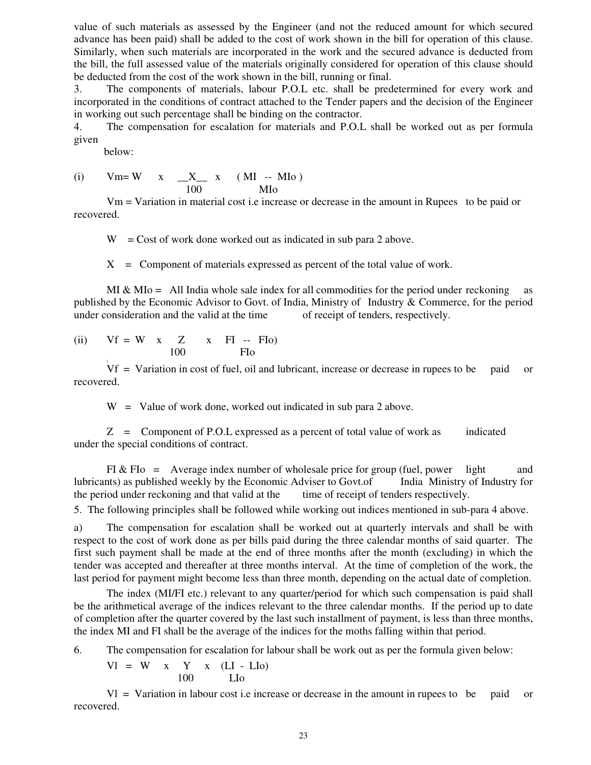value of such materials as assessed by the Engineer (and not the reduced amount for which secured advance has been paid) shall be added to the cost of work shown in the bill for operation of this clause. Similarly, when such materials are incorporated in the work and the secured advance is deducted from the bill, the full assessed value of the materials originally considered for operation of this clause should be deducted from the cost of the work shown in the bill, running or final.

3. The components of materials, labour P.O.L etc. shall be predetermined for every work and incorporated in the conditions of contract attached to the Tender papers and the decision of the Engineer in working out such percentage shall be binding on the contractor.

4. The compensation for escalation for materials and P.O.L shall be worked out as per formula given

below:

[

(i) 
$$
Vm = W
$$
 x  $\underline{X} \underline{X}$  x  $(MI - MIo)$   
100  $MIo$ 

 Vm = Variation in material cost i.e increase or decrease in the amount in Rupees to be paid or recovered.

 $W = \text{Cost of work}$  done worked out as indicated in sub para 2 above.

 $X =$  Component of materials expressed as percent of the total value of work.

MI  $\&$  MI<sub>o</sub> = All India whole sale index for all commodities for the period under reckoning as published by the Economic Advisor to Govt. of India, Ministry of Industry & Commerce, for the period under consideration and the valid at the time of receipt of tenders, respectively.

(ii) 
$$
Vf = W \times Z \times FI - FIo
$$
  
100 FIo

 $Vf = Variation$  in cost of fuel, oil and lubricant, increase or decrease in rupees to be paid or recovered.

 $W =$  Value of work done, worked out indicated in sub para 2 above.

 Z = Component of P.O.L expressed as a percent of total value of work as indicated under the special conditions of contract.

FI & FI $\alpha$  = Average index number of wholesale price for group (fuel, power light and lubricants) as published weekly by the Economic Adviser to Govt.of India Ministry of Industry for the period under reckoning and that valid at the time of receipt of tenders respectively.

5. The following principles shall be followed while working out indices mentioned in sub-para 4 above.

a) The compensation for escalation shall be worked out at quarterly intervals and shall be with respect to the cost of work done as per bills paid during the three calendar months of said quarter. The first such payment shall be made at the end of three months after the month (excluding) in which the tender was accepted and thereafter at three months interval. At the time of completion of the work, the last period for payment might become less than three month, depending on the actual date of completion.

 The index (MI/FI etc.) relevant to any quarter/period for which such compensation is paid shall be the arithmetical average of the indices relevant to the three calendar months. If the period up to date of completion after the quarter covered by the last such installment of payment, is less than three months, the index MI and FI shall be the average of the indices for the moths falling within that period.

6. The compensation for escalation for labour shall be work out as per the formula given below:

$$
VI = W \times Y \times (LI - LIo)
$$
  
100 LIo

 $V = Variation$  in labour cost i.e increase or decrease in the amount in rupees to be paid or recovered.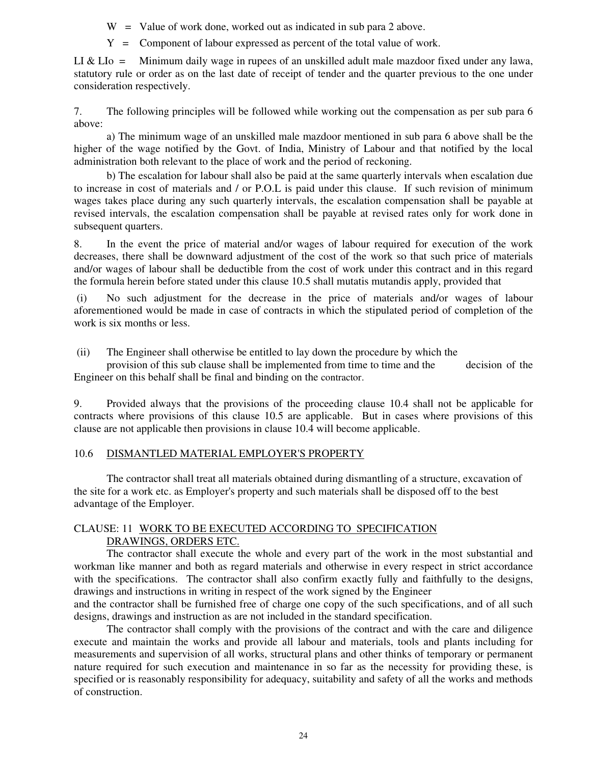$W =$  Value of work done, worked out as indicated in sub para 2 above.

Y = Component of labour expressed as percent of the total value of work.

LI & LIo = Minimum daily wage in rupees of an unskilled adult male mazdoor fixed under any lawa, statutory rule or order as on the last date of receipt of tender and the quarter previous to the one under consideration respectively.

7. The following principles will be followed while working out the compensation as per sub para 6 above:

 a) The minimum wage of an unskilled male mazdoor mentioned in sub para 6 above shall be the higher of the wage notified by the Govt. of India, Ministry of Labour and that notified by the local administration both relevant to the place of work and the period of reckoning.

 b) The escalation for labour shall also be paid at the same quarterly intervals when escalation due to increase in cost of materials and / or P.O.L is paid under this clause. If such revision of minimum wages takes place during any such quarterly intervals, the escalation compensation shall be payable at revised intervals, the escalation compensation shall be payable at revised rates only for work done in subsequent quarters.

8. In the event the price of material and/or wages of labour required for execution of the work decreases, there shall be downward adjustment of the cost of the work so that such price of materials and/or wages of labour shall be deductible from the cost of work under this contract and in this regard the formula herein before stated under this clause 10.5 shall mutatis mutandis apply, provided that

 (i) No such adjustment for the decrease in the price of materials and/or wages of labour aforementioned would be made in case of contracts in which the stipulated period of completion of the work is six months or less.

(ii) The Engineer shall otherwise be entitled to lay down the procedure by which the

 provision of this sub clause shall be implemented from time to time and the decision of the Engineer on this behalf shall be final and binding on the contractor.

9. Provided always that the provisions of the proceeding clause 10.4 shall not be applicable for contracts where provisions of this clause 10.5 are applicable. But in cases where provisions of this clause are not applicable then provisions in clause 10.4 will become applicable.

# 10.6 DISMANTLED MATERIAL EMPLOYER'S PROPERTY

 The contractor shall treat all materials obtained during dismantling of a structure, excavation of the site for a work etc. as Employer's property and such materials shall be disposed off to the best advantage of the Employer.

# CLAUSE: 11 WORK TO BE EXECUTED ACCORDING TO SPECIFICATION DRAWINGS, ORDERS ETC.

 The contractor shall execute the whole and every part of the work in the most substantial and workman like manner and both as regard materials and otherwise in every respect in strict accordance with the specifications. The contractor shall also confirm exactly fully and faithfully to the designs, drawings and instructions in writing in respect of the work signed by the Engineer

and the contractor shall be furnished free of charge one copy of the such specifications, and of all such designs, drawings and instruction as are not included in the standard specification.

 The contractor shall comply with the provisions of the contract and with the care and diligence execute and maintain the works and provide all labour and materials, tools and plants including for measurements and supervision of all works, structural plans and other thinks of temporary or permanent nature required for such execution and maintenance in so far as the necessity for providing these, is specified or is reasonably responsibility for adequacy, suitability and safety of all the works and methods of construction.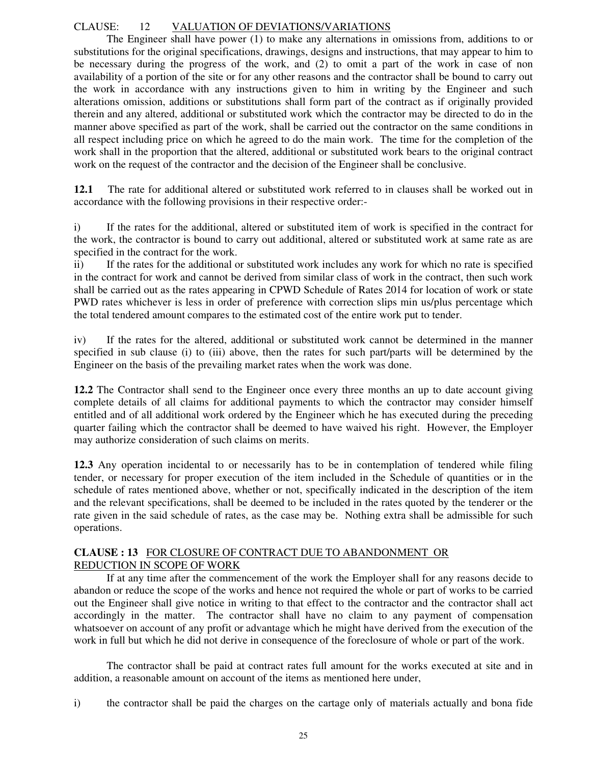# CLAUSE: 12 VALUATION OF DEVIATIONS/VARIATIONS

 The Engineer shall have power (1) to make any alternations in omissions from, additions to or substitutions for the original specifications, drawings, designs and instructions, that may appear to him to be necessary during the progress of the work, and (2) to omit a part of the work in case of non availability of a portion of the site or for any other reasons and the contractor shall be bound to carry out the work in accordance with any instructions given to him in writing by the Engineer and such alterations omission, additions or substitutions shall form part of the contract as if originally provided therein and any altered, additional or substituted work which the contractor may be directed to do in the manner above specified as part of the work, shall be carried out the contractor on the same conditions in all respect including price on which he agreed to do the main work. The time for the completion of the work shall in the proportion that the altered, additional or substituted work bears to the original contract work on the request of the contractor and the decision of the Engineer shall be conclusive.

**12.1** The rate for additional altered or substituted work referred to in clauses shall be worked out in accordance with the following provisions in their respective order:-

i) If the rates for the additional, altered or substituted item of work is specified in the contract for the work, the contractor is bound to carry out additional, altered or substituted work at same rate as are specified in the contract for the work.

ii) If the rates for the additional or substituted work includes any work for which no rate is specified in the contract for work and cannot be derived from similar class of work in the contract, then such work shall be carried out as the rates appearing in CPWD Schedule of Rates 2014 for location of work or state PWD rates whichever is less in order of preference with correction slips min us/plus percentage which the total tendered amount compares to the estimated cost of the entire work put to tender.

iv) If the rates for the altered, additional or substituted work cannot be determined in the manner specified in sub clause (i) to (iii) above, then the rates for such part/parts will be determined by the Engineer on the basis of the prevailing market rates when the work was done.

**12.2** The Contractor shall send to the Engineer once every three months an up to date account giving complete details of all claims for additional payments to which the contractor may consider himself entitled and of all additional work ordered by the Engineer which he has executed during the preceding quarter failing which the contractor shall be deemed to have waived his right. However, the Employer may authorize consideration of such claims on merits.

**12.3** Any operation incidental to or necessarily has to be in contemplation of tendered while filing tender, or necessary for proper execution of the item included in the Schedule of quantities or in the schedule of rates mentioned above, whether or not, specifically indicated in the description of the item and the relevant specifications, shall be deemed to be included in the rates quoted by the tenderer or the rate given in the said schedule of rates, as the case may be. Nothing extra shall be admissible for such operations.

# **CLAUSE : 13** FOR CLOSURE OF CONTRACT DUE TO ABANDONMENT OR REDUCTION IN SCOPE OF WORK

 If at any time after the commencement of the work the Employer shall for any reasons decide to abandon or reduce the scope of the works and hence not required the whole or part of works to be carried out the Engineer shall give notice in writing to that effect to the contractor and the contractor shall act accordingly in the matter. The contractor shall have no claim to any payment of compensation whatsoever on account of any profit or advantage which he might have derived from the execution of the work in full but which he did not derive in consequence of the foreclosure of whole or part of the work.

 The contractor shall be paid at contract rates full amount for the works executed at site and in addition, a reasonable amount on account of the items as mentioned here under,

i) the contractor shall be paid the charges on the cartage only of materials actually and bona fide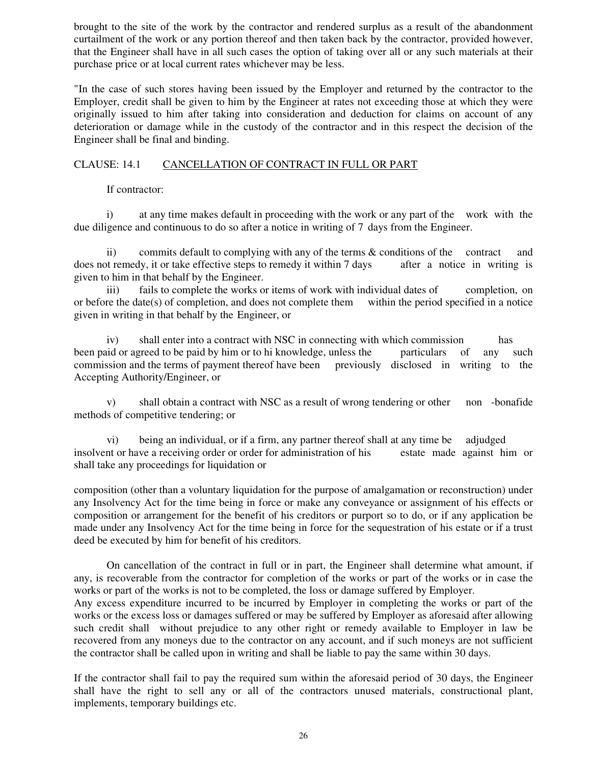brought to the site of the work by the contractor and rendered surplus as a result of the abandonment curtailment of the work or any portion thereof and then taken back by the contractor, provided however, that the Engineer shall have in all such cases the option of taking over all or any such materials at their purchase price or at local current rates whichever may be less.

"In the case of such stores having been issued by the Employer and returned by the contractor to the Employer, credit shall be given to him by the Engineer at rates not exceeding those at which they were originally issued to him after taking into consideration and deduction for claims on account of any deterioration or damage while in the custody of the contractor and in this respect the decision of the Engineer shall be final and binding.

#### CLAUSE: 14.1 CANCELLATION OF CONTRACT IN FULL OR PART

If contractor:

 i) at any time makes default in proceeding with the work or any part of the work with the due diligence and continuous to do so after a notice in writing of 7 days from the Engineer.

 ii) commits default to complying with any of the terms & conditions of the contract and does not remedy, it or take effective steps to remedy it within 7 days after a notice in writing is given to him in that behalf by the Engineer.

 iii) fails to complete the works or items of work with individual dates of completion, on or before the date(s) of completion, and does not complete them within the period specified in a notice given in writing in that behalf by the Engineer, or

 iv) shall enter into a contract with NSC in connecting with which commission has been paid or agreed to be paid by him or to hi knowledge, unless the particulars of any such commission and the terms of payment thereof have been previously disclosed in writing to the Accepting Authority/Engineer, or

 v) shall obtain a contract with NSC as a result of wrong tendering or other non -bonafide methods of competitive tendering; or

 vi) being an individual, or if a firm, any partner thereof shall at any time be adjudged insolvent or have a receiving order or order for administration of his estate made against him or shall take any proceedings for liquidation or

composition (other than a voluntary liquidation for the purpose of amalgamation or reconstruction) under any Insolvency Act for the time being in force or make any conveyance or assignment of his effects or composition or arrangement for the benefit of his creditors or purport so to do, or if any application be made under any Insolvency Act for the time being in force for the sequestration of his estate or if a trust deed be executed by him for benefit of his creditors.

 On cancellation of the contract in full or in part, the Engineer shall determine what amount, if any, is recoverable from the contractor for completion of the works or part of the works or in case the works or part of the works is not to be completed, the loss or damage suffered by Employer.

Any excess expenditure incurred to be incurred by Employer in completing the works or part of the works or the excess loss or damages suffered or may be suffered by Employer as aforesaid after allowing such credit shall without prejudice to any other right or remedy available to Employer in law be recovered from any moneys due to the contractor on any account, and if such moneys are not sufficient the contractor shall be called upon in writing and shall be liable to pay the same within 30 days.

If the contractor shall fail to pay the required sum within the aforesaid period of 30 days, the Engineer shall have the right to sell any or all of the contractors unused materials, constructional plant, implements, temporary buildings etc.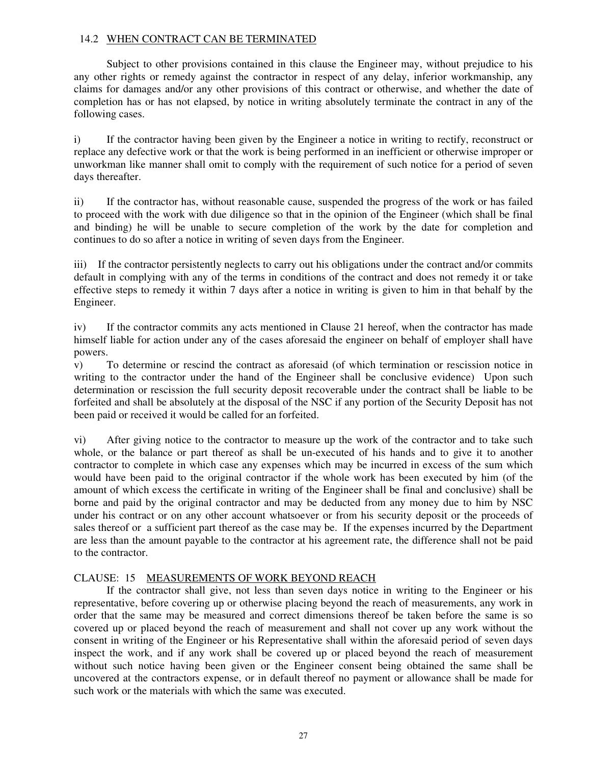#### 14.2 WHEN CONTRACT CAN BE TERMINATED

 Subject to other provisions contained in this clause the Engineer may, without prejudice to his any other rights or remedy against the contractor in respect of any delay, inferior workmanship, any claims for damages and/or any other provisions of this contract or otherwise, and whether the date of completion has or has not elapsed, by notice in writing absolutely terminate the contract in any of the following cases.

i) If the contractor having been given by the Engineer a notice in writing to rectify, reconstruct or replace any defective work or that the work is being performed in an inefficient or otherwise improper or unworkman like manner shall omit to comply with the requirement of such notice for a period of seven days thereafter.

ii) If the contractor has, without reasonable cause, suspended the progress of the work or has failed to proceed with the work with due diligence so that in the opinion of the Engineer (which shall be final and binding) he will be unable to secure completion of the work by the date for completion and continues to do so after a notice in writing of seven days from the Engineer.

iii) If the contractor persistently neglects to carry out his obligations under the contract and/or commits default in complying with any of the terms in conditions of the contract and does not remedy it or take effective steps to remedy it within 7 days after a notice in writing is given to him in that behalf by the Engineer.

iv) If the contractor commits any acts mentioned in Clause 21 hereof, when the contractor has made himself liable for action under any of the cases aforesaid the engineer on behalf of employer shall have powers.

v) To determine or rescind the contract as aforesaid (of which termination or rescission notice in writing to the contractor under the hand of the Engineer shall be conclusive evidence) Upon such determination or rescission the full security deposit recoverable under the contract shall be liable to be forfeited and shall be absolutely at the disposal of the NSC if any portion of the Security Deposit has not been paid or received it would be called for an forfeited.

vi) After giving notice to the contractor to measure up the work of the contractor and to take such whole, or the balance or part thereof as shall be un-executed of his hands and to give it to another contractor to complete in which case any expenses which may be incurred in excess of the sum which would have been paid to the original contractor if the whole work has been executed by him (of the amount of which excess the certificate in writing of the Engineer shall be final and conclusive) shall be borne and paid by the original contractor and may be deducted from any money due to him by NSC under his contract or on any other account whatsoever or from his security deposit or the proceeds of sales thereof or a sufficient part thereof as the case may be. If the expenses incurred by the Department are less than the amount payable to the contractor at his agreement rate, the difference shall not be paid to the contractor.

# CLAUSE: 15 MEASUREMENTS OF WORK BEYOND REACH

 If the contractor shall give, not less than seven days notice in writing to the Engineer or his representative, before covering up or otherwise placing beyond the reach of measurements, any work in order that the same may be measured and correct dimensions thereof be taken before the same is so covered up or placed beyond the reach of measurement and shall not cover up any work without the consent in writing of the Engineer or his Representative shall within the aforesaid period of seven days inspect the work, and if any work shall be covered up or placed beyond the reach of measurement without such notice having been given or the Engineer consent being obtained the same shall be uncovered at the contractors expense, or in default thereof no payment or allowance shall be made for such work or the materials with which the same was executed.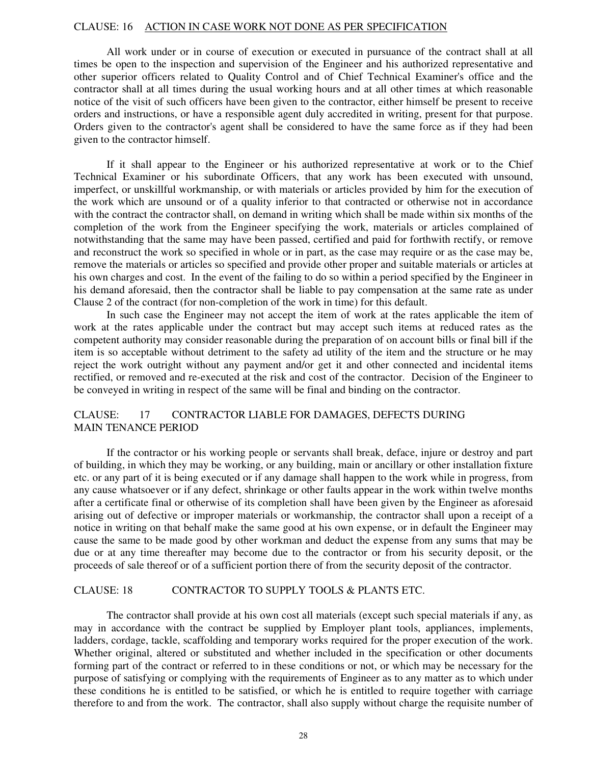#### CLAUSE: 16 ACTION IN CASE WORK NOT DONE AS PER SPECIFICATION

 All work under or in course of execution or executed in pursuance of the contract shall at all times be open to the inspection and supervision of the Engineer and his authorized representative and other superior officers related to Quality Control and of Chief Technical Examiner's office and the contractor shall at all times during the usual working hours and at all other times at which reasonable notice of the visit of such officers have been given to the contractor, either himself be present to receive orders and instructions, or have a responsible agent duly accredited in writing, present for that purpose. Orders given to the contractor's agent shall be considered to have the same force as if they had been given to the contractor himself.

 If it shall appear to the Engineer or his authorized representative at work or to the Chief Technical Examiner or his subordinate Officers, that any work has been executed with unsound, imperfect, or unskillful workmanship, or with materials or articles provided by him for the execution of the work which are unsound or of a quality inferior to that contracted or otherwise not in accordance with the contract the contractor shall, on demand in writing which shall be made within six months of the completion of the work from the Engineer specifying the work, materials or articles complained of notwithstanding that the same may have been passed, certified and paid for forthwith rectify, or remove and reconstruct the work so specified in whole or in part, as the case may require or as the case may be, remove the materials or articles so specified and provide other proper and suitable materials or articles at his own charges and cost. In the event of the failing to do so within a period specified by the Engineer in his demand aforesaid, then the contractor shall be liable to pay compensation at the same rate as under Clause 2 of the contract (for non-completion of the work in time) for this default.

 In such case the Engineer may not accept the item of work at the rates applicable the item of work at the rates applicable under the contract but may accept such items at reduced rates as the competent authority may consider reasonable during the preparation of on account bills or final bill if the item is so acceptable without detriment to the safety ad utility of the item and the structure or he may reject the work outright without any payment and/or get it and other connected and incidental items rectified, or removed and re-executed at the risk and cost of the contractor. Decision of the Engineer to be conveyed in writing in respect of the same will be final and binding on the contractor.

#### CLAUSE: 17 CONTRACTOR LIABLE FOR DAMAGES, DEFECTS DURING MAIN TENANCE PERIOD

 If the contractor or his working people or servants shall break, deface, injure or destroy and part of building, in which they may be working, or any building, main or ancillary or other installation fixture etc. or any part of it is being executed or if any damage shall happen to the work while in progress, from any cause whatsoever or if any defect, shrinkage or other faults appear in the work within twelve months after a certificate final or otherwise of its completion shall have been given by the Engineer as aforesaid arising out of defective or improper materials or workmanship, the contractor shall upon a receipt of a notice in writing on that behalf make the same good at his own expense, or in default the Engineer may cause the same to be made good by other workman and deduct the expense from any sums that may be due or at any time thereafter may become due to the contractor or from his security deposit, or the proceeds of sale thereof or of a sufficient portion there of from the security deposit of the contractor.

#### CLAUSE: 18 CONTRACTOR TO SUPPLY TOOLS & PLANTS ETC.

 The contractor shall provide at his own cost all materials (except such special materials if any, as may in accordance with the contract be supplied by Employer plant tools, appliances, implements, ladders, cordage, tackle, scaffolding and temporary works required for the proper execution of the work. Whether original, altered or substituted and whether included in the specification or other documents forming part of the contract or referred to in these conditions or not, or which may be necessary for the purpose of satisfying or complying with the requirements of Engineer as to any matter as to which under these conditions he is entitled to be satisfied, or which he is entitled to require together with carriage therefore to and from the work. The contractor, shall also supply without charge the requisite number of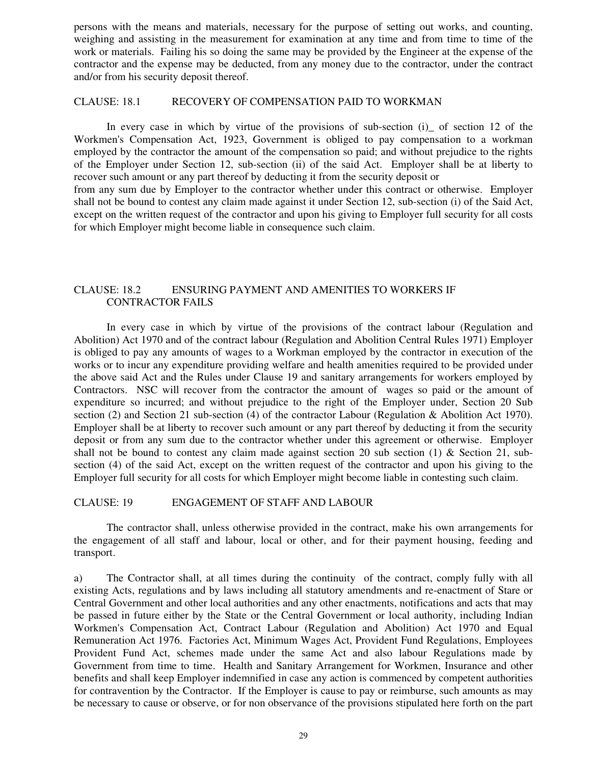persons with the means and materials, necessary for the purpose of setting out works, and counting, weighing and assisting in the measurement for examination at any time and from time to time of the work or materials. Failing his so doing the same may be provided by the Engineer at the expense of the contractor and the expense may be deducted, from any money due to the contractor, under the contract and/or from his security deposit thereof.

#### CLAUSE: 18.1 RECOVERY OF COMPENSATION PAID TO WORKMAN

In every case in which by virtue of the provisions of sub-section (i) of section 12 of the Workmen's Compensation Act, 1923, Government is obliged to pay compensation to a workman employed by the contractor the amount of the compensation so paid; and without prejudice to the rights of the Employer under Section 12, sub-section (ii) of the said Act. Employer shall be at liberty to recover such amount or any part thereof by deducting it from the security deposit or from any sum due by Employer to the contractor whether under this contract or otherwise. Employer

shall not be bound to contest any claim made against it under Section 12, sub-section (i) of the Said Act, except on the written request of the contractor and upon his giving to Employer full security for all costs for which Employer might become liable in consequence such claim.

# CLAUSE: 18.2 ENSURING PAYMENT AND AMENITIES TO WORKERS IF CONTRACTOR FAILS

 In every case in which by virtue of the provisions of the contract labour (Regulation and Abolition) Act 1970 and of the contract labour (Regulation and Abolition Central Rules 1971) Employer is obliged to pay any amounts of wages to a Workman employed by the contractor in execution of the works or to incur any expenditure providing welfare and health amenities required to be provided under the above said Act and the Rules under Clause 19 and sanitary arrangements for workers employed by Contractors. NSC will recover from the contractor the amount of wages so paid or the amount of expenditure so incurred; and without prejudice to the right of the Employer under, Section 20 Sub section (2) and Section 21 sub-section (4) of the contractor Labour (Regulation & Abolition Act 1970). Employer shall be at liberty to recover such amount or any part thereof by deducting it from the security deposit or from any sum due to the contractor whether under this agreement or otherwise. Employer shall not be bound to contest any claim made against section 20 sub section  $(1)$  & Section 21, subsection (4) of the said Act, except on the written request of the contractor and upon his giving to the Employer full security for all costs for which Employer might become liable in contesting such claim.

#### CLAUSE: 19 ENGAGEMENT OF STAFF AND LABOUR

 The contractor shall, unless otherwise provided in the contract, make his own arrangements for the engagement of all staff and labour, local or other, and for their payment housing, feeding and transport.

a) The Contractor shall, at all times during the continuity of the contract, comply fully with all existing Acts, regulations and by laws including all statutory amendments and re-enactment of Stare or Central Government and other local authorities and any other enactments, notifications and acts that may be passed in future either by the State or the Central Government or local authority, including Indian Workmen's Compensation Act, Contract Labour (Regulation and Abolition) Act 1970 and Equal Remuneration Act 1976. Factories Act, Minimum Wages Act, Provident Fund Regulations, Employees Provident Fund Act, schemes made under the same Act and also labour Regulations made by Government from time to time. Health and Sanitary Arrangement for Workmen, Insurance and other benefits and shall keep Employer indemnified in case any action is commenced by competent authorities for contravention by the Contractor. If the Employer is cause to pay or reimburse, such amounts as may be necessary to cause or observe, or for non observance of the provisions stipulated here forth on the part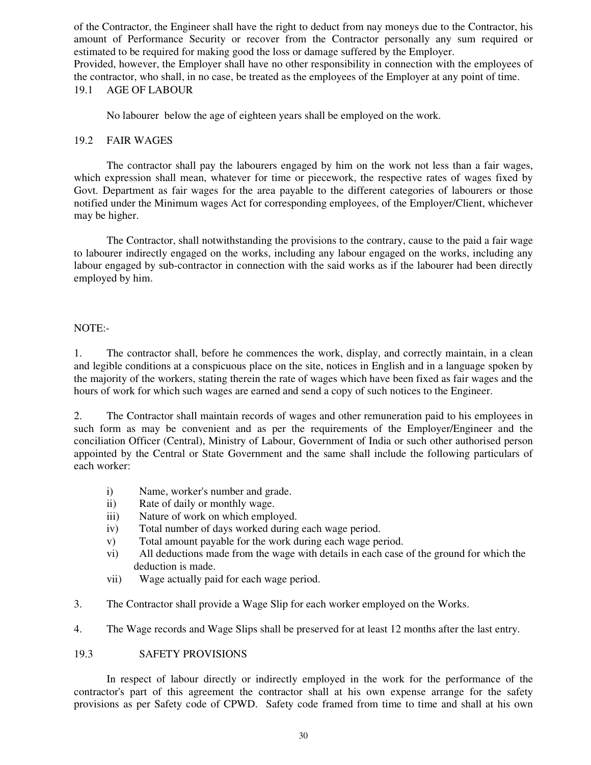of the Contractor, the Engineer shall have the right to deduct from nay moneys due to the Contractor, his amount of Performance Security or recover from the Contractor personally any sum required or estimated to be required for making good the loss or damage suffered by the Employer. Provided, however, the Employer shall have no other responsibility in connection with the employees of the contractor, who shall, in no case, be treated as the employees of the Employer at any point of time. 19.1 AGE OF LABOUR

No labourer below the age of eighteen years shall be employed on the work.

# 19.2 FAIR WAGES

 The contractor shall pay the labourers engaged by him on the work not less than a fair wages, which expression shall mean, whatever for time or piecework, the respective rates of wages fixed by Govt. Department as fair wages for the area payable to the different categories of labourers or those notified under the Minimum wages Act for corresponding employees, of the Employer/Client, whichever may be higher.

 The Contractor, shall notwithstanding the provisions to the contrary, cause to the paid a fair wage to labourer indirectly engaged on the works, including any labour engaged on the works, including any labour engaged by sub-contractor in connection with the said works as if the labourer had been directly employed by him.

# NOTE:-

1. The contractor shall, before he commences the work, display, and correctly maintain, in a clean and legible conditions at a conspicuous place on the site, notices in English and in a language spoken by the majority of the workers, stating therein the rate of wages which have been fixed as fair wages and the hours of work for which such wages are earned and send a copy of such notices to the Engineer.

2. The Contractor shall maintain records of wages and other remuneration paid to his employees in such form as may be convenient and as per the requirements of the Employer/Engineer and the conciliation Officer (Central), Ministry of Labour, Government of India or such other authorised person appointed by the Central or State Government and the same shall include the following particulars of each worker:

- i) Name, worker's number and grade.
- ii) Rate of daily or monthly wage.
- iii) Nature of work on which employed.
- iv) Total number of days worked during each wage period.
- v) Total amount payable for the work during each wage period.
- vi) All deductions made from the wage with details in each case of the ground for which the deduction is made.
- vii) Wage actually paid for each wage period.
- 3. The Contractor shall provide a Wage Slip for each worker employed on the Works.
- 4. The Wage records and Wage Slips shall be preserved for at least 12 months after the last entry.

# 19.3 SAFETY PROVISIONS

 In respect of labour directly or indirectly employed in the work for the performance of the contractor's part of this agreement the contractor shall at his own expense arrange for the safety provisions as per Safety code of CPWD. Safety code framed from time to time and shall at his own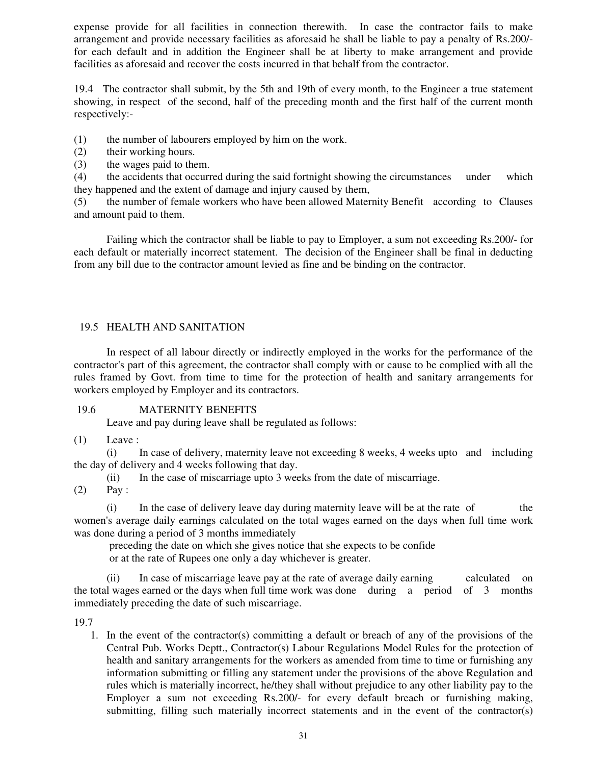expense provide for all facilities in connection therewith. In case the contractor fails to make arrangement and provide necessary facilities as aforesaid he shall be liable to pay a penalty of Rs.200/ for each default and in addition the Engineer shall be at liberty to make arrangement and provide facilities as aforesaid and recover the costs incurred in that behalf from the contractor.

19.4 The contractor shall submit, by the 5th and 19th of every month, to the Engineer a true statement showing, in respect of the second, half of the preceding month and the first half of the current month respectively:-

(1) the number of labourers employed by him on the work.

- (2) their working hours.
- (3) the wages paid to them.

(4) the accidents that occurred during the said fortnight showing the circumstances under which they happened and the extent of damage and injury caused by them,

(5) the number of female workers who have been allowed Maternity Benefit according to Clauses and amount paid to them.

 Failing which the contractor shall be liable to pay to Employer, a sum not exceeding Rs.200/- for each default or materially incorrect statement. The decision of the Engineer shall be final in deducting from any bill due to the contractor amount levied as fine and be binding on the contractor.

#### 19.5 HEALTH AND SANITATION

 In respect of all labour directly or indirectly employed in the works for the performance of the contractor's part of this agreement, the contractor shall comply with or cause to be complied with all the rules framed by Govt. from time to time for the protection of health and sanitary arrangements for workers employed by Employer and its contractors.

## 19.6 MATERNITY BENEFITS

Leave and pay during leave shall be regulated as follows:

(1) Leave :

 (i) In case of delivery, maternity leave not exceeding 8 weeks, 4 weeks upto and including the day of delivery and 4 weeks following that day.

(ii) In the case of miscarriage upto 3 weeks from the date of miscarriage.

 $(2)$  Pay:

 (i) In the case of delivery leave day during maternity leave will be at the rate of the women's average daily earnings calculated on the total wages earned on the days when full time work was done during a period of 3 months immediately

preceding the date on which she gives notice that she expects to be confide

or at the rate of Rupees one only a day whichever is greater.

 (ii) In case of miscarriage leave pay at the rate of average daily earning calculated on the total wages earned or the days when full time work was done during a period of 3 months immediately preceding the date of such miscarriage.

19.7

1. In the event of the contractor(s) committing a default or breach of any of the provisions of the Central Pub. Works Deptt., Contractor(s) Labour Regulations Model Rules for the protection of health and sanitary arrangements for the workers as amended from time to time or furnishing any information submitting or filling any statement under the provisions of the above Regulation and rules which is materially incorrect, he/they shall without prejudice to any other liability pay to the Employer a sum not exceeding Rs.200/- for every default breach or furnishing making, submitting, filling such materially incorrect statements and in the event of the contractor(s)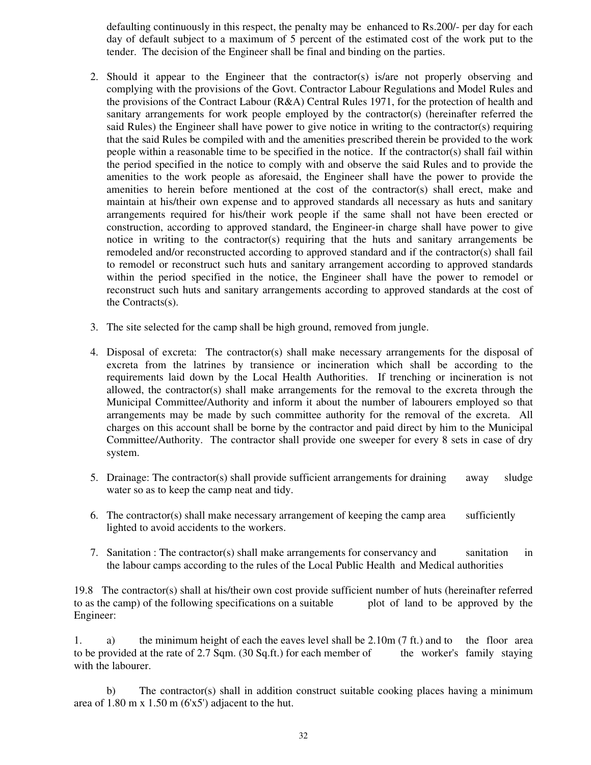defaulting continuously in this respect, the penalty may be enhanced to Rs.200/- per day for each day of default subject to a maximum of 5 percent of the estimated cost of the work put to the tender. The decision of the Engineer shall be final and binding on the parties.

- 2. Should it appear to the Engineer that the contractor(s) is/are not properly observing and complying with the provisions of the Govt. Contractor Labour Regulations and Model Rules and the provisions of the Contract Labour (R&A) Central Rules 1971, for the protection of health and sanitary arrangements for work people employed by the contractor(s) (hereinafter referred the said Rules) the Engineer shall have power to give notice in writing to the contractor(s) requiring that the said Rules be compiled with and the amenities prescribed therein be provided to the work people within a reasonable time to be specified in the notice. If the contractor(s) shall fail within the period specified in the notice to comply with and observe the said Rules and to provide the amenities to the work people as aforesaid, the Engineer shall have the power to provide the amenities to herein before mentioned at the cost of the contractor(s) shall erect, make and maintain at his/their own expense and to approved standards all necessary as huts and sanitary arrangements required for his/their work people if the same shall not have been erected or construction, according to approved standard, the Engineer-in charge shall have power to give notice in writing to the contractor(s) requiring that the huts and sanitary arrangements be remodeled and/or reconstructed according to approved standard and if the contractor(s) shall fail to remodel or reconstruct such huts and sanitary arrangement according to approved standards within the period specified in the notice, the Engineer shall have the power to remodel or reconstruct such huts and sanitary arrangements according to approved standards at the cost of the Contracts(s).
- 3. The site selected for the camp shall be high ground, removed from jungle.
- 4. Disposal of excreta: The contractor(s) shall make necessary arrangements for the disposal of excreta from the latrines by transience or incineration which shall be according to the requirements laid down by the Local Health Authorities. If trenching or incineration is not allowed, the contractor(s) shall make arrangements for the removal to the excreta through the Municipal Committee/Authority and inform it about the number of labourers employed so that arrangements may be made by such committee authority for the removal of the excreta. All charges on this account shall be borne by the contractor and paid direct by him to the Municipal Committee/Authority. The contractor shall provide one sweeper for every 8 sets in case of dry system.
- 5. Drainage: The contractor(s) shall provide sufficient arrangements for draining away sludge water so as to keep the camp neat and tidy.
- 6. The contractor(s) shall make necessary arrangement of keeping the camp area sufficiently lighted to avoid accidents to the workers.
- 7. Sanitation : The contractor(s) shall make arrangements for conservancy and sanitation in the labour camps according to the rules of the Local Public Health and Medical authorities

19.8 The contractor(s) shall at his/their own cost provide sufficient number of huts (hereinafter referred to as the camp) of the following specifications on a suitable plot of land to be approved by the Engineer:

1. a) the minimum height of each the eaves level shall be 2.10m (7 ft.) and to the floor area to be provided at the rate of 2.7 Sqm. (30 Sq.ft.) for each member of the worker's family staying with the labourer.

 b) The contractor(s) shall in addition construct suitable cooking places having a minimum area of  $1.80 \text{ m} \times 1.50 \text{ m}$  (6'x5') adjacent to the hut.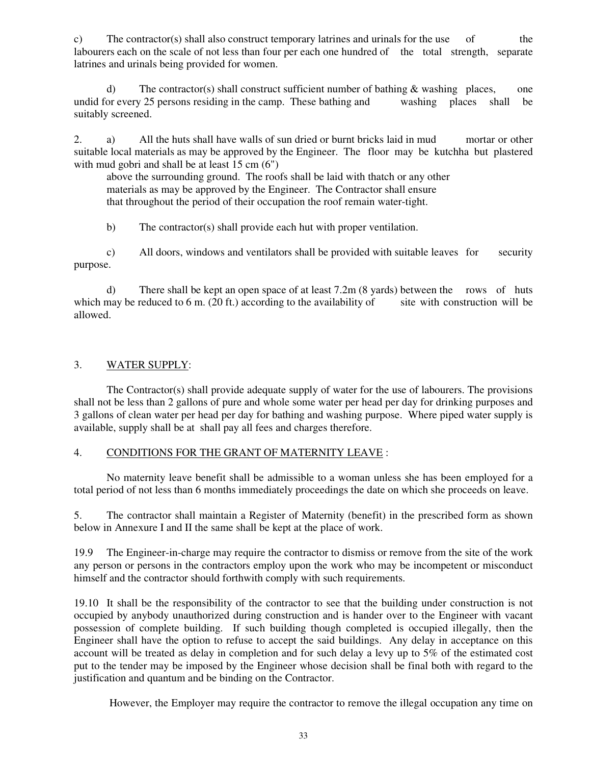c) The contractor(s) shall also construct temporary latrines and urinals for the use of the labourers each on the scale of not less than four per each one hundred of the total strength, separate latrines and urinals being provided for women.

 d) The contractor(s) shall construct sufficient number of bathing & washing places, one undid for every 25 persons residing in the camp. These bathing and washing places shall be suitably screened.

2. a) All the huts shall have walls of sun dried or burnt bricks laid in mud mortar or other suitable local materials as may be approved by the Engineer. The floor may be kutchha but plastered with mud gobri and shall be at least 15 cm  $(6")$ 

 above the surrounding ground. The roofs shall be laid with thatch or any other materials as may be approved by the Engineer. The Contractor shall ensure that throughout the period of their occupation the roof remain water-tight.

b) The contractor(s) shall provide each hut with proper ventilation.

 c) All doors, windows and ventilators shall be provided with suitable leaves for security purpose.

 d) There shall be kept an open space of at least 7.2m (8 yards) between the rows of huts which may be reduced to  $6$  m. (20 ft.) according to the availability of site with construction will be allowed.

# 3. WATER SUPPLY:

 The Contractor(s) shall provide adequate supply of water for the use of labourers. The provisions shall not be less than 2 gallons of pure and whole some water per head per day for drinking purposes and 3 gallons of clean water per head per day for bathing and washing purpose. Where piped water supply is available, supply shall be at shall pay all fees and charges therefore.

#### 4. CONDITIONS FOR THE GRANT OF MATERNITY LEAVE :

 No maternity leave benefit shall be admissible to a woman unless she has been employed for a total period of not less than 6 months immediately proceedings the date on which she proceeds on leave.

5. The contractor shall maintain a Register of Maternity (benefit) in the prescribed form as shown below in Annexure I and II the same shall be kept at the place of work.

19.9 The Engineer-in-charge may require the contractor to dismiss or remove from the site of the work any person or persons in the contractors employ upon the work who may be incompetent or misconduct himself and the contractor should forthwith comply with such requirements.

19.10 It shall be the responsibility of the contractor to see that the building under construction is not occupied by anybody unauthorized during construction and is hander over to the Engineer with vacant possession of complete building. If such building though completed is occupied illegally, then the Engineer shall have the option to refuse to accept the said buildings. Any delay in acceptance on this account will be treated as delay in completion and for such delay a levy up to 5% of the estimated cost put to the tender may be imposed by the Engineer whose decision shall be final both with regard to the justification and quantum and be binding on the Contractor.

However, the Employer may require the contractor to remove the illegal occupation any time on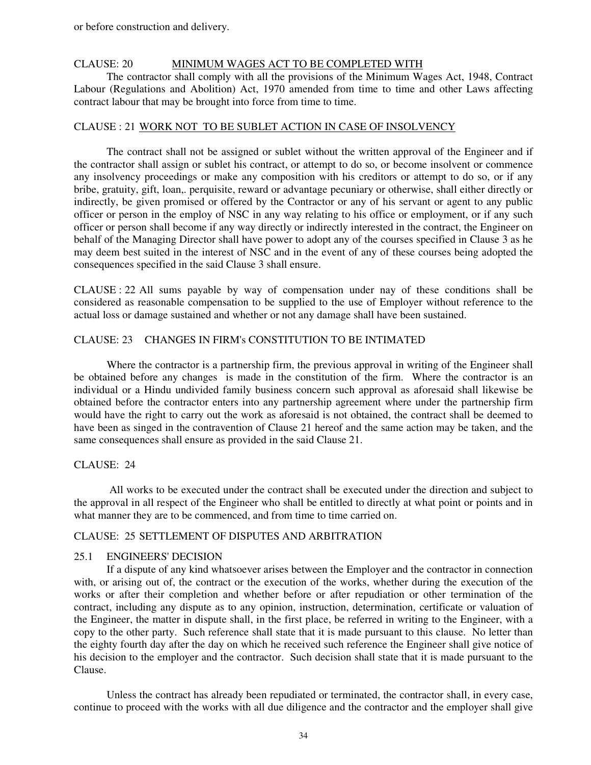or before construction and delivery.

# CLAUSE: 20 MINIMUM WAGES ACT TO BE COMPLETED WITH

 The contractor shall comply with all the provisions of the Minimum Wages Act, 1948, Contract Labour (Regulations and Abolition) Act, 1970 amended from time to time and other Laws affecting contract labour that may be brought into force from time to time.

#### CLAUSE : 21 WORK NOT TO BE SUBLET ACTION IN CASE OF INSOLVENCY

 The contract shall not be assigned or sublet without the written approval of the Engineer and if the contractor shall assign or sublet his contract, or attempt to do so, or become insolvent or commence any insolvency proceedings or make any composition with his creditors or attempt to do so, or if any bribe, gratuity, gift, loan,. perquisite, reward or advantage pecuniary or otherwise, shall either directly or indirectly, be given promised or offered by the Contractor or any of his servant or agent to any public officer or person in the employ of NSC in any way relating to his office or employment, or if any such officer or person shall become if any way directly or indirectly interested in the contract, the Engineer on behalf of the Managing Director shall have power to adopt any of the courses specified in Clause 3 as he may deem best suited in the interest of NSC and in the event of any of these courses being adopted the consequences specified in the said Clause 3 shall ensure.

CLAUSE : 22 All sums payable by way of compensation under nay of these conditions shall be considered as reasonable compensation to be supplied to the use of Employer without reference to the actual loss or damage sustained and whether or not any damage shall have been sustained.

# CLAUSE: 23 CHANGES IN FIRM's CONSTITUTION TO BE INTIMATED

 Where the contractor is a partnership firm, the previous approval in writing of the Engineer shall be obtained before any changes is made in the constitution of the firm. Where the contractor is an individual or a Hindu undivided family business concern such approval as aforesaid shall likewise be obtained before the contractor enters into any partnership agreement where under the partnership firm would have the right to carry out the work as aforesaid is not obtained, the contract shall be deemed to have been as singed in the contravention of Clause 21 hereof and the same action may be taken, and the same consequences shall ensure as provided in the said Clause 21.

#### CLAUSE: 24

 All works to be executed under the contract shall be executed under the direction and subject to the approval in all respect of the Engineer who shall be entitled to directly at what point or points and in what manner they are to be commenced, and from time to time carried on.

#### CLAUSE: 25 SETTLEMENT OF DISPUTES AND ARBITRATION

#### 25.1 ENGINEERS' DECISION

 If a dispute of any kind whatsoever arises between the Employer and the contractor in connection with, or arising out of, the contract or the execution of the works, whether during the execution of the works or after their completion and whether before or after repudiation or other termination of the contract, including any dispute as to any opinion, instruction, determination, certificate or valuation of the Engineer, the matter in dispute shall, in the first place, be referred in writing to the Engineer, with a copy to the other party. Such reference shall state that it is made pursuant to this clause. No letter than the eighty fourth day after the day on which he received such reference the Engineer shall give notice of his decision to the employer and the contractor. Such decision shall state that it is made pursuant to the Clause.

 Unless the contract has already been repudiated or terminated, the contractor shall, in every case, continue to proceed with the works with all due diligence and the contractor and the employer shall give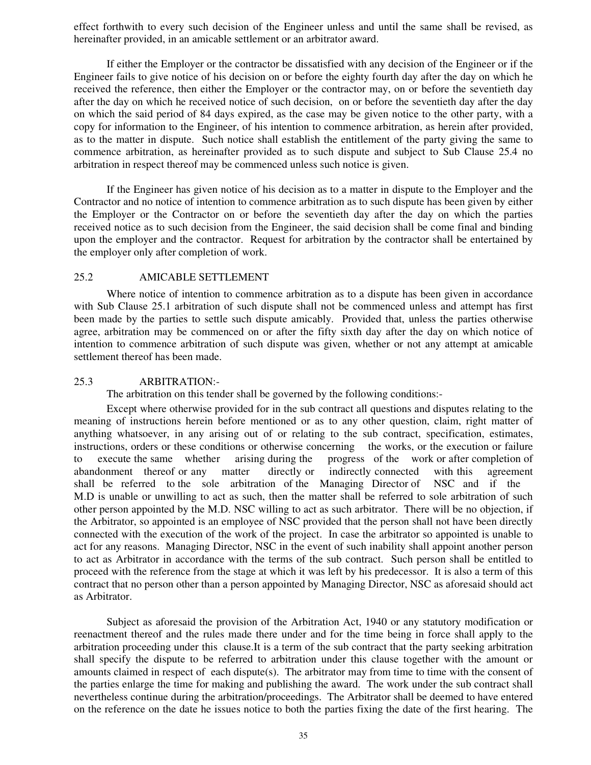effect forthwith to every such decision of the Engineer unless and until the same shall be revised, as hereinafter provided, in an amicable settlement or an arbitrator award.

 If either the Employer or the contractor be dissatisfied with any decision of the Engineer or if the Engineer fails to give notice of his decision on or before the eighty fourth day after the day on which he received the reference, then either the Employer or the contractor may, on or before the seventieth day after the day on which he received notice of such decision, on or before the seventieth day after the day on which the said period of 84 days expired, as the case may be given notice to the other party, with a copy for information to the Engineer, of his intention to commence arbitration, as herein after provided, as to the matter in dispute. Such notice shall establish the entitlement of the party giving the same to commence arbitration, as hereinafter provided as to such dispute and subject to Sub Clause 25.4 no arbitration in respect thereof may be commenced unless such notice is given.

 If the Engineer has given notice of his decision as to a matter in dispute to the Employer and the Contractor and no notice of intention to commence arbitration as to such dispute has been given by either the Employer or the Contractor on or before the seventieth day after the day on which the parties received notice as to such decision from the Engineer, the said decision shall be come final and binding upon the employer and the contractor. Request for arbitration by the contractor shall be entertained by the employer only after completion of work.

#### 25.2 AMICABLE SETTLEMENT

 Where notice of intention to commence arbitration as to a dispute has been given in accordance with Sub Clause 25.1 arbitration of such dispute shall not be commenced unless and attempt has first been made by the parties to settle such dispute amicably. Provided that, unless the parties otherwise agree, arbitration may be commenced on or after the fifty sixth day after the day on which notice of intention to commence arbitration of such dispute was given, whether or not any attempt at amicable settlement thereof has been made.

#### 25.3 ARBITRATION:-

The arbitration on this tender shall be governed by the following conditions:-

 Except where otherwise provided for in the sub contract all questions and disputes relating to the meaning of instructions herein before mentioned or as to any other question, claim, right matter of anything whatsoever, in any arising out of or relating to the sub contract, specification, estimates, instructions, orders or these conditions or otherwise concerning the works, or the execution or failure to execute the same whether arising during the progress of the work or after completion of abandonment thereof or any matter directly or indirectly connected with this agreement shall be referred to the sole arbitration of the Managing Director of NSC and if the M.D is unable or unwilling to act as such, then the matter shall be referred to sole arbitration of such other person appointed by the M.D. NSC willing to act as such arbitrator. There will be no objection, if the Arbitrator, so appointed is an employee of NSC provided that the person shall not have been directly connected with the execution of the work of the project. In case the arbitrator so appointed is unable to act for any reasons. Managing Director, NSC in the event of such inability shall appoint another person to act as Arbitrator in accordance with the terms of the sub contract. Such person shall be entitled to proceed with the reference from the stage at which it was left by his predecessor. It is also a term of this contract that no person other than a person appointed by Managing Director, NSC as aforesaid should act as Arbitrator.

 Subject as aforesaid the provision of the Arbitration Act, 1940 or any statutory modification or reenactment thereof and the rules made there under and for the time being in force shall apply to the arbitration proceeding under this clause.It is a term of the sub contract that the party seeking arbitration shall specify the dispute to be referred to arbitration under this clause together with the amount or amounts claimed in respect of each dispute(s). The arbitrator may from time to time with the consent of the parties enlarge the time for making and publishing the award. The work under the sub contract shall nevertheless continue during the arbitration/proceedings. The Arbitrator shall be deemed to have entered on the reference on the date he issues notice to both the parties fixing the date of the first hearing. The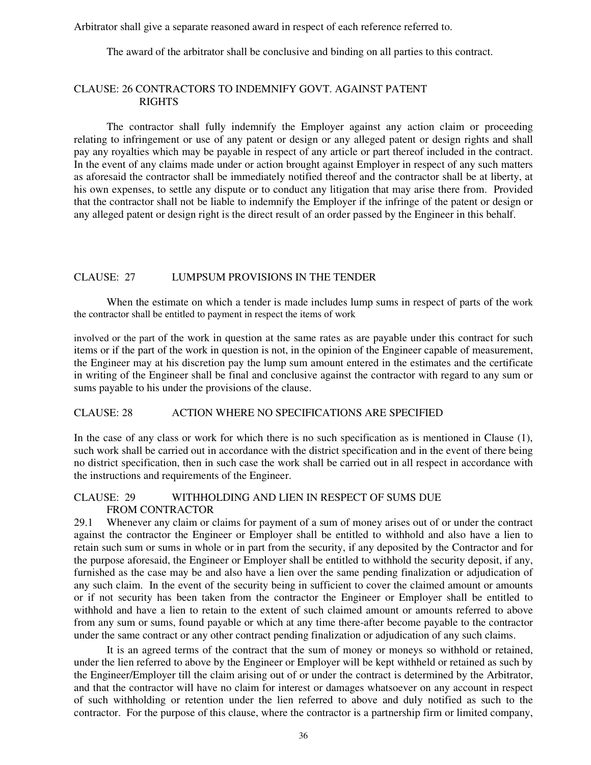Arbitrator shall give a separate reasoned award in respect of each reference referred to.

The award of the arbitrator shall be conclusive and binding on all parties to this contract.

# CLAUSE: 26 CONTRACTORS TO INDEMNIFY GOVT. AGAINST PATENT RIGHTS

 The contractor shall fully indemnify the Employer against any action claim or proceeding relating to infringement or use of any patent or design or any alleged patent or design rights and shall pay any royalties which may be payable in respect of any article or part thereof included in the contract. In the event of any claims made under or action brought against Employer in respect of any such matters as aforesaid the contractor shall be immediately notified thereof and the contractor shall be at liberty, at his own expenses, to settle any dispute or to conduct any litigation that may arise there from. Provided that the contractor shall not be liable to indemnify the Employer if the infringe of the patent or design or any alleged patent or design right is the direct result of an order passed by the Engineer in this behalf.

# CLAUSE: 27 LUMPSUM PROVISIONS IN THE TENDER

 When the estimate on which a tender is made includes lump sums in respect of parts of the work the contractor shall be entitled to payment in respect the items of work

involved or the part of the work in question at the same rates as are payable under this contract for such items or if the part of the work in question is not, in the opinion of the Engineer capable of measurement, the Engineer may at his discretion pay the lump sum amount entered in the estimates and the certificate in writing of the Engineer shall be final and conclusive against the contractor with regard to any sum or sums payable to his under the provisions of the clause.

# CLAUSE: 28 ACTION WHERE NO SPECIFICATIONS ARE SPECIFIED

In the case of any class or work for which there is no such specification as is mentioned in Clause (1), such work shall be carried out in accordance with the district specification and in the event of there being no district specification, then in such case the work shall be carried out in all respect in accordance with the instructions and requirements of the Engineer.

# CLAUSE: 29 WITHHOLDING AND LIEN IN RESPECT OF SUMS DUE FROM CONTRACTOR

29.1 Whenever any claim or claims for payment of a sum of money arises out of or under the contract against the contractor the Engineer or Employer shall be entitled to withhold and also have a lien to retain such sum or sums in whole or in part from the security, if any deposited by the Contractor and for the purpose aforesaid, the Engineer or Employer shall be entitled to withhold the security deposit, if any, furnished as the case may be and also have a lien over the same pending finalization or adjudication of any such claim. In the event of the security being in sufficient to cover the claimed amount or amounts or if not security has been taken from the contractor the Engineer or Employer shall be entitled to withhold and have a lien to retain to the extent of such claimed amount or amounts referred to above from any sum or sums, found payable or which at any time there-after become payable to the contractor under the same contract or any other contract pending finalization or adjudication of any such claims.

 It is an agreed terms of the contract that the sum of money or moneys so withhold or retained, under the lien referred to above by the Engineer or Employer will be kept withheld or retained as such by the Engineer/Employer till the claim arising out of or under the contract is determined by the Arbitrator, and that the contractor will have no claim for interest or damages whatsoever on any account in respect of such withholding or retention under the lien referred to above and duly notified as such to the contractor. For the purpose of this clause, where the contractor is a partnership firm or limited company,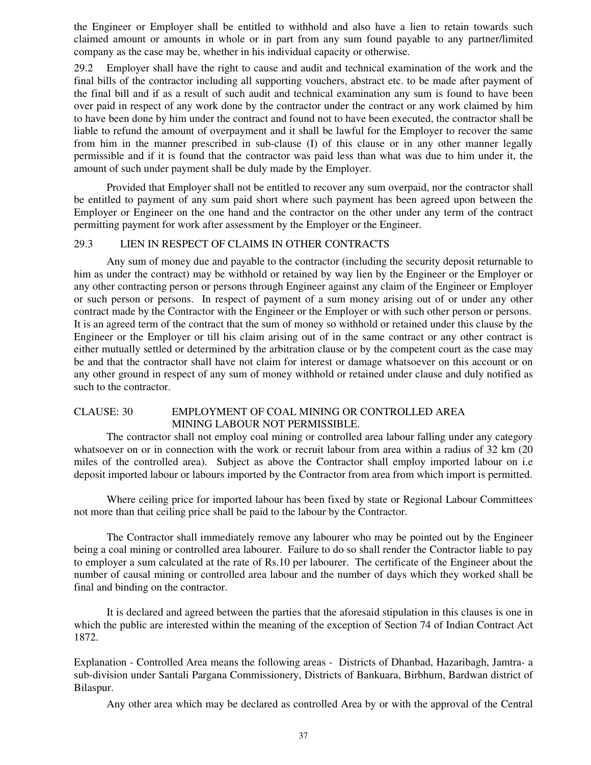the Engineer or Employer shall be entitled to withhold and also have a lien to retain towards such claimed amount or amounts in whole or in part from any sum found payable to any partner/limited company as the case may be, whether in his individual capacity or otherwise.

29.2 Employer shall have the right to cause and audit and technical examination of the work and the final bills of the contractor including all supporting vouchers, abstract etc. to be made after payment of the final bill and if as a result of such audit and technical examination any sum is found to have been over paid in respect of any work done by the contractor under the contract or any work claimed by him to have been done by him under the contract and found not to have been executed, the contractor shall be liable to refund the amount of overpayment and it shall be lawful for the Employer to recover the same from him in the manner prescribed in sub-clause (I) of this clause or in any other manner legally permissible and if it is found that the contractor was paid less than what was due to him under it, the amount of such under payment shall be duly made by the Employer.

 Provided that Employer shall not be entitled to recover any sum overpaid, nor the contractor shall be entitled to payment of any sum paid short where such payment has been agreed upon between the Employer or Engineer on the one hand and the contractor on the other under any term of the contract permitting payment for work after assessment by the Employer or the Engineer.

#### 29.3 LIEN IN RESPECT OF CLAIMS IN OTHER CONTRACTS

 Any sum of money due and payable to the contractor (including the security deposit returnable to him as under the contract) may be withhold or retained by way lien by the Engineer or the Employer or any other contracting person or persons through Engineer against any claim of the Engineer or Employer or such person or persons. In respect of payment of a sum money arising out of or under any other contract made by the Contractor with the Engineer or the Employer or with such other person or persons. It is an agreed term of the contract that the sum of money so withhold or retained under this clause by the Engineer or the Employer or till his claim arising out of in the same contract or any other contract is either mutually settled or determined by the arbitration clause or by the competent court as the case may be and that the contractor shall have not claim for interest or damage whatsoever on this account or on any other ground in respect of any sum of money withhold or retained under clause and duly notified as such to the contractor.

## CLAUSE: 30 EMPLOYMENT OF COAL MINING OR CONTROLLED AREA MINING LABOUR NOT PERMISSIBLE.

 The contractor shall not employ coal mining or controlled area labour falling under any category whatsoever on or in connection with the work or recruit labour from area within a radius of 32 km (20) miles of the controlled area). Subject as above the Contractor shall employ imported labour on i.e deposit imported labour or labours imported by the Contractor from area from which import is permitted.

 Where ceiling price for imported labour has been fixed by state or Regional Labour Committees not more than that ceiling price shall be paid to the labour by the Contractor.

 The Contractor shall immediately remove any labourer who may be pointed out by the Engineer being a coal mining or controlled area labourer. Failure to do so shall render the Contractor liable to pay to employer a sum calculated at the rate of Rs.10 per labourer. The certificate of the Engineer about the number of causal mining or controlled area labour and the number of days which they worked shall be final and binding on the contractor.

 It is declared and agreed between the parties that the aforesaid stipulation in this clauses is one in which the public are interested within the meaning of the exception of Section 74 of Indian Contract Act 1872.

Explanation - Controlled Area means the following areas - Districts of Dhanbad, Hazaribagh, Jamtra- a sub-division under Santali Pargana Commissionery, Districts of Bankuara, Birbhum, Bardwan district of Bilaspur.

Any other area which may be declared as controlled Area by or with the approval of the Central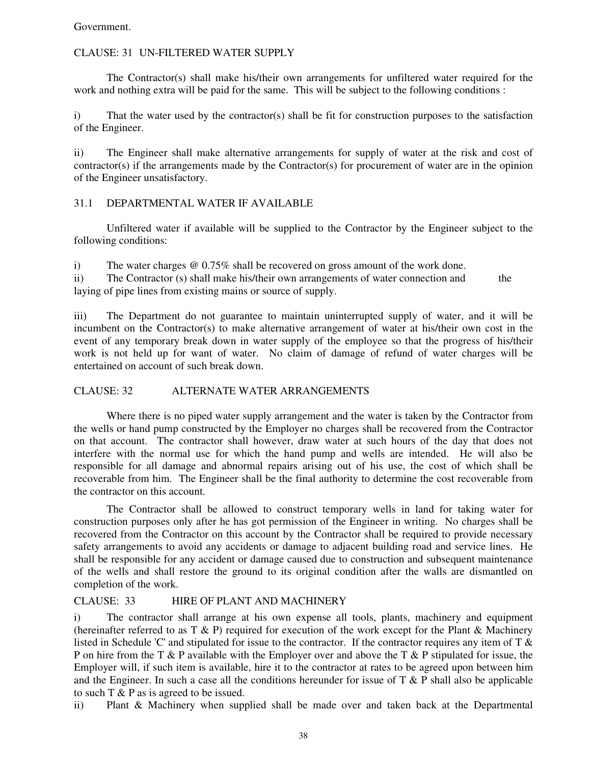Government.

# CLAUSE: 31 UN-FILTERED WATER SUPPLY

 The Contractor(s) shall make his/their own arrangements for unfiltered water required for the work and nothing extra will be paid for the same. This will be subject to the following conditions :

i) That the water used by the contractor(s) shall be fit for construction purposes to the satisfaction of the Engineer.

ii) The Engineer shall make alternative arrangements for supply of water at the risk and cost of contractor(s) if the arrangements made by the Contractor(s) for procurement of water are in the opinion of the Engineer unsatisfactory.

# 31.1 DEPARTMENTAL WATER IF AVAILABLE

 Unfiltered water if available will be supplied to the Contractor by the Engineer subject to the following conditions:

i) The water charges @ 0.75% shall be recovered on gross amount of the work done.

ii) The Contractor (s) shall make his/their own arrangements of water connection and the laying of pipe lines from existing mains or source of supply.

iii) The Department do not guarantee to maintain uninterrupted supply of water, and it will be incumbent on the Contractor(s) to make alternative arrangement of water at his/their own cost in the event of any temporary break down in water supply of the employee so that the progress of his/their work is not held up for want of water. No claim of damage of refund of water charges will be entertained on account of such break down.

# CLAUSE: 32 ALTERNATE WATER ARRANGEMENTS

 Where there is no piped water supply arrangement and the water is taken by the Contractor from the wells or hand pump constructed by the Employer no charges shall be recovered from the Contractor on that account. The contractor shall however, draw water at such hours of the day that does not interfere with the normal use for which the hand pump and wells are intended. He will also be responsible for all damage and abnormal repairs arising out of his use, the cost of which shall be recoverable from him. The Engineer shall be the final authority to determine the cost recoverable from the contractor on this account.

 The Contractor shall be allowed to construct temporary wells in land for taking water for construction purposes only after he has got permission of the Engineer in writing. No charges shall be recovered from the Contractor on this account by the Contractor shall be required to provide necessary safety arrangements to avoid any accidents or damage to adjacent building road and service lines. He shall be responsible for any accident or damage caused due to construction and subsequent maintenance of the wells and shall restore the ground to its original condition after the walls are dismantled on completion of the work.

# CLAUSE: 33 HIRE OF PLANT AND MACHINERY

i) The contractor shall arrange at his own expense all tools, plants, machinery and equipment (hereinafter referred to as  $T \& P$ ) required for execution of the work except for the Plant  $\&$  Machinery listed in Schedule 'C' and stipulated for issue to the contractor. If the contractor requires any item of T & P on hire from the T  $\&$  P available with the Employer over and above the T  $\&$  P stipulated for issue, the Employer will, if such item is available, hire it to the contractor at rates to be agreed upon between him and the Engineer. In such a case all the conditions hereunder for issue of  $T \& P$  shall also be applicable to such T & P as is agreed to be issued.

ii) Plant & Machinery when supplied shall be made over and taken back at the Departmental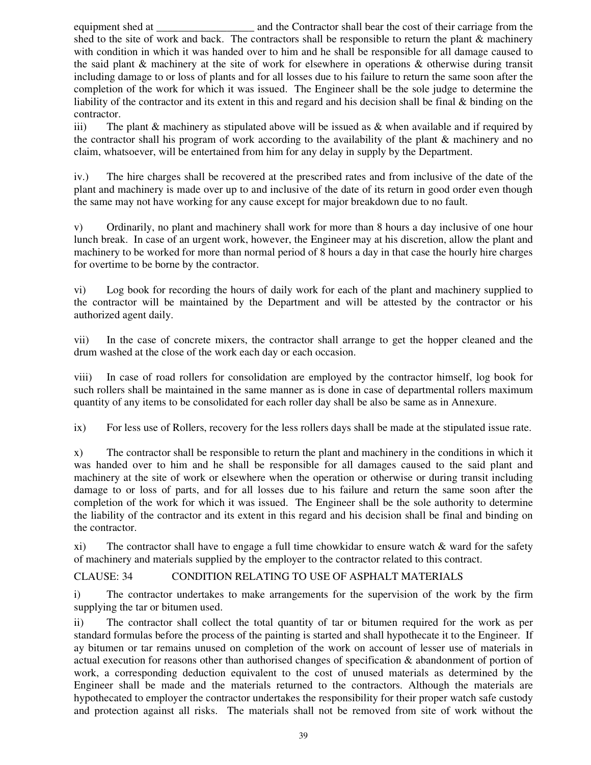equipment shed at \_\_\_\_\_\_\_\_\_\_\_\_\_\_\_\_\_\_\_\_\_\_\_\_ and the Contractor shall bear the cost of their carriage from the shed to the site of work and back. The contractors shall be responsible to return the plant & machinery with condition in which it was handed over to him and he shall be responsible for all damage caused to the said plant & machinery at the site of work for elsewhere in operations & otherwise during transit including damage to or loss of plants and for all losses due to his failure to return the same soon after the completion of the work for which it was issued. The Engineer shall be the sole judge to determine the liability of the contractor and its extent in this and regard and his decision shall be final & binding on the contractor.

iii) The plant  $\&$  machinery as stipulated above will be issued as  $\&$  when available and if required by the contractor shall his program of work according to the availability of the plant & machinery and no claim, whatsoever, will be entertained from him for any delay in supply by the Department.

iv.) The hire charges shall be recovered at the prescribed rates and from inclusive of the date of the plant and machinery is made over up to and inclusive of the date of its return in good order even though the same may not have working for any cause except for major breakdown due to no fault.

v) Ordinarily, no plant and machinery shall work for more than 8 hours a day inclusive of one hour lunch break. In case of an urgent work, however, the Engineer may at his discretion, allow the plant and machinery to be worked for more than normal period of 8 hours a day in that case the hourly hire charges for overtime to be borne by the contractor.

vi) Log book for recording the hours of daily work for each of the plant and machinery supplied to the contractor will be maintained by the Department and will be attested by the contractor or his authorized agent daily.

vii) In the case of concrete mixers, the contractor shall arrange to get the hopper cleaned and the drum washed at the close of the work each day or each occasion.

viii) In case of road rollers for consolidation are employed by the contractor himself, log book for such rollers shall be maintained in the same manner as is done in case of departmental rollers maximum quantity of any items to be consolidated for each roller day shall be also be same as in Annexure.

ix) For less use of Rollers, recovery for the less rollers days shall be made at the stipulated issue rate.

x) The contractor shall be responsible to return the plant and machinery in the conditions in which it was handed over to him and he shall be responsible for all damages caused to the said plant and machinery at the site of work or elsewhere when the operation or otherwise or during transit including damage to or loss of parts, and for all losses due to his failure and return the same soon after the completion of the work for which it was issued. The Engineer shall be the sole authority to determine the liability of the contractor and its extent in this regard and his decision shall be final and binding on the contractor.

xi) The contractor shall have to engage a full time chowkidar to ensure watch  $\&$  ward for the safety of machinery and materials supplied by the employer to the contractor related to this contract.

# CLAUSE: 34 CONDITION RELATING TO USE OF ASPHALT MATERIALS

i) The contractor undertakes to make arrangements for the supervision of the work by the firm supplying the tar or bitumen used.

ii) The contractor shall collect the total quantity of tar or bitumen required for the work as per standard formulas before the process of the painting is started and shall hypothecate it to the Engineer. If ay bitumen or tar remains unused on completion of the work on account of lesser use of materials in actual execution for reasons other than authorised changes of specification & abandonment of portion of work, a corresponding deduction equivalent to the cost of unused materials as determined by the Engineer shall be made and the materials returned to the contractors. Although the materials are hypothecated to employer the contractor undertakes the responsibility for their proper watch safe custody and protection against all risks. The materials shall not be removed from site of work without the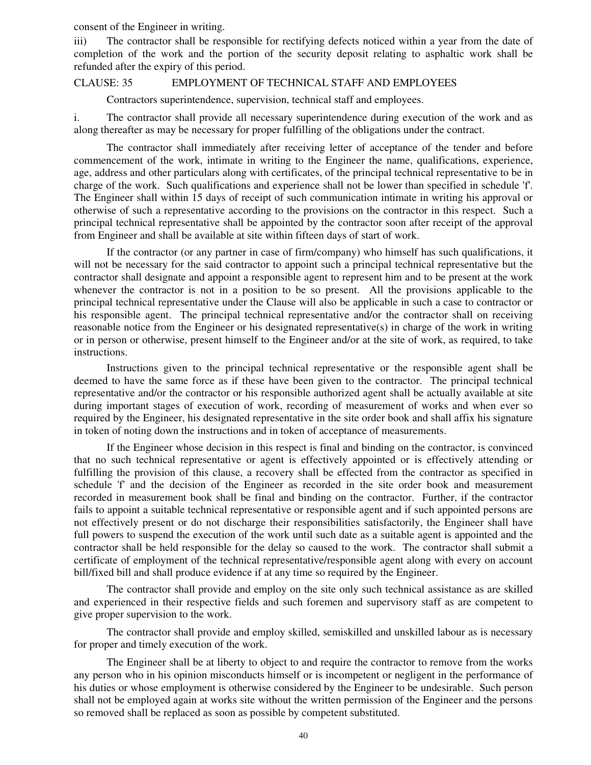consent of the Engineer in writing.

iii) The contractor shall be responsible for rectifying defects noticed within a year from the date of completion of the work and the portion of the security deposit relating to asphaltic work shall be refunded after the expiry of this period.

#### CLAUSE: 35 EMPLOYMENT OF TECHNICAL STAFF AND EMPLOYEES

Contractors superintendence, supervision, technical staff and employees.

i. The contractor shall provide all necessary superintendence during execution of the work and as along thereafter as may be necessary for proper fulfilling of the obligations under the contract.

 The contractor shall immediately after receiving letter of acceptance of the tender and before commencement of the work, intimate in writing to the Engineer the name, qualifications, experience, age, address and other particulars along with certificates, of the principal technical representative to be in charge of the work. Such qualifications and experience shall not be lower than specified in schedule 'f'. The Engineer shall within 15 days of receipt of such communication intimate in writing his approval or otherwise of such a representative according to the provisions on the contractor in this respect. Such a principal technical representative shall be appointed by the contractor soon after receipt of the approval from Engineer and shall be available at site within fifteen days of start of work.

 If the contractor (or any partner in case of firm/company) who himself has such qualifications, it will not be necessary for the said contractor to appoint such a principal technical representative but the contractor shall designate and appoint a responsible agent to represent him and to be present at the work whenever the contractor is not in a position to be so present. All the provisions applicable to the principal technical representative under the Clause will also be applicable in such a case to contractor or his responsible agent. The principal technical representative and/or the contractor shall on receiving reasonable notice from the Engineer or his designated representative(s) in charge of the work in writing or in person or otherwise, present himself to the Engineer and/or at the site of work, as required, to take instructions.

 Instructions given to the principal technical representative or the responsible agent shall be deemed to have the same force as if these have been given to the contractor. The principal technical representative and/or the contractor or his responsible authorized agent shall be actually available at site during important stages of execution of work, recording of measurement of works and when ever so required by the Engineer, his designated representative in the site order book and shall affix his signature in token of noting down the instructions and in token of acceptance of measurements.

 If the Engineer whose decision in this respect is final and binding on the contractor, is convinced that no such technical representative or agent is effectively appointed or is effectively attending or fulfilling the provision of this clause, a recovery shall be effected from the contractor as specified in schedule 'f' and the decision of the Engineer as recorded in the site order book and measurement recorded in measurement book shall be final and binding on the contractor. Further, if the contractor fails to appoint a suitable technical representative or responsible agent and if such appointed persons are not effectively present or do not discharge their responsibilities satisfactorily, the Engineer shall have full powers to suspend the execution of the work until such date as a suitable agent is appointed and the contractor shall be held responsible for the delay so caused to the work. The contractor shall submit a certificate of employment of the technical representative/responsible agent along with every on account bill/fixed bill and shall produce evidence if at any time so required by the Engineer.

 The contractor shall provide and employ on the site only such technical assistance as are skilled and experienced in their respective fields and such foremen and supervisory staff as are competent to give proper supervision to the work.

 The contractor shall provide and employ skilled, semiskilled and unskilled labour as is necessary for proper and timely execution of the work.

 The Engineer shall be at liberty to object to and require the contractor to remove from the works any person who in his opinion misconducts himself or is incompetent or negligent in the performance of his duties or whose employment is otherwise considered by the Engineer to be undesirable. Such person shall not be employed again at works site without the written permission of the Engineer and the persons so removed shall be replaced as soon as possible by competent substituted.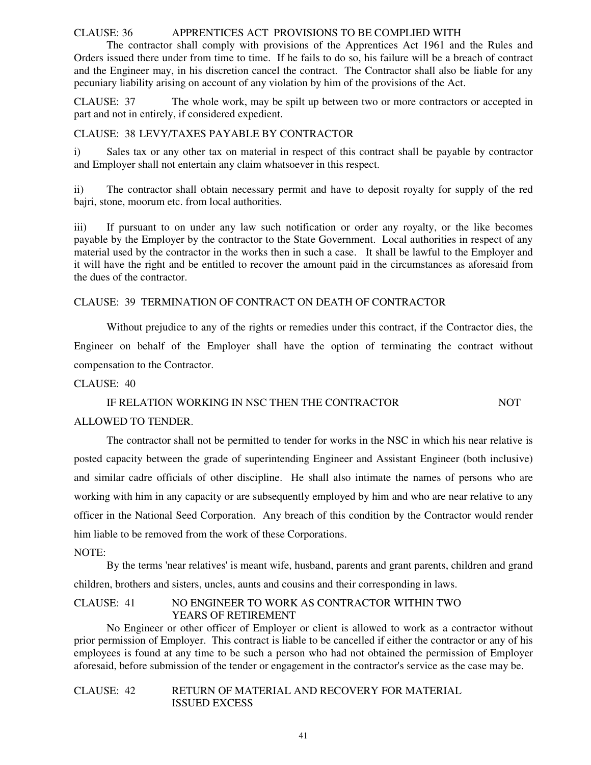## CLAUSE: 36 APPRENTICES ACT PROVISIONS TO BE COMPLIED WITH

 The contractor shall comply with provisions of the Apprentices Act 1961 and the Rules and Orders issued there under from time to time. If he fails to do so, his failure will be a breach of contract and the Engineer may, in his discretion cancel the contract. The Contractor shall also be liable for any pecuniary liability arising on account of any violation by him of the provisions of the Act.

CLAUSE: 37 The whole work, may be spilt up between two or more contractors or accepted in part and not in entirely, if considered expedient.

## CLAUSE: 38 LEVY/TAXES PAYABLE BY CONTRACTOR

i) Sales tax or any other tax on material in respect of this contract shall be payable by contractor and Employer shall not entertain any claim whatsoever in this respect.

ii) The contractor shall obtain necessary permit and have to deposit royalty for supply of the red bajri, stone, moorum etc. from local authorities.

iii) If pursuant to on under any law such notification or order any royalty, or the like becomes payable by the Employer by the contractor to the State Government. Local authorities in respect of any material used by the contractor in the works then in such a case. It shall be lawful to the Employer and it will have the right and be entitled to recover the amount paid in the circumstances as aforesaid from the dues of the contractor.

# CLAUSE: 39 TERMINATION OF CONTRACT ON DEATH OF CONTRACTOR

 Without prejudice to any of the rights or remedies under this contract, if the Contractor dies, the Engineer on behalf of the Employer shall have the option of terminating the contract without compensation to the Contractor.

#### CLAUSE: 40

# IF RELATION WORKING IN NSC THEN THE CONTRACTOR NOT

#### ALLOWED TO TENDER.

 The contractor shall not be permitted to tender for works in the NSC in which his near relative is posted capacity between the grade of superintending Engineer and Assistant Engineer (both inclusive) and similar cadre officials of other discipline. He shall also intimate the names of persons who are working with him in any capacity or are subsequently employed by him and who are near relative to any officer in the National Seed Corporation. Any breach of this condition by the Contractor would render him liable to be removed from the work of these Corporations.

#### NOTE:

 By the terms 'near relatives' is meant wife, husband, parents and grant parents, children and grand children, brothers and sisters, uncles, aunts and cousins and their corresponding in laws.

# CLAUSE: 41 NO ENGINEER TO WORK AS CONTRACTOR WITHIN TWO YEARS OF RETIREMENT

 No Engineer or other officer of Employer or client is allowed to work as a contractor without prior permission of Employer. This contract is liable to be cancelled if either the contractor or any of his employees is found at any time to be such a person who had not obtained the permission of Employer aforesaid, before submission of the tender or engagement in the contractor's service as the case may be.

# CLAUSE: 42 RETURN OF MATERIAL AND RECOVERY FOR MATERIAL ISSUED EXCESS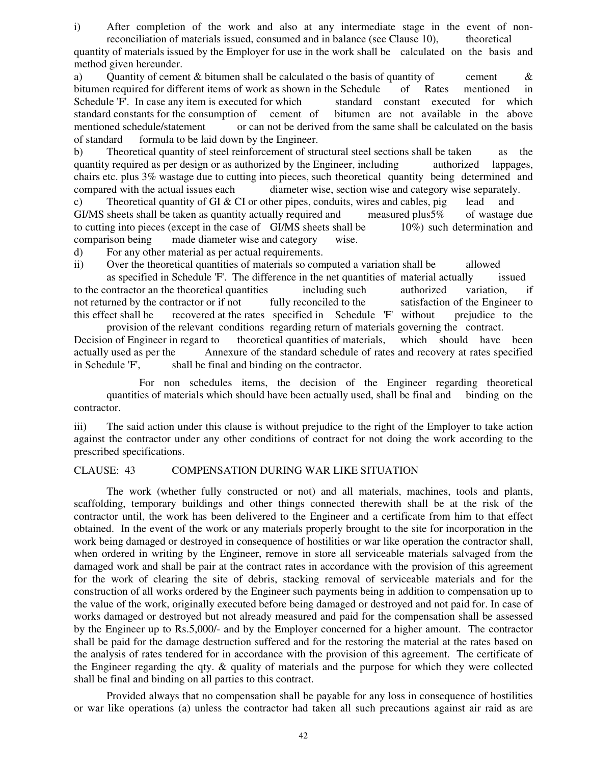i) After completion of the work and also at any intermediate stage in the event of non reconciliation of materials issued, consumed and in balance (see Clause 10), theoretical

quantity of materials issued by the Employer for use in the work shall be calculated on the basis and method given hereunder.

a) Quantity of cement & bitumen shall be calculated o the basis of quantity of cement  $\&$ bitumen required for different items of work as shown in the Schedule of Rates mentioned in Schedule 'F'. In case any item is executed for which standard constant executed for which standard constants for the consumption of cement of bitumen are not available in the above mentioned schedule/statement or can not be derived from the same shall be calculated on the basis of standard formula to be laid down by the Engineer.

b) Theoretical quantity of steel reinforcement of structural steel sections shall be taken as the quantity required as per design or as authorized by the Engineer, including authorized lappages, chairs etc. plus 3% wastage due to cutting into pieces, such theoretical quantity being determined and compared with the actual issues each diameter wise, section wise and category wise separately.

c) Theoretical quantity of GI & CI or other pipes, conduits, wires and cables, pig lead and GI/MS sheets shall be taken as quantity actually required and measured plus5% of wastage due to cutting into pieces (except in the case of GI/MS sheets shall be 10%) such determination and comparison being made diameter wise and category wise.

d) For any other material as per actual requirements.

ii) Over the theoretical quantities of materials so computed a variation shall be allowed

 as specified in Schedule 'F'. The difference in the net quantities of material actually issued to the contractor an the theoretical quantities including such authorized variation, if not returned by the contractor or if not fully reconciled to the satisfaction of the Engineer to this effect shall be recovered at the rates specified in Schedule 'F' without prejudice to the provision of the relevant conditions regarding return of materials governing the contract.

Decision of Engineer in regard to theoretical quantities of materials, which should have been actually used as per the Annexure of the standard schedule of rates and recovery at rates specified in Schedule 'F', shall be final and binding on the contractor.

 For non schedules items, the decision of the Engineer regarding theoretical quantities of materials which should have been actually used, shall be final and binding on the contractor.

iii) The said action under this clause is without prejudice to the right of the Employer to take action against the contractor under any other conditions of contract for not doing the work according to the prescribed specifications.

#### CLAUSE: 43 COMPENSATION DURING WAR LIKE SITUATION

 The work (whether fully constructed or not) and all materials, machines, tools and plants, scaffolding, temporary buildings and other things connected therewith shall be at the risk of the contractor until, the work has been delivered to the Engineer and a certificate from him to that effect obtained. In the event of the work or any materials properly brought to the site for incorporation in the work being damaged or destroyed in consequence of hostilities or war like operation the contractor shall, when ordered in writing by the Engineer, remove in store all serviceable materials salvaged from the damaged work and shall be pair at the contract rates in accordance with the provision of this agreement for the work of clearing the site of debris, stacking removal of serviceable materials and for the construction of all works ordered by the Engineer such payments being in addition to compensation up to the value of the work, originally executed before being damaged or destroyed and not paid for. In case of works damaged or destroyed but not already measured and paid for the compensation shall be assessed by the Engineer up to Rs.5,000/- and by the Employer concerned for a higher amount. The contractor shall be paid for the damage destruction suffered and for the restoring the material at the rates based on the analysis of rates tendered for in accordance with the provision of this agreement. The certificate of the Engineer regarding the qty. & quality of materials and the purpose for which they were collected shall be final and binding on all parties to this contract.

 Provided always that no compensation shall be payable for any loss in consequence of hostilities or war like operations (a) unless the contractor had taken all such precautions against air raid as are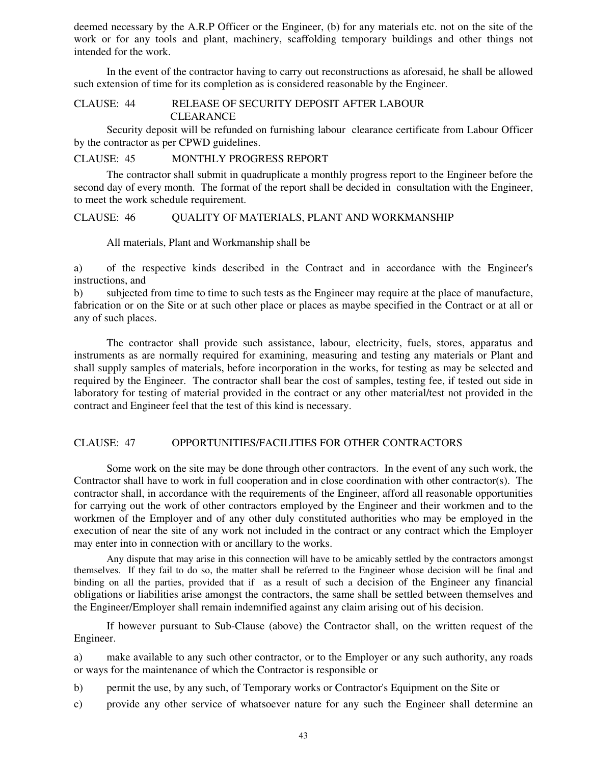deemed necessary by the A.R.P Officer or the Engineer, (b) for any materials etc. not on the site of the work or for any tools and plant, machinery, scaffolding temporary buildings and other things not intended for the work.

 In the event of the contractor having to carry out reconstructions as aforesaid, he shall be allowed such extension of time for its completion as is considered reasonable by the Engineer.

## CLAUSE: 44 RELEASE OF SECURITY DEPOSIT AFTER LABOUR CLEARANCE

 Security deposit will be refunded on furnishing labour clearance certificate from Labour Officer by the contractor as per CPWD guidelines.

# CLAUSE: 45 MONTHLY PROGRESS REPORT

 The contractor shall submit in quadruplicate a monthly progress report to the Engineer before the second day of every month. The format of the report shall be decided in consultation with the Engineer, to meet the work schedule requirement.

# CLAUSE: 46 QUALITY OF MATERIALS, PLANT AND WORKMANSHIP

# All materials, Plant and Workmanship shall be

a) of the respective kinds described in the Contract and in accordance with the Engineer's instructions, and

b) subjected from time to time to such tests as the Engineer may require at the place of manufacture, fabrication or on the Site or at such other place or places as maybe specified in the Contract or at all or any of such places.

 The contractor shall provide such assistance, labour, electricity, fuels, stores, apparatus and instruments as are normally required for examining, measuring and testing any materials or Plant and shall supply samples of materials, before incorporation in the works, for testing as may be selected and required by the Engineer. The contractor shall bear the cost of samples, testing fee, if tested out side in laboratory for testing of material provided in the contract or any other material/test not provided in the contract and Engineer feel that the test of this kind is necessary.

# CLAUSE: 47 OPPORTUNITIES/FACILITIES FOR OTHER CONTRACTORS

 Some work on the site may be done through other contractors. In the event of any such work, the Contractor shall have to work in full cooperation and in close coordination with other contractor(s). The contractor shall, in accordance with the requirements of the Engineer, afford all reasonable opportunities for carrying out the work of other contractors employed by the Engineer and their workmen and to the workmen of the Employer and of any other duly constituted authorities who may be employed in the execution of near the site of any work not included in the contract or any contract which the Employer may enter into in connection with or ancillary to the works.

Any dispute that may arise in this connection will have to be amicably settled by the contractors amongst themselves. If they fail to do so, the matter shall be referred to the Engineer whose decision will be final and binding on all the parties, provided that if as a result of such a decision of the Engineer any financial obligations or liabilities arise amongst the contractors, the same shall be settled between themselves and the Engineer/Employer shall remain indemnified against any claim arising out of his decision.

 If however pursuant to Sub-Clause (above) the Contractor shall, on the written request of the Engineer.

a) make available to any such other contractor, or to the Employer or any such authority, any roads or ways for the maintenance of which the Contractor is responsible or

- b) permit the use, by any such, of Temporary works or Contractor's Equipment on the Site or
- c) provide any other service of whatsoever nature for any such the Engineer shall determine an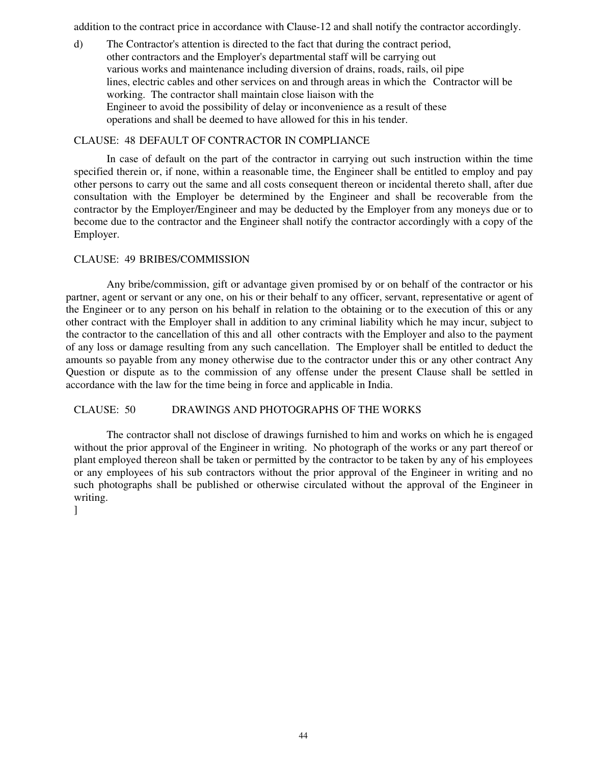addition to the contract price in accordance with Clause-12 and shall notify the contractor accordingly.

d) The Contractor's attention is directed to the fact that during the contract period, other contractors and the Employer's departmental staff will be carrying out various works and maintenance including diversion of drains, roads, rails, oil pipe lines, electric cables and other services on and through areas in which the Contractor will be working. The contractor shall maintain close liaison with the Engineer to avoid the possibility of delay or inconvenience as a result of these operations and shall be deemed to have allowed for this in his tender.

# CLAUSE: 48 DEFAULT OF CONTRACTOR IN COMPLIANCE

 In case of default on the part of the contractor in carrying out such instruction within the time specified therein or, if none, within a reasonable time, the Engineer shall be entitled to employ and pay other persons to carry out the same and all costs consequent thereon or incidental thereto shall, after due consultation with the Employer be determined by the Engineer and shall be recoverable from the contractor by the Employer/Engineer and may be deducted by the Employer from any moneys due or to become due to the contractor and the Engineer shall notify the contractor accordingly with a copy of the Employer.

#### CLAUSE: 49 BRIBES/COMMISSION

 Any bribe/commission, gift or advantage given promised by or on behalf of the contractor or his partner, agent or servant or any one, on his or their behalf to any officer, servant, representative or agent of the Engineer or to any person on his behalf in relation to the obtaining or to the execution of this or any other contract with the Employer shall in addition to any criminal liability which he may incur, subject to the contractor to the cancellation of this and all other contracts with the Employer and also to the payment of any loss or damage resulting from any such cancellation. The Employer shall be entitled to deduct the amounts so payable from any money otherwise due to the contractor under this or any other contract Any Question or dispute as to the commission of any offense under the present Clause shall be settled in accordance with the law for the time being in force and applicable in India.

# CLAUSE: 50 DRAWINGS AND PHOTOGRAPHS OF THE WORKS

 The contractor shall not disclose of drawings furnished to him and works on which he is engaged without the prior approval of the Engineer in writing. No photograph of the works or any part thereof or plant employed thereon shall be taken or permitted by the contractor to be taken by any of his employees or any employees of his sub contractors without the prior approval of the Engineer in writing and no such photographs shall be published or otherwise circulated without the approval of the Engineer in writing.

]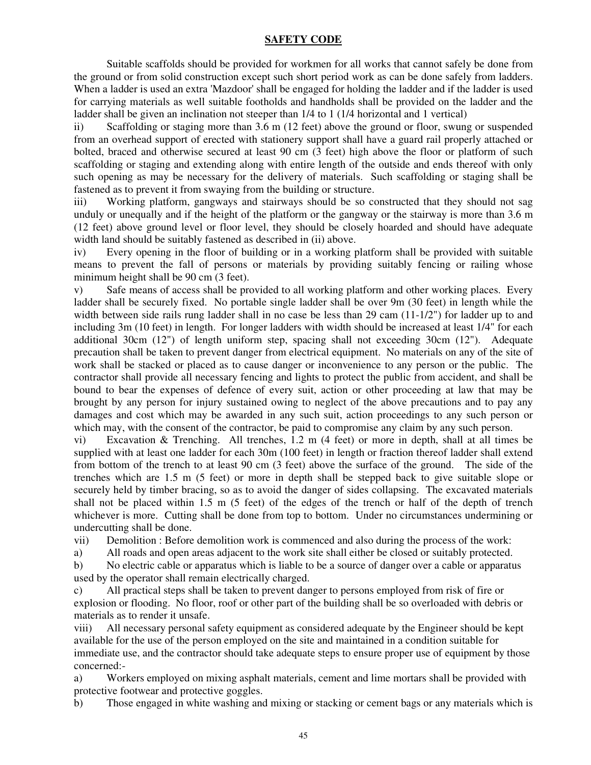# **SAFETY CODE**

 Suitable scaffolds should be provided for workmen for all works that cannot safely be done from the ground or from solid construction except such short period work as can be done safely from ladders. When a ladder is used an extra 'Mazdoor' shall be engaged for holding the ladder and if the ladder is used for carrying materials as well suitable footholds and handholds shall be provided on the ladder and the ladder shall be given an inclination not steeper than  $1/4$  to 1 ( $1/4$  horizontal and 1 vertical)

ii) Scaffolding or staging more than 3.6 m (12 feet) above the ground or floor, swung or suspended from an overhead support of erected with stationery support shall have a guard rail properly attached or bolted, braced and otherwise secured at least 90 cm (3 feet) high above the floor or platform of such scaffolding or staging and extending along with entire length of the outside and ends thereof with only such opening as may be necessary for the delivery of materials. Such scaffolding or staging shall be fastened as to prevent it from swaying from the building or structure.

iii) Working platform, gangways and stairways should be so constructed that they should not sag unduly or unequally and if the height of the platform or the gangway or the stairway is more than 3.6 m (12 feet) above ground level or floor level, they should be closely hoarded and should have adequate width land should be suitably fastened as described in (ii) above.

iv) Every opening in the floor of building or in a working platform shall be provided with suitable means to prevent the fall of persons or materials by providing suitably fencing or railing whose minimum height shall be 90 cm (3 feet).

v) Safe means of access shall be provided to all working platform and other working places. Every ladder shall be securely fixed. No portable single ladder shall be over 9m (30 feet) in length while the width between side rails rung ladder shall in no case be less than 29 cam  $(11-1/2)$ ") for ladder up to and including 3m (10 feet) in length. For longer ladders with width should be increased at least 1/4" for each additional 30cm (12") of length uniform step, spacing shall not exceeding 30cm (12"). Adequate precaution shall be taken to prevent danger from electrical equipment. No materials on any of the site of work shall be stacked or placed as to cause danger or inconvenience to any person or the public. The contractor shall provide all necessary fencing and lights to protect the public from accident, and shall be bound to bear the expenses of defence of every suit, action or other proceeding at law that may be brought by any person for injury sustained owing to neglect of the above precautions and to pay any damages and cost which may be awarded in any such suit, action proceedings to any such person or which may, with the consent of the contractor, be paid to compromise any claim by any such person.

vi) Excavation & Trenching. All trenches, 1.2 m (4 feet) or more in depth, shall at all times be supplied with at least one ladder for each 30m (100 feet) in length or fraction thereof ladder shall extend from bottom of the trench to at least 90 cm (3 feet) above the surface of the ground. The side of the trenches which are 1.5 m (5 feet) or more in depth shall be stepped back to give suitable slope or securely held by timber bracing, so as to avoid the danger of sides collapsing. The excavated materials shall not be placed within 1.5 m (5 feet) of the edges of the trench or half of the depth of trench whichever is more. Cutting shall be done from top to bottom. Under no circumstances undermining or undercutting shall be done.

vii) Demolition : Before demolition work is commenced and also during the process of the work:

a) All roads and open areas adjacent to the work site shall either be closed or suitably protected.

b) No electric cable or apparatus which is liable to be a source of danger over a cable or apparatus used by the operator shall remain electrically charged.

c) All practical steps shall be taken to prevent danger to persons employed from risk of fire or explosion or flooding. No floor, roof or other part of the building shall be so overloaded with debris or materials as to render it unsafe.

viii) All necessary personal safety equipment as considered adequate by the Engineer should be kept available for the use of the person employed on the site and maintained in a condition suitable for immediate use, and the contractor should take adequate steps to ensure proper use of equipment by those concerned:-

a) Workers employed on mixing asphalt materials, cement and lime mortars shall be provided with protective footwear and protective goggles.

b) Those engaged in white washing and mixing or stacking or cement bags or any materials which is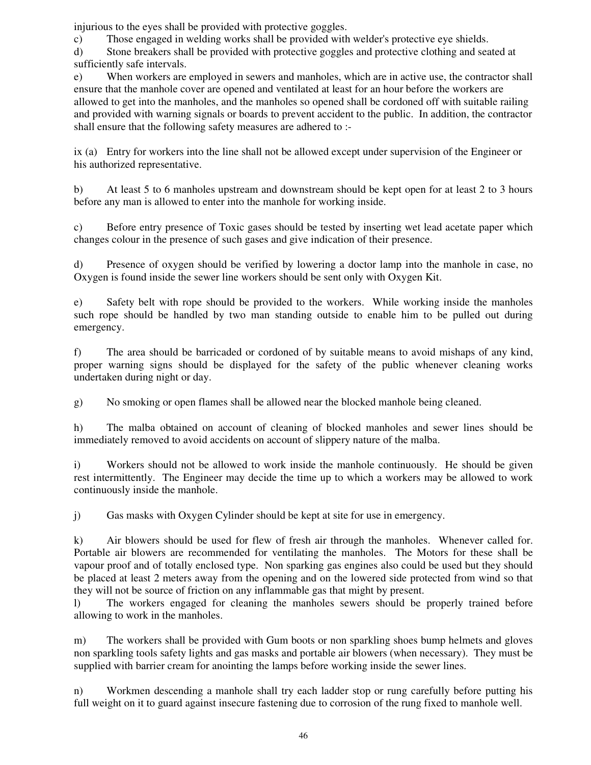injurious to the eyes shall be provided with protective goggles.

c) Those engaged in welding works shall be provided with welder's protective eye shields.

d) Stone breakers shall be provided with protective goggles and protective clothing and seated at sufficiently safe intervals.

e) When workers are employed in sewers and manholes, which are in active use, the contractor shall ensure that the manhole cover are opened and ventilated at least for an hour before the workers are allowed to get into the manholes, and the manholes so opened shall be cordoned off with suitable railing and provided with warning signals or boards to prevent accident to the public. In addition, the contractor shall ensure that the following safety measures are adhered to :-

ix (a) Entry for workers into the line shall not be allowed except under supervision of the Engineer or his authorized representative.

b) At least 5 to 6 manholes upstream and downstream should be kept open for at least 2 to 3 hours before any man is allowed to enter into the manhole for working inside.

c) Before entry presence of Toxic gases should be tested by inserting wet lead acetate paper which changes colour in the presence of such gases and give indication of their presence.

d) Presence of oxygen should be verified by lowering a doctor lamp into the manhole in case, no Oxygen is found inside the sewer line workers should be sent only with Oxygen Kit.

e) Safety belt with rope should be provided to the workers. While working inside the manholes such rope should be handled by two man standing outside to enable him to be pulled out during emergency.

f) The area should be barricaded or cordoned of by suitable means to avoid mishaps of any kind, proper warning signs should be displayed for the safety of the public whenever cleaning works undertaken during night or day.

g) No smoking or open flames shall be allowed near the blocked manhole being cleaned.

h) The malba obtained on account of cleaning of blocked manholes and sewer lines should be immediately removed to avoid accidents on account of slippery nature of the malba.

i) Workers should not be allowed to work inside the manhole continuously. He should be given rest intermittently. The Engineer may decide the time up to which a workers may be allowed to work continuously inside the manhole.

j) Gas masks with Oxygen Cylinder should be kept at site for use in emergency.

k) Air blowers should be used for flew of fresh air through the manholes. Whenever called for. Portable air blowers are recommended for ventilating the manholes. The Motors for these shall be vapour proof and of totally enclosed type. Non sparking gas engines also could be used but they should be placed at least 2 meters away from the opening and on the lowered side protected from wind so that they will not be source of friction on any inflammable gas that might by present.

l) The workers engaged for cleaning the manholes sewers should be properly trained before allowing to work in the manholes.

m) The workers shall be provided with Gum boots or non sparkling shoes bump helmets and gloves non sparkling tools safety lights and gas masks and portable air blowers (when necessary). They must be supplied with barrier cream for anointing the lamps before working inside the sewer lines.

n) Workmen descending a manhole shall try each ladder stop or rung carefully before putting his full weight on it to guard against insecure fastening due to corrosion of the rung fixed to manhole well.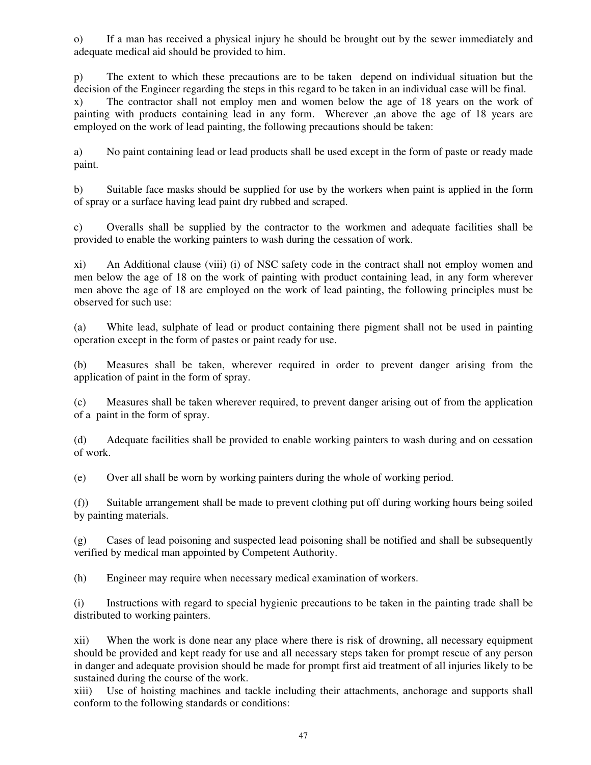o) If a man has received a physical injury he should be brought out by the sewer immediately and adequate medical aid should be provided to him.

p) The extent to which these precautions are to be taken depend on individual situation but the decision of the Engineer regarding the steps in this regard to be taken in an individual case will be final.

x) The contractor shall not employ men and women below the age of 18 years on the work of painting with products containing lead in any form. Wherever ,an above the age of 18 years are employed on the work of lead painting, the following precautions should be taken:

a) No paint containing lead or lead products shall be used except in the form of paste or ready made paint.

b) Suitable face masks should be supplied for use by the workers when paint is applied in the form of spray or a surface having lead paint dry rubbed and scraped.

c) Overalls shall be supplied by the contractor to the workmen and adequate facilities shall be provided to enable the working painters to wash during the cessation of work.

xi) An Additional clause (viii) (i) of NSC safety code in the contract shall not employ women and men below the age of 18 on the work of painting with product containing lead, in any form wherever men above the age of 18 are employed on the work of lead painting, the following principles must be observed for such use:

(a) White lead, sulphate of lead or product containing there pigment shall not be used in painting operation except in the form of pastes or paint ready for use.

(b) Measures shall be taken, wherever required in order to prevent danger arising from the application of paint in the form of spray.

(c) Measures shall be taken wherever required, to prevent danger arising out of from the application of a paint in the form of spray.

(d) Adequate facilities shall be provided to enable working painters to wash during and on cessation of work.

(e) Over all shall be worn by working painters during the whole of working period.

(f)) Suitable arrangement shall be made to prevent clothing put off during working hours being soiled by painting materials.

(g) Cases of lead poisoning and suspected lead poisoning shall be notified and shall be subsequently verified by medical man appointed by Competent Authority.

(h) Engineer may require when necessary medical examination of workers.

(i) Instructions with regard to special hygienic precautions to be taken in the painting trade shall be distributed to working painters.

xii) When the work is done near any place where there is risk of drowning, all necessary equipment should be provided and kept ready for use and all necessary steps taken for prompt rescue of any person in danger and adequate provision should be made for prompt first aid treatment of all injuries likely to be sustained during the course of the work.

xiii) Use of hoisting machines and tackle including their attachments, anchorage and supports shall conform to the following standards or conditions: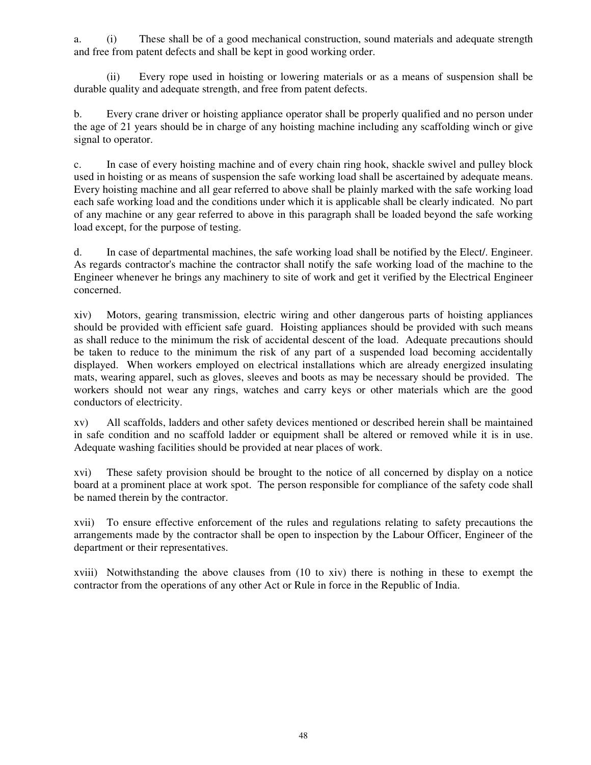a. (i) These shall be of a good mechanical construction, sound materials and adequate strength and free from patent defects and shall be kept in good working order.

 (ii) Every rope used in hoisting or lowering materials or as a means of suspension shall be durable quality and adequate strength, and free from patent defects.

b. Every crane driver or hoisting appliance operator shall be properly qualified and no person under the age of 21 years should be in charge of any hoisting machine including any scaffolding winch or give signal to operator.

c. In case of every hoisting machine and of every chain ring hook, shackle swivel and pulley block used in hoisting or as means of suspension the safe working load shall be ascertained by adequate means. Every hoisting machine and all gear referred to above shall be plainly marked with the safe working load each safe working load and the conditions under which it is applicable shall be clearly indicated. No part of any machine or any gear referred to above in this paragraph shall be loaded beyond the safe working load except, for the purpose of testing.

d. In case of departmental machines, the safe working load shall be notified by the Elect/. Engineer. As regards contractor's machine the contractor shall notify the safe working load of the machine to the Engineer whenever he brings any machinery to site of work and get it verified by the Electrical Engineer concerned.

xiv) Motors, gearing transmission, electric wiring and other dangerous parts of hoisting appliances should be provided with efficient safe guard. Hoisting appliances should be provided with such means as shall reduce to the minimum the risk of accidental descent of the load. Adequate precautions should be taken to reduce to the minimum the risk of any part of a suspended load becoming accidentally displayed. When workers employed on electrical installations which are already energized insulating mats, wearing apparel, such as gloves, sleeves and boots as may be necessary should be provided. The workers should not wear any rings, watches and carry keys or other materials which are the good conductors of electricity.

xv) All scaffolds, ladders and other safety devices mentioned or described herein shall be maintained in safe condition and no scaffold ladder or equipment shall be altered or removed while it is in use. Adequate washing facilities should be provided at near places of work.

xvi) These safety provision should be brought to the notice of all concerned by display on a notice board at a prominent place at work spot. The person responsible for compliance of the safety code shall be named therein by the contractor.

xvii) To ensure effective enforcement of the rules and regulations relating to safety precautions the arrangements made by the contractor shall be open to inspection by the Labour Officer, Engineer of the department or their representatives.

xviii) Notwithstanding the above clauses from (10 to xiv) there is nothing in these to exempt the contractor from the operations of any other Act or Rule in force in the Republic of India.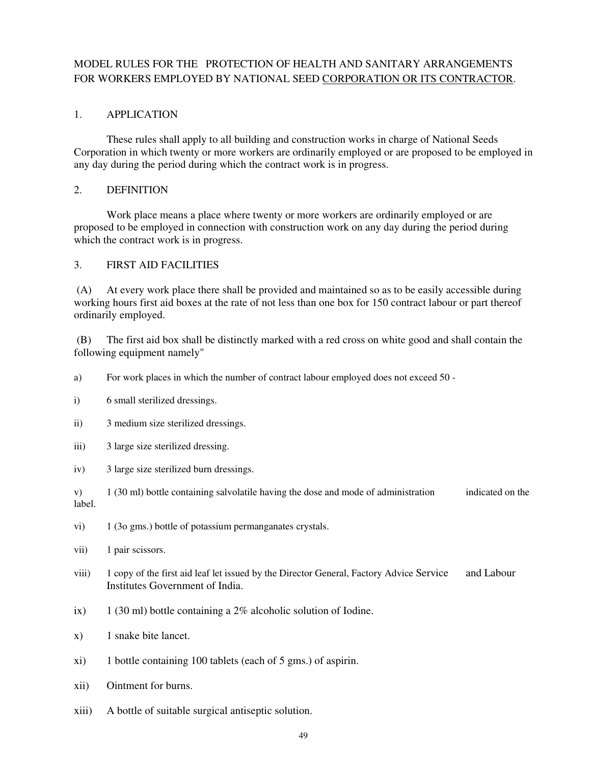# MODEL RULES FOR THE PROTECTION OF HEALTH AND SANITARY ARRANGEMENTS FOR WORKERS EMPLOYED BY NATIONAL SEED CORPORATION OR ITS CONTRACTOR.

## 1. APPLICATION

 These rules shall apply to all building and construction works in charge of National Seeds Corporation in which twenty or more workers are ordinarily employed or are proposed to be employed in any day during the period during which the contract work is in progress.

# 2. DEFINITION

 Work place means a place where twenty or more workers are ordinarily employed or are proposed to be employed in connection with construction work on any day during the period during which the contract work is in progress.

# 3. FIRST AID FACILITIES

 (A) At every work place there shall be provided and maintained so as to be easily accessible during working hours first aid boxes at the rate of not less than one box for 150 contract labour or part thereof ordinarily employed.

 (B) The first aid box shall be distinctly marked with a red cross on white good and shall contain the following equipment namely"

a) For work places in which the number of contract labour employed does not exceed 50 -

i) 6 small sterilized dressings.

- ii) 3 medium size sterilized dressings.
- iii) 3 large size sterilized dressing.
- iv) 3 large size sterilized burn dressings.
- v) 1 (30 ml) bottle containing salvolatile having the dose and mode of administration indicated on the label.
- vi) 1 (3o gms.) bottle of potassium permanganates crystals.
- vii) 1 pair scissors.
- viii) 1 copy of the first aid leaf let issued by the Director General, Factory Advice Service and Labour Institutes Government of India.
- ix) 1 (30 ml) bottle containing a 2% alcoholic solution of Iodine.
- x) 1 snake bite lancet.
- xi) 1 bottle containing 100 tablets (each of 5 gms.) of aspirin.
- xii) Ointment for burns.
- xiii) A bottle of suitable surgical antiseptic solution.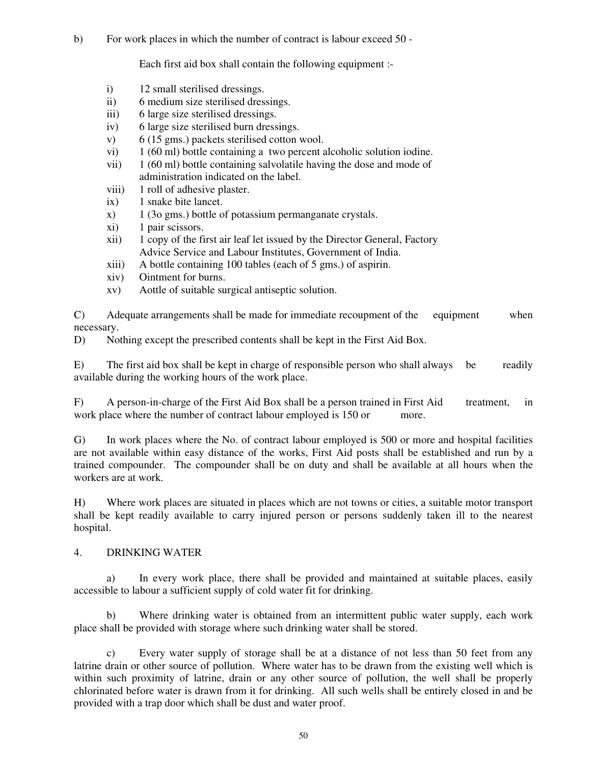# b) For work places in which the number of contract is labour exceed 50 -

Each first aid box shall contain the following equipment :-

- i) 12 small sterilised dressings.
- ii) 6 medium size sterilised dressings.
- iii) 6 large size sterilised dressings.
- iv) 6 large size sterilised burn dressings.
- v) 6 (15 gms.) packets sterilised cotton wool.
- vi) 1 (60 ml) bottle containing a two percent alcoholic solution iodine.
- vii) 1 (60 ml) bottle containing salvolatile having the dose and mode of administration indicated on the label.
- viii) 1 roll of adhesive plaster.
- ix) 1 snake bite lancet.
- x) 1 (3o gms.) bottle of potassium permanganate crystals.
- xi) 1 pair scissors.
- xii) 1 copy of the first air leaf let issued by the Director General, Factory Advice Service and Labour Institutes, Government of India.
- xiii) A bottle containing 100 tables (each of 5 gms.) of aspirin.
- xiv) Ointment for burns.
- xv) Aottle of suitable surgical antiseptic solution.

C) Adequate arrangements shall be made for immediate recoupment of the equipment when necessary.

D) Nothing except the prescribed contents shall be kept in the First Aid Box.

E) The first aid box shall be kept in charge of responsible person who shall always be readily available during the working hours of the work place.

F) A person-in-charge of the First Aid Box shall be a person trained in First Aid treatment, in work place where the number of contract labour employed is 150 or more.

G) In work places where the No. of contract labour employed is 500 or more and hospital facilities are not available within easy distance of the works, First Aid posts shall be established and run by a trained compounder. The compounder shall be on duty and shall be available at all hours when the workers are at work.

H) Where work places are situated in places which are not towns or cities, a suitable motor transport shall be kept readily available to carry injured person or persons suddenly taken ill to the nearest hospital.

#### 4. DRINKING WATER

 a) In every work place, there shall be provided and maintained at suitable places, easily accessible to labour a sufficient supply of cold water fit for drinking.

 b) Where drinking water is obtained from an intermittent public water supply, each work place shall be provided with storage where such drinking water shall be stored.

 c) Every water supply of storage shall be at a distance of not less than 50 feet from any latrine drain or other source of pollution. Where water has to be drawn from the existing well which is within such proximity of latrine, drain or any other source of pollution, the well shall be properly chlorinated before water is drawn from it for drinking. All such wells shall be entirely closed in and be provided with a trap door which shall be dust and water proof.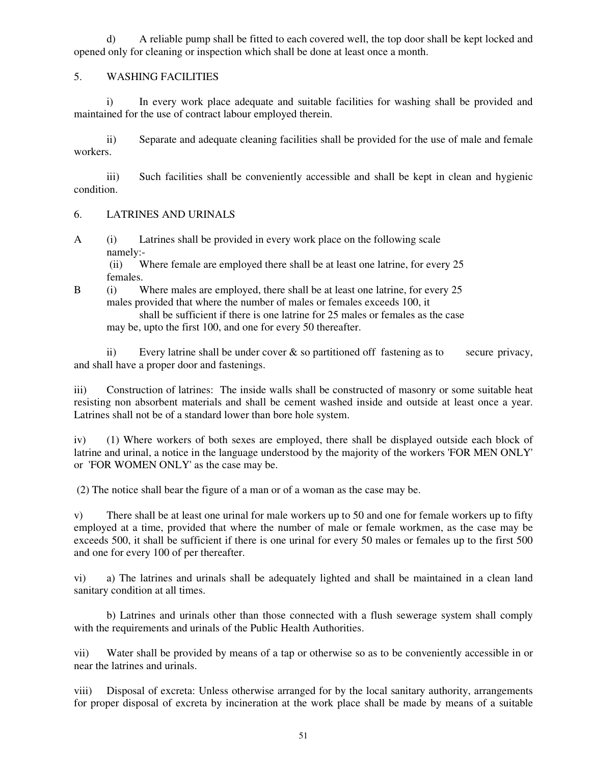d) A reliable pump shall be fitted to each covered well, the top door shall be kept locked and opened only for cleaning or inspection which shall be done at least once a month.

# 5. WASHING FACILITIES

 i) In every work place adequate and suitable facilities for washing shall be provided and maintained for the use of contract labour employed therein.

 ii) Separate and adequate cleaning facilities shall be provided for the use of male and female workers.

 iii) Such facilities shall be conveniently accessible and shall be kept in clean and hygienic condition.

# 6. LATRINES AND URINALS

A (i) Latrines shall be provided in every work place on the following scale namely:-

 (ii) Where female are employed there shall be at least one latrine, for every 25 females.

B (i) Where males are employed, there shall be at least one latrine, for every 25 males provided that where the number of males or females exceeds 100, it

 shall be sufficient if there is one latrine for 25 males or females as the case may be, upto the first 100, and one for every 50 thereafter.

ii) Every latrine shall be under cover  $\&$  so partitioned off fastening as to secure privacy, and shall have a proper door and fastenings.

iii) Construction of latrines: The inside walls shall be constructed of masonry or some suitable heat resisting non absorbent materials and shall be cement washed inside and outside at least once a year. Latrines shall not be of a standard lower than bore hole system.

iv) (1) Where workers of both sexes are employed, there shall be displayed outside each block of latrine and urinal, a notice in the language understood by the majority of the workers 'FOR MEN ONLY' or 'FOR WOMEN ONLY' as the case may be.

(2) The notice shall bear the figure of a man or of a woman as the case may be.

v) There shall be at least one urinal for male workers up to 50 and one for female workers up to fifty employed at a time, provided that where the number of male or female workmen, as the case may be exceeds 500, it shall be sufficient if there is one urinal for every 50 males or females up to the first 500 and one for every 100 of per thereafter.

vi) a) The latrines and urinals shall be adequately lighted and shall be maintained in a clean land sanitary condition at all times.

 b) Latrines and urinals other than those connected with a flush sewerage system shall comply with the requirements and urinals of the Public Health Authorities.

vii) Water shall be provided by means of a tap or otherwise so as to be conveniently accessible in or near the latrines and urinals.

viii) Disposal of excreta: Unless otherwise arranged for by the local sanitary authority, arrangements for proper disposal of excreta by incineration at the work place shall be made by means of a suitable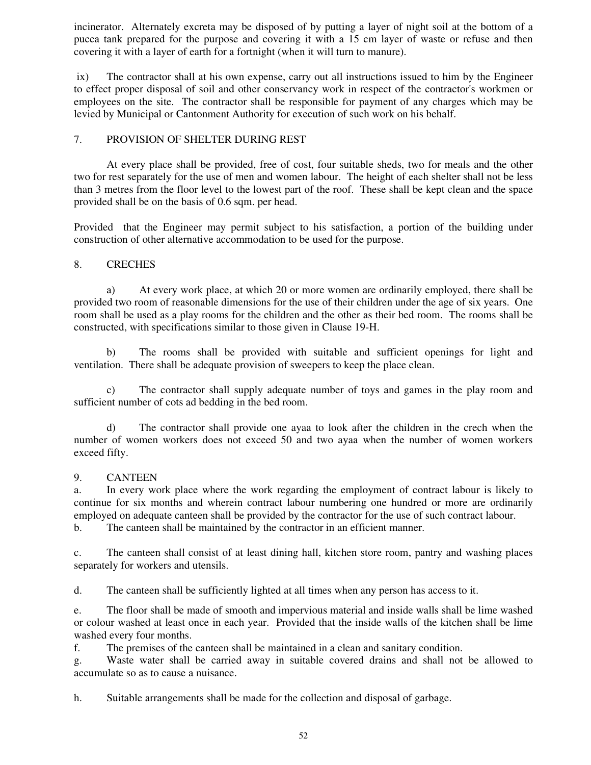incinerator. Alternately excreta may be disposed of by putting a layer of night soil at the bottom of a pucca tank prepared for the purpose and covering it with a 15 cm layer of waste or refuse and then covering it with a layer of earth for a fortnight (when it will turn to manure).

 ix) The contractor shall at his own expense, carry out all instructions issued to him by the Engineer to effect proper disposal of soil and other conservancy work in respect of the contractor's workmen or employees on the site. The contractor shall be responsible for payment of any charges which may be levied by Municipal or Cantonment Authority for execution of such work on his behalf.

# 7. PROVISION OF SHELTER DURING REST

 At every place shall be provided, free of cost, four suitable sheds, two for meals and the other two for rest separately for the use of men and women labour. The height of each shelter shall not be less than 3 metres from the floor level to the lowest part of the roof. These shall be kept clean and the space provided shall be on the basis of 0.6 sqm. per head.

Provided that the Engineer may permit subject to his satisfaction, a portion of the building under construction of other alternative accommodation to be used for the purpose.

# 8. CRECHES

 a) At every work place, at which 20 or more women are ordinarily employed, there shall be provided two room of reasonable dimensions for the use of their children under the age of six years. One room shall be used as a play rooms for the children and the other as their bed room. The rooms shall be constructed, with specifications similar to those given in Clause 19-H.

 b) The rooms shall be provided with suitable and sufficient openings for light and ventilation. There shall be adequate provision of sweepers to keep the place clean.

 c) The contractor shall supply adequate number of toys and games in the play room and sufficient number of cots ad bedding in the bed room.

 d) The contractor shall provide one ayaa to look after the children in the crech when the number of women workers does not exceed 50 and two ayaa when the number of women workers exceed fifty.

#### 9. CANTEEN

a. In every work place where the work regarding the employment of contract labour is likely to continue for six months and wherein contract labour numbering one hundred or more are ordinarily employed on adequate canteen shall be provided by the contractor for the use of such contract labour. b. The canteen shall be maintained by the contractor in an efficient manner.

c. The canteen shall consist of at least dining hall, kitchen store room, pantry and washing places separately for workers and utensils.

d. The canteen shall be sufficiently lighted at all times when any person has access to it.

e. The floor shall be made of smooth and impervious material and inside walls shall be lime washed or colour washed at least once in each year. Provided that the inside walls of the kitchen shall be lime washed every four months.

f. The premises of the canteen shall be maintained in a clean and sanitary condition.

g. Waste water shall be carried away in suitable covered drains and shall not be allowed to accumulate so as to cause a nuisance.

h. Suitable arrangements shall be made for the collection and disposal of garbage.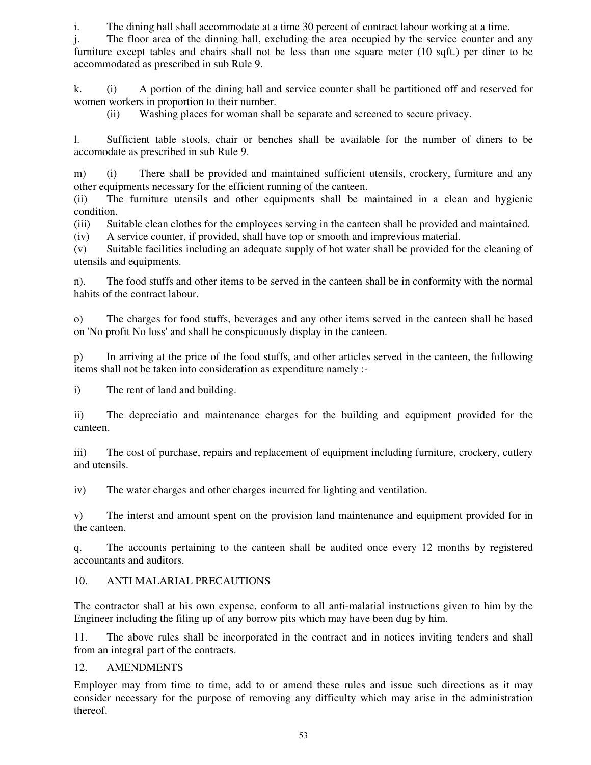i. The dining hall shall accommodate at a time 30 percent of contract labour working at a time.

j. The floor area of the dinning hall, excluding the area occupied by the service counter and any furniture except tables and chairs shall not be less than one square meter (10 sqft.) per diner to be accommodated as prescribed in sub Rule 9.

k. (i) A portion of the dining hall and service counter shall be partitioned off and reserved for women workers in proportion to their number.

(ii) Washing places for woman shall be separate and screened to secure privacy.

l. Sufficient table stools, chair or benches shall be available for the number of diners to be accomodate as prescribed in sub Rule 9.

m) (i) There shall be provided and maintained sufficient utensils, crockery, furniture and any other equipments necessary for the efficient running of the canteen.

(ii) The furniture utensils and other equipments shall be maintained in a clean and hygienic condition.

(iii) Suitable clean clothes for the employees serving in the canteen shall be provided and maintained.

(iv) A service counter, if provided, shall have top or smooth and imprevious material.

(v) Suitable facilities including an adequate supply of hot water shall be provided for the cleaning of utensils and equipments.

n). The food stuffs and other items to be served in the canteen shall be in conformity with the normal habits of the contract labour.

o) The charges for food stuffs, beverages and any other items served in the canteen shall be based on 'No profit No loss' and shall be conspicuously display in the canteen.

p) In arriving at the price of the food stuffs, and other articles served in the canteen, the following items shall not be taken into consideration as expenditure namely :-

i) The rent of land and building.

ii) The depreciatio and maintenance charges for the building and equipment provided for the canteen.

iii) The cost of purchase, repairs and replacement of equipment including furniture, crockery, cutlery and utensils.

iv) The water charges and other charges incurred for lighting and ventilation.

v) The interst and amount spent on the provision land maintenance and equipment provided for in the canteen.

q. The accounts pertaining to the canteen shall be audited once every 12 months by registered accountants and auditors.

# 10. ANTI MALARIAL PRECAUTIONS

The contractor shall at his own expense, conform to all anti-malarial instructions given to him by the Engineer including the filing up of any borrow pits which may have been dug by him.

11. The above rules shall be incorporated in the contract and in notices inviting tenders and shall from an integral part of the contracts.

# 12. AMENDMENTS

Employer may from time to time, add to or amend these rules and issue such directions as it may consider necessary for the purpose of removing any difficulty which may arise in the administration thereof.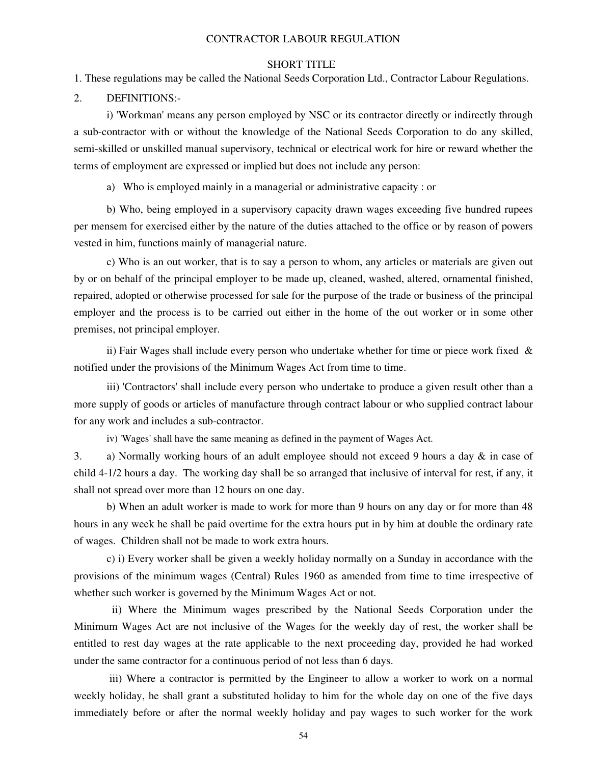#### CONTRACTOR LABOUR REGULATION

#### SHORT TITLE

1. These regulations may be called the National Seeds Corporation Ltd., Contractor Labour Regulations.

#### 2. DEFINITIONS:-

 i) 'Workman' means any person employed by NSC or its contractor directly or indirectly through a sub-contractor with or without the knowledge of the National Seeds Corporation to do any skilled, semi-skilled or unskilled manual supervisory, technical or electrical work for hire or reward whether the terms of employment are expressed or implied but does not include any person:

a) Who is employed mainly in a managerial or administrative capacity : or

 b) Who, being employed in a supervisory capacity drawn wages exceeding five hundred rupees per mensem for exercised either by the nature of the duties attached to the office or by reason of powers vested in him, functions mainly of managerial nature.

 c) Who is an out worker, that is to say a person to whom, any articles or materials are given out by or on behalf of the principal employer to be made up, cleaned, washed, altered, ornamental finished, repaired, adopted or otherwise processed for sale for the purpose of the trade or business of the principal employer and the process is to be carried out either in the home of the out worker or in some other premises, not principal employer.

ii) Fair Wages shall include every person who undertake whether for time or piece work fixed  $\&$ notified under the provisions of the Minimum Wages Act from time to time.

 iii) 'Contractors' shall include every person who undertake to produce a given result other than a more supply of goods or articles of manufacture through contract labour or who supplied contract labour for any work and includes a sub-contractor.

iv) 'Wages' shall have the same meaning as defined in the payment of Wages Act.

3. a) Normally working hours of an adult employee should not exceed 9 hours a day & in case of child 4-1/2 hours a day. The working day shall be so arranged that inclusive of interval for rest, if any, it shall not spread over more than 12 hours on one day.

 b) When an adult worker is made to work for more than 9 hours on any day or for more than 48 hours in any week he shall be paid overtime for the extra hours put in by him at double the ordinary rate of wages. Children shall not be made to work extra hours.

 c) i) Every worker shall be given a weekly holiday normally on a Sunday in accordance with the provisions of the minimum wages (Central) Rules 1960 as amended from time to time irrespective of whether such worker is governed by the Minimum Wages Act or not.

 ii) Where the Minimum wages prescribed by the National Seeds Corporation under the Minimum Wages Act are not inclusive of the Wages for the weekly day of rest, the worker shall be entitled to rest day wages at the rate applicable to the next proceeding day, provided he had worked under the same contractor for a continuous period of not less than 6 days.

 iii) Where a contractor is permitted by the Engineer to allow a worker to work on a normal weekly holiday, he shall grant a substituted holiday to him for the whole day on one of the five days immediately before or after the normal weekly holiday and pay wages to such worker for the work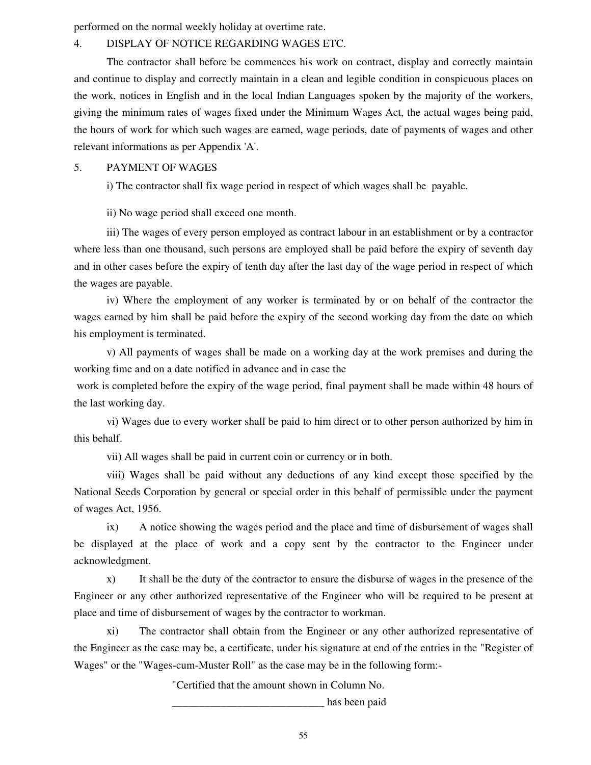performed on the normal weekly holiday at overtime rate.

#### 4. DISPLAY OF NOTICE REGARDING WAGES ETC.

 The contractor shall before be commences his work on contract, display and correctly maintain and continue to display and correctly maintain in a clean and legible condition in conspicuous places on the work, notices in English and in the local Indian Languages spoken by the majority of the workers, giving the minimum rates of wages fixed under the Minimum Wages Act, the actual wages being paid, the hours of work for which such wages are earned, wage periods, date of payments of wages and other relevant informations as per Appendix 'A'.

#### 5. PAYMENT OF WAGES

i) The contractor shall fix wage period in respect of which wages shall be payable.

ii) No wage period shall exceed one month.

 iii) The wages of every person employed as contract labour in an establishment or by a contractor where less than one thousand, such persons are employed shall be paid before the expiry of seventh day and in other cases before the expiry of tenth day after the last day of the wage period in respect of which the wages are payable.

 iv) Where the employment of any worker is terminated by or on behalf of the contractor the wages earned by him shall be paid before the expiry of the second working day from the date on which his employment is terminated.

 v) All payments of wages shall be made on a working day at the work premises and during the working time and on a date notified in advance and in case the

 work is completed before the expiry of the wage period, final payment shall be made within 48 hours of the last working day.

 vi) Wages due to every worker shall be paid to him direct or to other person authorized by him in this behalf.

vii) All wages shall be paid in current coin or currency or in both.

 viii) Wages shall be paid without any deductions of any kind except those specified by the National Seeds Corporation by general or special order in this behalf of permissible under the payment of wages Act, 1956.

 ix) A notice showing the wages period and the place and time of disbursement of wages shall be displayed at the place of work and a copy sent by the contractor to the Engineer under acknowledgment.

 x) It shall be the duty of the contractor to ensure the disburse of wages in the presence of the Engineer or any other authorized representative of the Engineer who will be required to be present at place and time of disbursement of wages by the contractor to workman.

 xi) The contractor shall obtain from the Engineer or any other authorized representative of the Engineer as the case may be, a certificate, under his signature at end of the entries in the "Register of Wages" or the "Wages-cum-Muster Roll" as the case may be in the following form:-

"Certified that the amount shown in Column No.

has been paid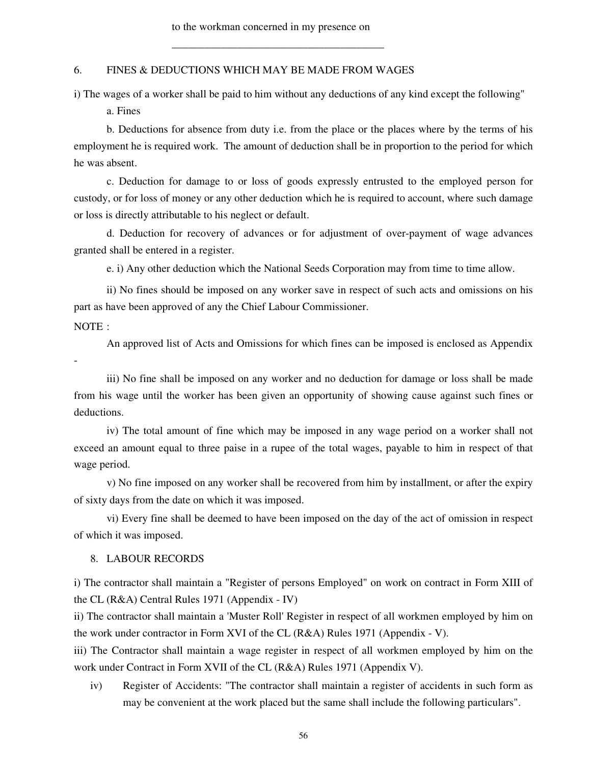#### 6. FINES & DEDUCTIONS WHICH MAY BE MADE FROM WAGES

 $\overline{\phantom{a}}$  ,  $\overline{\phantom{a}}$  ,  $\overline{\phantom{a}}$  ,  $\overline{\phantom{a}}$  ,  $\overline{\phantom{a}}$  ,  $\overline{\phantom{a}}$  ,  $\overline{\phantom{a}}$  ,  $\overline{\phantom{a}}$  ,  $\overline{\phantom{a}}$  ,  $\overline{\phantom{a}}$  ,  $\overline{\phantom{a}}$  ,  $\overline{\phantom{a}}$  ,  $\overline{\phantom{a}}$  ,  $\overline{\phantom{a}}$  ,  $\overline{\phantom{a}}$  ,  $\overline{\phantom{a}}$ 

i) The wages of a worker shall be paid to him without any deductions of any kind except the following" a. Fines

 b. Deductions for absence from duty i.e. from the place or the places where by the terms of his employment he is required work. The amount of deduction shall be in proportion to the period for which he was absent.

 c. Deduction for damage to or loss of goods expressly entrusted to the employed person for custody, or for loss of money or any other deduction which he is required to account, where such damage or loss is directly attributable to his neglect or default.

 d. Deduction for recovery of advances or for adjustment of over-payment of wage advances granted shall be entered in a register.

e. i) Any other deduction which the National Seeds Corporation may from time to time allow.

 ii) No fines should be imposed on any worker save in respect of such acts and omissions on his part as have been approved of any the Chief Labour Commissioner.

#### NOTE :

-

An approved list of Acts and Omissions for which fines can be imposed is enclosed as Appendix

 iii) No fine shall be imposed on any worker and no deduction for damage or loss shall be made from his wage until the worker has been given an opportunity of showing cause against such fines or deductions.

 iv) The total amount of fine which may be imposed in any wage period on a worker shall not exceed an amount equal to three paise in a rupee of the total wages, payable to him in respect of that wage period.

 v) No fine imposed on any worker shall be recovered from him by installment, or after the expiry of sixty days from the date on which it was imposed.

 vi) Every fine shall be deemed to have been imposed on the day of the act of omission in respect of which it was imposed.

#### 8. LABOUR RECORDS

i) The contractor shall maintain a "Register of persons Employed" on work on contract in Form XIII of the CL (R&A) Central Rules 1971 (Appendix - IV)

ii) The contractor shall maintain a 'Muster Roll' Register in respect of all workmen employed by him on the work under contractor in Form XVI of the CL (R&A) Rules 1971 (Appendix - V).

iii) The Contractor shall maintain a wage register in respect of all workmen employed by him on the work under Contract in Form XVII of the CL (R&A) Rules 1971 (Appendix V).

iv) Register of Accidents: "The contractor shall maintain a register of accidents in such form as may be convenient at the work placed but the same shall include the following particulars".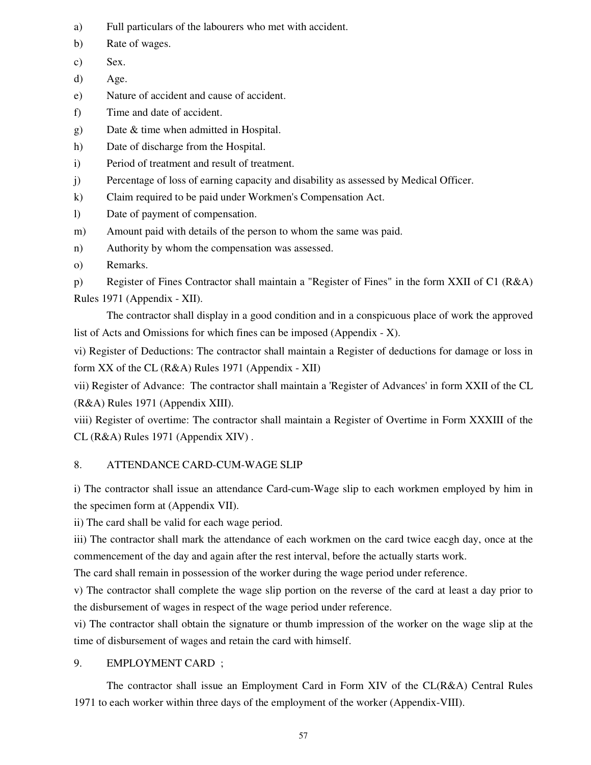- a) Full particulars of the labourers who met with accident.
- b) Rate of wages.
- c) Sex.
- d) Age.
- e) Nature of accident and cause of accident.
- f) Time and date of accident.
- g) Date & time when admitted in Hospital.
- h) Date of discharge from the Hospital.
- i) Period of treatment and result of treatment.
- j) Percentage of loss of earning capacity and disability as assessed by Medical Officer.
- k) Claim required to be paid under Workmen's Compensation Act.
- l) Date of payment of compensation.
- m) Amount paid with details of the person to whom the same was paid.
- n) Authority by whom the compensation was assessed.
- o) Remarks.

p) Register of Fines Contractor shall maintain a "Register of Fines" in the form XXII of C1 (R&A) Rules 1971 (Appendix - XII).

 The contractor shall display in a good condition and in a conspicuous place of work the approved list of Acts and Omissions for which fines can be imposed (Appendix - X).

vi) Register of Deductions: The contractor shall maintain a Register of deductions for damage or loss in form XX of the CL (R&A) Rules 1971 (Appendix - XII)

vii) Register of Advance: The contractor shall maintain a 'Register of Advances' in form XXII of the CL (R&A) Rules 1971 (Appendix XIII).

viii) Register of overtime: The contractor shall maintain a Register of Overtime in Form XXXIII of the CL (R&A) Rules 1971 (Appendix XIV) .

# 8. ATTENDANCE CARD-CUM-WAGE SLIP

i) The contractor shall issue an attendance Card-cum-Wage slip to each workmen employed by him in the specimen form at (Appendix VII).

ii) The card shall be valid for each wage period.

iii) The contractor shall mark the attendance of each workmen on the card twice eacgh day, once at the commencement of the day and again after the rest interval, before the actually starts work.

The card shall remain in possession of the worker during the wage period under reference.

v) The contractor shall complete the wage slip portion on the reverse of the card at least a day prior to the disbursement of wages in respect of the wage period under reference.

vi) The contractor shall obtain the signature or thumb impression of the worker on the wage slip at the time of disbursement of wages and retain the card with himself.

# 9. EMPLOYMENT CARD ;

 The contractor shall issue an Employment Card in Form XIV of the CL(R&A) Central Rules 1971 to each worker within three days of the employment of the worker (Appendix-VIII).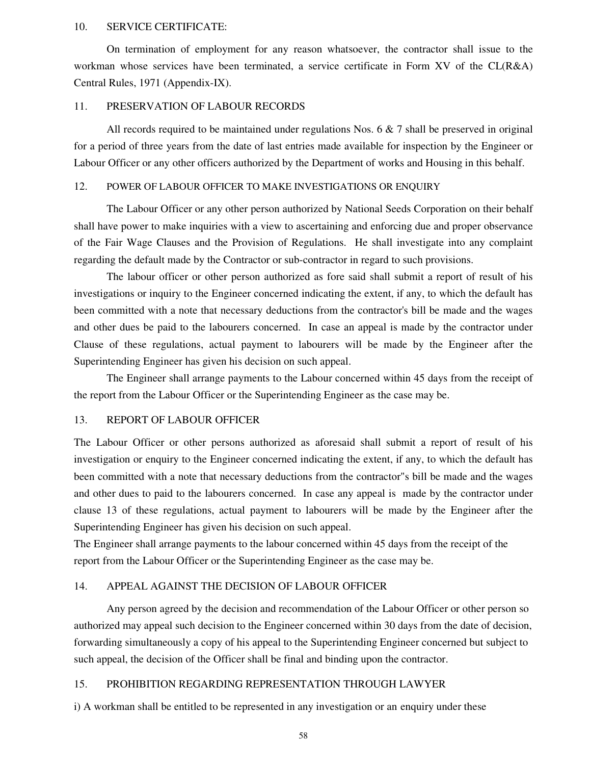#### 10. SERVICE CERTIFICATE:

 On termination of employment for any reason whatsoever, the contractor shall issue to the workman whose services have been terminated, a service certificate in Form XV of the CL(R&A) Central Rules, 1971 (Appendix-IX).

#### 11. PRESERVATION OF LABOUR RECORDS

All records required to be maintained under regulations Nos. 6  $\&$  7 shall be preserved in original for a period of three years from the date of last entries made available for inspection by the Engineer or Labour Officer or any other officers authorized by the Department of works and Housing in this behalf.

#### 12. POWER OF LABOUR OFFICER TO MAKE INVESTIGATIONS OR ENQUIRY

 The Labour Officer or any other person authorized by National Seeds Corporation on their behalf shall have power to make inquiries with a view to ascertaining and enforcing due and proper observance of the Fair Wage Clauses and the Provision of Regulations. He shall investigate into any complaint regarding the default made by the Contractor or sub-contractor in regard to such provisions.

 The labour officer or other person authorized as fore said shall submit a report of result of his investigations or inquiry to the Engineer concerned indicating the extent, if any, to which the default has been committed with a note that necessary deductions from the contractor's bill be made and the wages and other dues be paid to the labourers concerned. In case an appeal is made by the contractor under Clause of these regulations, actual payment to labourers will be made by the Engineer after the Superintending Engineer has given his decision on such appeal.

 The Engineer shall arrange payments to the Labour concerned within 45 days from the receipt of the report from the Labour Officer or the Superintending Engineer as the case may be.

#### 13. REPORT OF LABOUR OFFICER

The Labour Officer or other persons authorized as aforesaid shall submit a report of result of his investigation or enquiry to the Engineer concerned indicating the extent, if any, to which the default has been committed with a note that necessary deductions from the contractor"s bill be made and the wages and other dues to paid to the labourers concerned. In case any appeal is made by the contractor under clause 13 of these regulations, actual payment to labourers will be made by the Engineer after the Superintending Engineer has given his decision on such appeal.

The Engineer shall arrange payments to the labour concerned within 45 days from the receipt of the report from the Labour Officer or the Superintending Engineer as the case may be.

#### 14. APPEAL AGAINST THE DECISION OF LABOUR OFFICER

 Any person agreed by the decision and recommendation of the Labour Officer or other person so authorized may appeal such decision to the Engineer concerned within 30 days from the date of decision, forwarding simultaneously a copy of his appeal to the Superintending Engineer concerned but subject to such appeal, the decision of the Officer shall be final and binding upon the contractor.

#### 15. PROHIBITION REGARDING REPRESENTATION THROUGH LAWYER

i) A workman shall be entitled to be represented in any investigation or an enquiry under these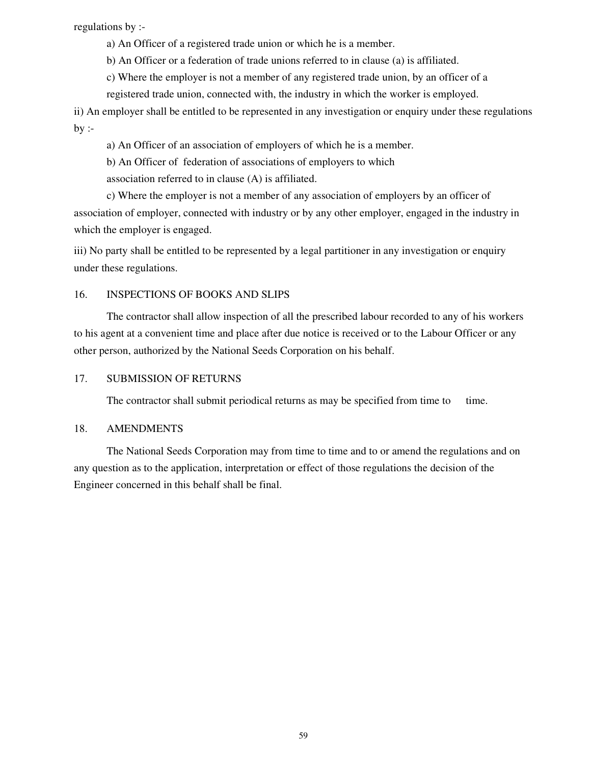regulations by :-

a) An Officer of a registered trade union or which he is a member.

b) An Officer or a federation of trade unions referred to in clause (a) is affiliated.

c) Where the employer is not a member of any registered trade union, by an officer of a

registered trade union, connected with, the industry in which the worker is employed.

ii) An employer shall be entitled to be represented in any investigation or enquiry under these regulations  $by:$ 

a) An Officer of an association of employers of which he is a member.

b) An Officer of federation of associations of employers to which

association referred to in clause (A) is affiliated.

 c) Where the employer is not a member of any association of employers by an officer of association of employer, connected with industry or by any other employer, engaged in the industry in which the employer is engaged.

iii) No party shall be entitled to be represented by a legal partitioner in any investigation or enquiry under these regulations.

#### 16. INSPECTIONS OF BOOKS AND SLIPS

 The contractor shall allow inspection of all the prescribed labour recorded to any of his workers to his agent at a convenient time and place after due notice is received or to the Labour Officer or any other person, authorized by the National Seeds Corporation on his behalf.

#### 17. SUBMISSION OF RETURNS

The contractor shall submit periodical returns as may be specified from time to time.

#### 18. AMENDMENTS

 The National Seeds Corporation may from time to time and to or amend the regulations and on any question as to the application, interpretation or effect of those regulations the decision of the Engineer concerned in this behalf shall be final.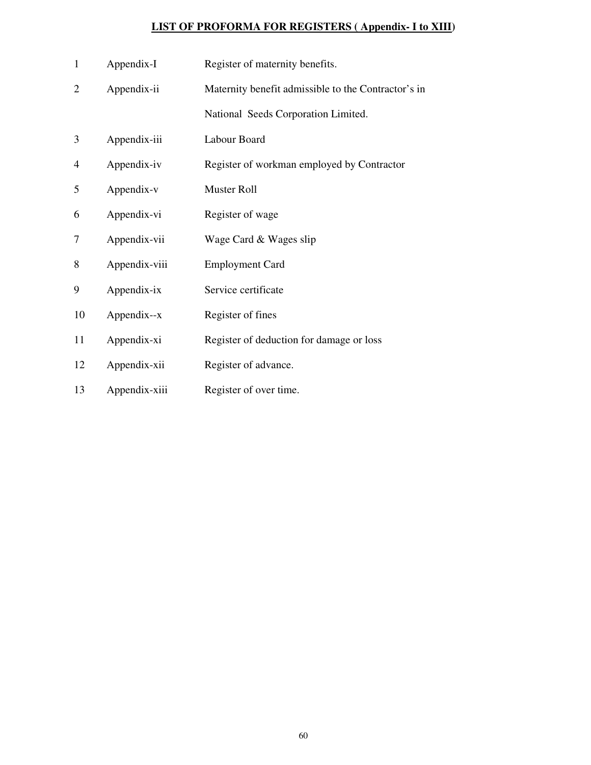# **LIST OF PROFORMA FOR REGISTERS ( Appendix- I to XIII)**

| $\mathbf{1}$   | Appendix-I    | Register of maternity benefits.                     |  |
|----------------|---------------|-----------------------------------------------------|--|
| $\overline{2}$ | Appendix-ii   | Maternity benefit admissible to the Contractor's in |  |
|                |               | National Seeds Corporation Limited.                 |  |
| 3              | Appendix-iii  | Labour Board                                        |  |
| 4              | Appendix-iv   | Register of workman employed by Contractor          |  |
| 5              | Appendix-v    | Muster Roll                                         |  |
| 6              | Appendix-vi   | Register of wage                                    |  |
| 7              | Appendix-vii  | Wage Card & Wages slip                              |  |
| 8              | Appendix-viii | <b>Employment Card</b>                              |  |
| 9              | Appendix-ix   | Service certificate                                 |  |
| 10             | Appendix--x   | Register of fines                                   |  |
| 11             | Appendix-xi   | Register of deduction for damage or loss            |  |
| 12             | Appendix-xii  | Register of advance.                                |  |
| 13             | Appendix-xiii | Register of over time.                              |  |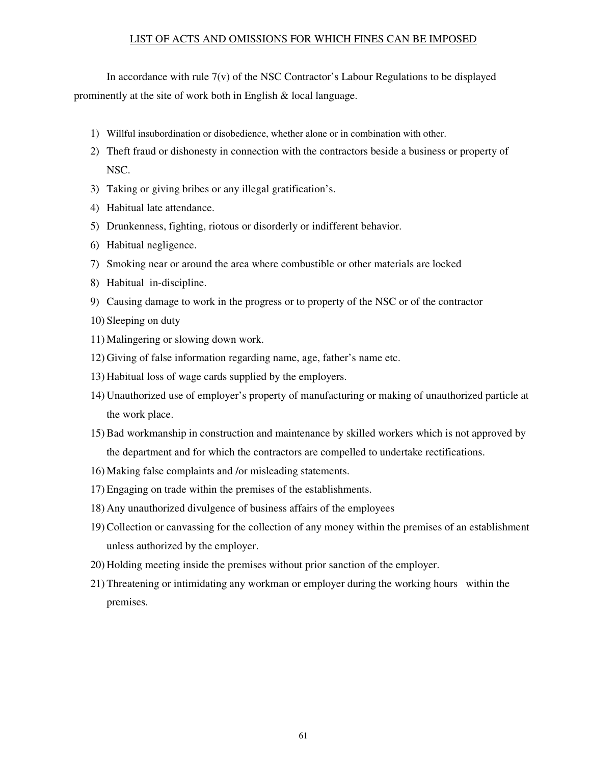#### LIST OF ACTS AND OMISSIONS FOR WHICH FINES CAN BE IMPOSED

In accordance with rule  $7(y)$  of the NSC Contractor's Labour Regulations to be displayed prominently at the site of work both in English & local language.

- 1) Willful insubordination or disobedience, whether alone or in combination with other.
- 2) Theft fraud or dishonesty in connection with the contractors beside a business or property of NSC.
- 3) Taking or giving bribes or any illegal gratification's.
- 4) Habitual late attendance.
- 5) Drunkenness, fighting, riotous or disorderly or indifferent behavior.
- 6) Habitual negligence.
- 7) Smoking near or around the area where combustible or other materials are locked
- 8) Habitual in-discipline.
- 9) Causing damage to work in the progress or to property of the NSC or of the contractor
- 10) Sleeping on duty
- 11) Malingering or slowing down work.
- 12) Giving of false information regarding name, age, father's name etc.
- 13) Habitual loss of wage cards supplied by the employers.
- 14) Unauthorized use of employer's property of manufacturing or making of unauthorized particle at the work place.
- 15) Bad workmanship in construction and maintenance by skilled workers which is not approved by the department and for which the contractors are compelled to undertake rectifications.
- 16) Making false complaints and /or misleading statements.
- 17) Engaging on trade within the premises of the establishments.
- 18) Any unauthorized divulgence of business affairs of the employees
- 19) Collection or canvassing for the collection of any money within the premises of an establishment unless authorized by the employer.
- 20) Holding meeting inside the premises without prior sanction of the employer.
- 21) Threatening or intimidating any workman or employer during the working hours within the premises.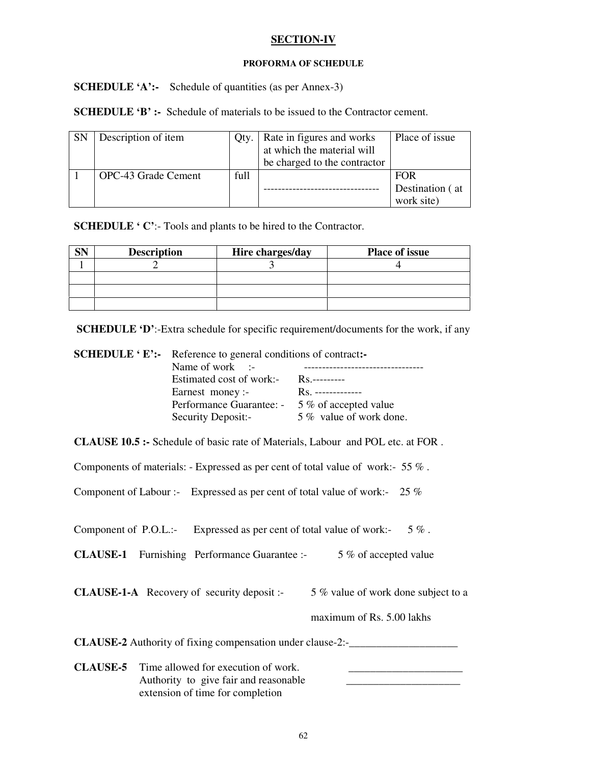#### **SECTION-IV**

# **PROFORMA OF SCHEDULE**

**SCHEDULE 'A':-** Schedule of quantities (as per Annex-3)

**SCHEDULE 'B' :-** Schedule of materials to be issued to the Contractor cement.

| <b>SN</b> | Description of item        | Oty. | Rate in figures and works<br>at which the material will<br>be charged to the contractor | Place of issue  |
|-----------|----------------------------|------|-----------------------------------------------------------------------------------------|-----------------|
|           | <b>OPC-43 Grade Cement</b> | full |                                                                                         | <b>FOR</b>      |
|           |                            |      |                                                                                         | Destination (at |
|           |                            |      |                                                                                         | work site)      |

**SCHEDULE 'C':-** Tools and plants to be hired to the Contractor.

| ור | <b>Description</b> | Hire charges/day | <b>Place of issue</b> |
|----|--------------------|------------------|-----------------------|
|    |                    |                  |                       |
|    |                    |                  |                       |
|    |                    |                  |                       |
|    |                    |                  |                       |

**SCHEDULE 'D':-Extra schedule for specific requirement/documents for the work, if any** 

| <b>SCHEDULE 'E':-</b> Reference to general conditions of contract:- |                         |  |
|---------------------------------------------------------------------|-------------------------|--|
| Name of work $\therefore$                                           |                         |  |
| Estimated cost of work:- Rs.---------                               |                         |  |
| Earnest money :-                                                    | $Rs.$ --------------    |  |
| Performance Guarantee: - 5 % of accepted value                      |                         |  |
| Security Deposit:-                                                  | 5 % value of work done. |  |
|                                                                     |                         |  |

**CLAUSE 10.5 :-** Schedule of basic rate of Materials, Labour and POL etc. at FOR .

Components of materials: - Expressed as per cent of total value of work:- 55 % .

Component of Labour :- Expressed as per cent of total value of work:- 25 %

Component of P.O.L.:- Expressed as per cent of total value of work:-  $5\%$ .

**CLAUSE-1** Furnishing Performance Guarantee :- 5 % of accepted value

**CLAUSE-1-A** Recovery of security deposit :- 5 % value of work done subject to a

maximum of Rs. 5.00 lakhs

**CLAUSE-2** Authority of fixing compensation under clause-2:-\_\_\_\_\_\_\_\_\_\_\_\_\_\_\_\_\_\_\_\_

**CLAUSE-5** Time allowed for execution of work. Authority to give fair and reasonable extension of time for completion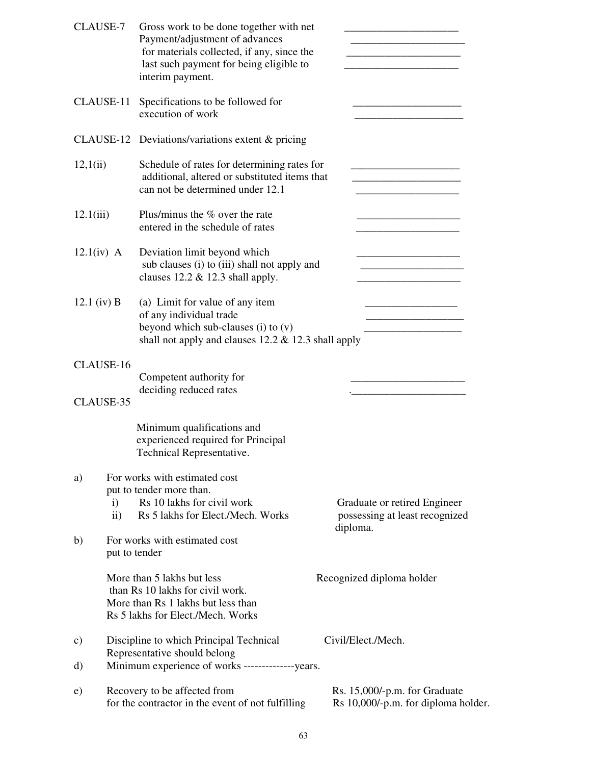| <b>CLAUSE-7</b>                                                     |                                                                                                                             | Gross work to be done together with net<br>Payment/adjustment of advances<br>for materials collected, if any, since the<br>last such payment for being eligible to<br>interim payment. |                                                                      |
|---------------------------------------------------------------------|-----------------------------------------------------------------------------------------------------------------------------|----------------------------------------------------------------------------------------------------------------------------------------------------------------------------------------|----------------------------------------------------------------------|
| CLAUSE-11<br>Specifications to be followed for<br>execution of work |                                                                                                                             |                                                                                                                                                                                        |                                                                      |
|                                                                     |                                                                                                                             | CLAUSE-12 Deviations/variations extent $&$ pricing                                                                                                                                     |                                                                      |
| 12,1(ii)                                                            |                                                                                                                             | Schedule of rates for determining rates for<br>additional, altered or substituted items that<br>can not be determined under 12.1                                                       |                                                                      |
| 12.1(iii)                                                           |                                                                                                                             | Plus/minus the $\%$ over the rate<br>entered in the schedule of rates                                                                                                                  |                                                                      |
| $12.1(iv)$ A                                                        |                                                                                                                             | Deviation limit beyond which<br>sub clauses (i) to (iii) shall not apply and<br>clauses $12.2 \& 12.3$ shall apply.                                                                    |                                                                      |
| 12.1 (iv) B                                                         |                                                                                                                             | (a) Limit for value of any item<br>of any individual trade<br>beyond which sub-clauses (i) to (v)<br>shall not apply and clauses $12.2 \& 12.3$ shall apply                            |                                                                      |
| CLAUSE-16<br>CLAUSE-35                                              |                                                                                                                             | Competent authority for<br>deciding reduced rates                                                                                                                                      |                                                                      |
|                                                                     |                                                                                                                             | Minimum qualifications and<br>experienced required for Principal<br>Technical Representative.                                                                                          |                                                                      |
| a)                                                                  | $\mathbf{i}$                                                                                                                | For works with estimated cost<br>put to tender more than.<br>Rs 10 lakhs for civil work                                                                                                | Graduate or retired Engineer                                         |
|                                                                     | $\mathbf{ii}$                                                                                                               | Rs 5 lakhs for Elect./Mech. Works                                                                                                                                                      | possessing at least recognized<br>diploma.                           |
| b)                                                                  | put to tender                                                                                                               | For works with estimated cost                                                                                                                                                          |                                                                      |
|                                                                     |                                                                                                                             | More than 5 lakhs but less<br>than Rs 10 lakhs for civil work.<br>More than Rs 1 lakhs but less than<br>Rs 5 lakhs for Elect./Mech. Works                                              | Recognized diploma holder                                            |
| c)<br>d)                                                            | Discipline to which Principal Technical<br>Representative should belong<br>Minimum experience of works --------------years. |                                                                                                                                                                                        | Civil/Elect./Mech.                                                   |
|                                                                     |                                                                                                                             |                                                                                                                                                                                        |                                                                      |
| e)                                                                  | Recovery to be affected from<br>for the contractor in the event of not fulfilling                                           |                                                                                                                                                                                        | Rs. 15,000/-p.m. for Graduate<br>Rs 10,000/-p.m. for diploma holder. |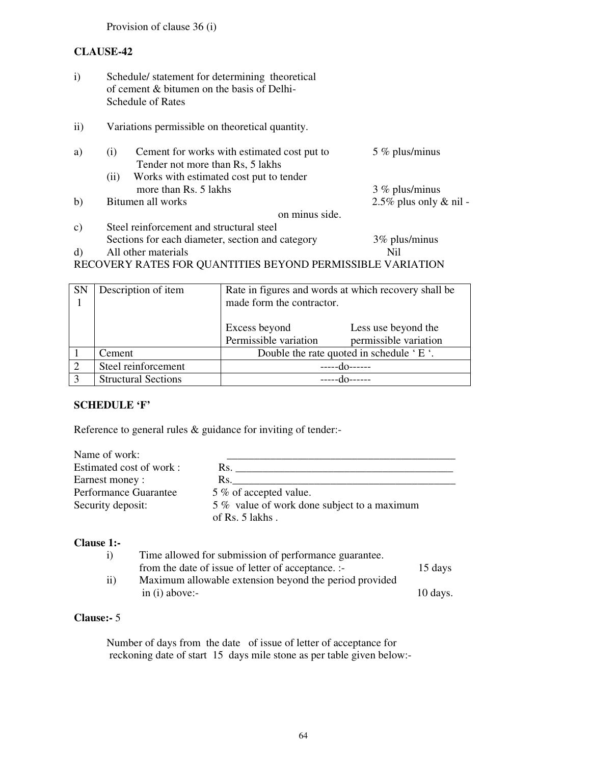Provision of clause 36 (i)

#### **CLAUSE-42**

| $\mathbf{i}$  | Schedule/statement for determining theoretical<br>of cement & bitumen on the basis of Delhi-<br>Schedule of Rates |                           |  |
|---------------|-------------------------------------------------------------------------------------------------------------------|---------------------------|--|
| $\rm ii)$     | Variations permissible on theoretical quantity.                                                                   |                           |  |
| a)            | Cement for works with estimated cost put to<br>(i)<br>Tender not more than Rs, 5 lakhs                            | 5 % plus/minus            |  |
|               | Works with estimated cost put to tender<br>(ii)                                                                   |                           |  |
|               | more than Rs. 5 lakhs                                                                                             | 3 % plus/minus            |  |
| b)            | Bitumen all works                                                                                                 | $2.5\%$ plus only & nil - |  |
|               | on minus side.                                                                                                    |                           |  |
| $\mathbf{c})$ | Steel reinforcement and structural steel                                                                          |                           |  |
|               | 3% plus/minus<br>Sections for each diameter, section and category                                                 |                           |  |
| d)            | All other materials                                                                                               | Nil                       |  |
|               | RECOVERY RATES FOR QUANTITIES BEYOND PERMISSIBLE VARIATION                                                        |                           |  |
|               |                                                                                                                   |                           |  |

| <b>SN</b>    | Description of item        | Rate in figures and words at which recovery shall be<br>made form the contractor. |                                              |
|--------------|----------------------------|-----------------------------------------------------------------------------------|----------------------------------------------|
|              |                            | Excess beyond<br>Permissible variation                                            | Less use beyond the<br>permissible variation |
|              | Cement                     | Double the rate quoted in schedule 'E'.                                           |                                              |
| 2            | Steel reinforcement        |                                                                                   |                                              |
| $\mathbf{a}$ | <b>Structural Sections</b> |                                                                                   |                                              |

# **SCHEDULE 'F'**

Reference to general rules & guidance for inviting of tender:-

| Name of work:           |                                             |
|-------------------------|---------------------------------------------|
| Estimated cost of work: | Rs.                                         |
| Earnest money:          | Rs.                                         |
| Performance Guarantee   | 5 % of accepted value.                      |
| Security deposit:       | 5 % value of work done subject to a maximum |
|                         | of Rs. 5 lakhs.                             |

# **Clause 1:-**

|     | Time allowed for submission of performance guarantee.  |                     |
|-----|--------------------------------------------------------|---------------------|
|     | from the date of issue of letter of acceptance. :-     | 15 days             |
| ii) | Maximum allowable extension beyond the period provided |                     |
|     | in $(i)$ above:-                                       | $10 \text{ days}$ . |
|     |                                                        |                     |

# **Clause:-** 5

 Number of days from the date of issue of letter of acceptance for reckoning date of start 15 days mile stone as per table given below:-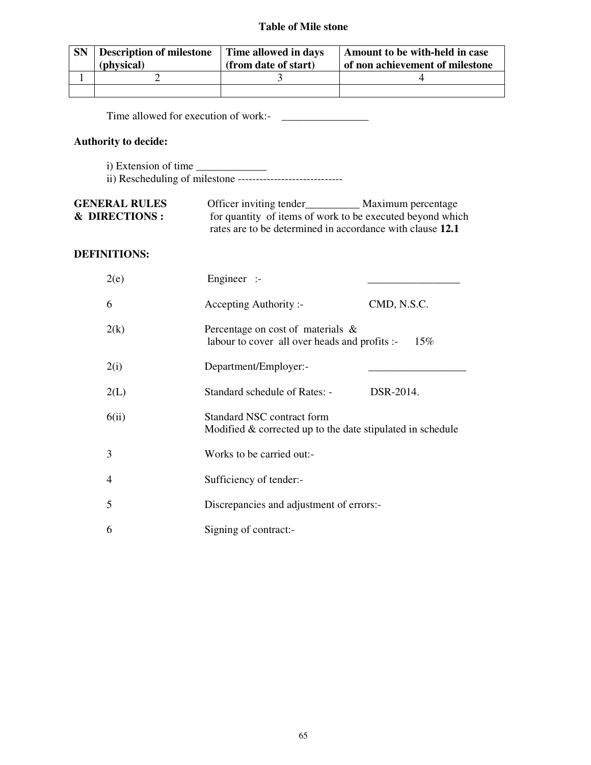# **Table of Mile stone**

| <b>SN</b>                             | <b>Description of milestone</b><br>(physical) | Time allowed in days<br>(from date of start)                                               | Amount to be with-held in case<br>of non achievement of milestone                                                      |  |  |
|---------------------------------------|-----------------------------------------------|--------------------------------------------------------------------------------------------|------------------------------------------------------------------------------------------------------------------------|--|--|
| $\mathbf{1}$                          | $\overline{2}$                                | 3                                                                                          | 4                                                                                                                      |  |  |
|                                       |                                               |                                                                                            |                                                                                                                        |  |  |
|                                       | Time allowed for execution of work:-          |                                                                                            |                                                                                                                        |  |  |
|                                       | <b>Authority to decide:</b>                   |                                                                                            |                                                                                                                        |  |  |
|                                       | i) Extension of time                          | ii) Rescheduling of milestone ------------------------------                               |                                                                                                                        |  |  |
| <b>GENERAL RULES</b><br>& DIRECTIONS: |                                               |                                                                                            | for quantity of items of work to be executed beyond which<br>rates are to be determined in accordance with clause 12.1 |  |  |
|                                       | <b>DEFINITIONS:</b>                           |                                                                                            |                                                                                                                        |  |  |
|                                       | 2(e)                                          | Engineer :-                                                                                |                                                                                                                        |  |  |
|                                       | 6                                             | Accepting Authority :-                                                                     | CMD, N.S.C.                                                                                                            |  |  |
|                                       | 2(k)                                          | Percentage on cost of materials &<br>labour to cover all over heads and profits :-         | 15%                                                                                                                    |  |  |
|                                       | 2(i)                                          | Department/Employer:-                                                                      |                                                                                                                        |  |  |
|                                       | 2(L)                                          | Standard schedule of Rates: -                                                              | DSR-2014.                                                                                                              |  |  |
|                                       | 6(ii)                                         | Standard NSC contract form<br>Modified $&$ corrected up to the date stipulated in schedule |                                                                                                                        |  |  |
|                                       | 3                                             | Works to be carried out:-                                                                  |                                                                                                                        |  |  |
|                                       | 4                                             | Sufficiency of tender:-                                                                    |                                                                                                                        |  |  |
|                                       | 5                                             | Discrepancies and adjustment of errors:-                                                   |                                                                                                                        |  |  |
|                                       | 6                                             | Signing of contract:-                                                                      |                                                                                                                        |  |  |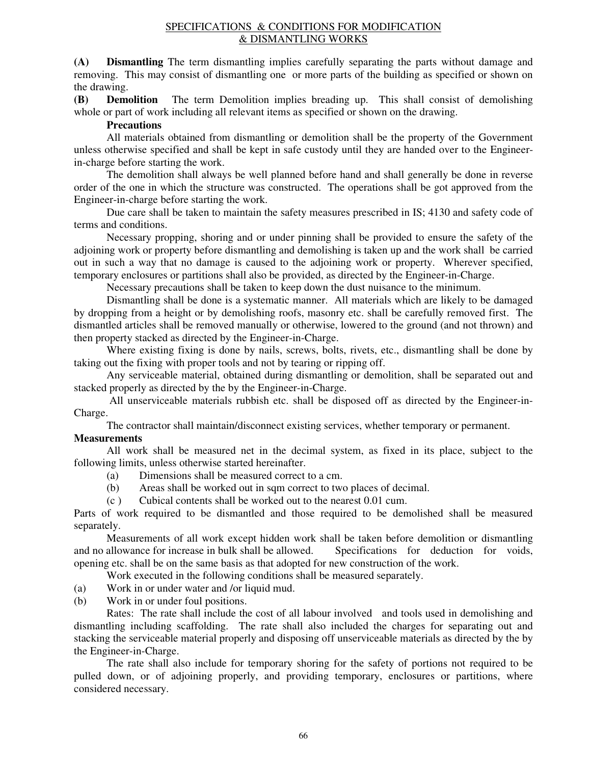#### SPECIFICATIONS & CONDITIONS FOR MODIFICATION & DISMANTLING WORKS

**(A) Dismantling** The term dismantling implies carefully separating the parts without damage and removing. This may consist of dismantling one or more parts of the building as specified or shown on the drawing.

**(B) Demolition** The term Demolition implies breading up. This shall consist of demolishing whole or part of work including all relevant items as specified or shown on the drawing.

#### **Precautions**

 All materials obtained from dismantling or demolition shall be the property of the Government unless otherwise specified and shall be kept in safe custody until they are handed over to the Engineerin-charge before starting the work.

 The demolition shall always be well planned before hand and shall generally be done in reverse order of the one in which the structure was constructed. The operations shall be got approved from the Engineer-in-charge before starting the work.

 Due care shall be taken to maintain the safety measures prescribed in IS; 4130 and safety code of terms and conditions.

 Necessary propping, shoring and or under pinning shall be provided to ensure the safety of the adjoining work or property before dismantling and demolishing is taken up and the work shall be carried out in such a way that no damage is caused to the adjoining work or property. Wherever specified, temporary enclosures or partitions shall also be provided, as directed by the Engineer-in-Charge.

Necessary precautions shall be taken to keep down the dust nuisance to the minimum.

 Dismantling shall be done is a systematic manner. All materials which are likely to be damaged by dropping from a height or by demolishing roofs, masonry etc. shall be carefully removed first. The dismantled articles shall be removed manually or otherwise, lowered to the ground (and not thrown) and then property stacked as directed by the Engineer-in-Charge.

 Where existing fixing is done by nails, screws, bolts, rivets, etc., dismantling shall be done by taking out the fixing with proper tools and not by tearing or ripping off.

 Any serviceable material, obtained during dismantling or demolition, shall be separated out and stacked properly as directed by the by the Engineer-in-Charge.

 All unserviceable materials rubbish etc. shall be disposed off as directed by the Engineer-in-Charge.

The contractor shall maintain/disconnect existing services, whether temporary or permanent.

#### **Measurements**

 All work shall be measured net in the decimal system, as fixed in its place, subject to the following limits, unless otherwise started hereinafter.

- (a) Dimensions shall be measured correct to a cm.
- (b) Areas shall be worked out in sqm correct to two places of decimal.

(c ) Cubical contents shall be worked out to the nearest 0.01 cum.

Parts of work required to be dismantled and those required to be demolished shall be measured separately.

 Measurements of all work except hidden work shall be taken before demolition or dismantling and no allowance for increase in bulk shall be allowed. Specifications for deduction for voids, opening etc. shall be on the same basis as that adopted for new construction of the work.

Work executed in the following conditions shall be measured separately.

- (a) Work in or under water and /or liquid mud.
- (b) Work in or under foul positions.

 Rates: The rate shall include the cost of all labour involved and tools used in demolishing and dismantling including scaffolding. The rate shall also included the charges for separating out and stacking the serviceable material properly and disposing off unserviceable materials as directed by the by the Engineer-in-Charge.

 The rate shall also include for temporary shoring for the safety of portions not required to be pulled down, or of adjoining properly, and providing temporary, enclosures or partitions, where considered necessary.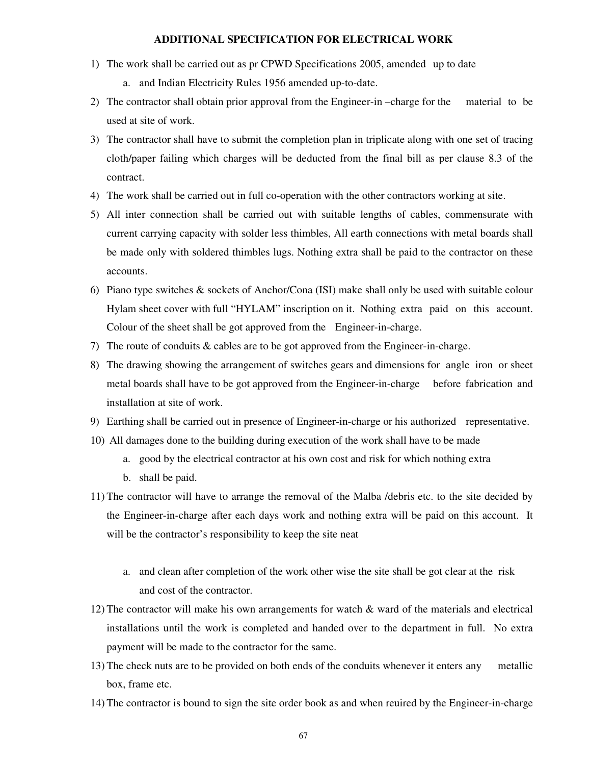#### **ADDITIONAL SPECIFICATION FOR ELECTRICAL WORK**

- 1) The work shall be carried out as pr CPWD Specifications 2005, amended up to date
	- a. and Indian Electricity Rules 1956 amended up-to-date.
- 2) The contractor shall obtain prior approval from the Engineer-in –charge for the material to be used at site of work.
- 3) The contractor shall have to submit the completion plan in triplicate along with one set of tracing cloth/paper failing which charges will be deducted from the final bill as per clause 8.3 of the contract.
- 4) The work shall be carried out in full co-operation with the other contractors working at site.
- 5) All inter connection shall be carried out with suitable lengths of cables, commensurate with current carrying capacity with solder less thimbles, All earth connections with metal boards shall be made only with soldered thimbles lugs. Nothing extra shall be paid to the contractor on these accounts.
- 6) Piano type switches  $\&$  sockets of Anchor/Cona (ISI) make shall only be used with suitable colour Hylam sheet cover with full "HYLAM" inscription on it. Nothing extra paid on this account. Colour of the sheet shall be got approved from the Engineer-in-charge.
- 7) The route of conduits & cables are to be got approved from the Engineer-in-charge.
- 8) The drawing showing the arrangement of switches gears and dimensions for angle iron or sheet metal boards shall have to be got approved from the Engineer-in-charge before fabrication and installation at site of work.
- 9) Earthing shall be carried out in presence of Engineer-in-charge or his authorized representative.
- 10) All damages done to the building during execution of the work shall have to be made
	- a. good by the electrical contractor at his own cost and risk for which nothing extra
	- b. shall be paid.
- 11) The contractor will have to arrange the removal of the Malba /debris etc. to the site decided by the Engineer-in-charge after each days work and nothing extra will be paid on this account. It will be the contractor's responsibility to keep the site neat
	- a. and clean after completion of the work other wise the site shall be got clear at the risk and cost of the contractor.
- 12) The contractor will make his own arrangements for watch & ward of the materials and electrical installations until the work is completed and handed over to the department in full. No extra payment will be made to the contractor for the same.
- 13) The check nuts are to be provided on both ends of the conduits whenever it enters any metallic box, frame etc.
- 14) The contractor is bound to sign the site order book as and when reuired by the Engineer-in-charge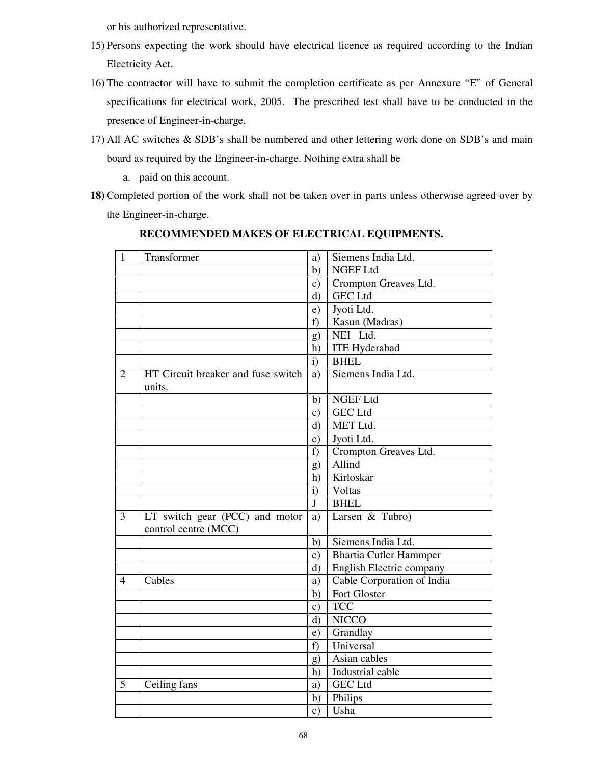or his authorized representative.

- 15) Persons expecting the work should have electrical licence as required according to the Indian Electricity Act.
- 16) The contractor will have to submit the completion certificate as per Annexure "E" of General specifications for electrical work, 2005. The prescribed test shall have to be conducted in the presence of Engineer-in-charge.
- 17) All AC switches & SDB's shall be numbered and other lettering work done on SDB's and main board as required by the Engineer-in-charge. Nothing extra shall be
	- a. paid on this account.
- **18)** Completed portion of the work shall not be taken over in parts unless otherwise agreed over by the Engineer-in-charge.

| $\mathbf{1}$   | Transformer                                            | a)            | Siemens India Ltd.            |
|----------------|--------------------------------------------------------|---------------|-------------------------------|
|                |                                                        | b)            | NGEF Ltd                      |
|                |                                                        | $\mathbf{c})$ | Crompton Greaves Ltd.         |
|                |                                                        | $\mathbf{d}$  | <b>GEC Ltd</b>                |
|                |                                                        | e)            | Jyoti Ltd.                    |
|                |                                                        | f)            | Kasun (Madras)                |
|                |                                                        | g)            | NEI Ltd.                      |
|                |                                                        | h)            | <b>ITE Hyderabad</b>          |
|                |                                                        | $\mathbf{i}$  | <b>BHEL</b>                   |
| $\overline{2}$ | HT Circuit breaker and fuse switch<br>units.           | a)            | Siemens India Ltd.            |
|                |                                                        | b)            | NGEF Ltd                      |
|                |                                                        | $\mathbf{c})$ | <b>GEC Ltd</b>                |
|                |                                                        | $\rm d$       | MET Ltd.                      |
|                |                                                        | e)            | Jyoti Ltd.                    |
|                |                                                        | f             | Crompton Greaves Ltd.         |
|                |                                                        | g)            | Allind                        |
|                |                                                        | h)            | Kirloskar                     |
|                |                                                        | $\mathbf{i}$  | Voltas                        |
|                |                                                        | $\mathbf{J}$  | <b>BHEL</b>                   |
| 3              | LT switch gear (PCC) and motor<br>control centre (MCC) | a)            | Larsen & Tubro)               |
|                |                                                        | b)            | Siemens India Ltd.            |
|                |                                                        | $\mathbf{c})$ | <b>Bhartia Cutler Hammper</b> |
|                |                                                        | $\mathbf{d}$  | English Electric company      |
| $\overline{4}$ | Cables                                                 | a)            | Cable Corporation of India    |
|                |                                                        | b)            | Fort Gloster                  |
|                |                                                        | $\mathbf{c})$ | <b>TCC</b>                    |
|                |                                                        | $\rm d$       | <b>NICCO</b>                  |
|                |                                                        | e)            | Grandlay                      |
|                |                                                        | f)            | Universal                     |
|                |                                                        | g)            | Asian cables                  |
|                |                                                        | h)            | Industrial cable              |
| 5              | Ceiling fans                                           | a)            | <b>GEC Ltd</b>                |
|                |                                                        | b)            | Philips                       |
|                |                                                        | $\mathbf{c})$ | Usha                          |

# **RECOMMENDED MAKES OF ELECTRICAL EQUIPMENTS.**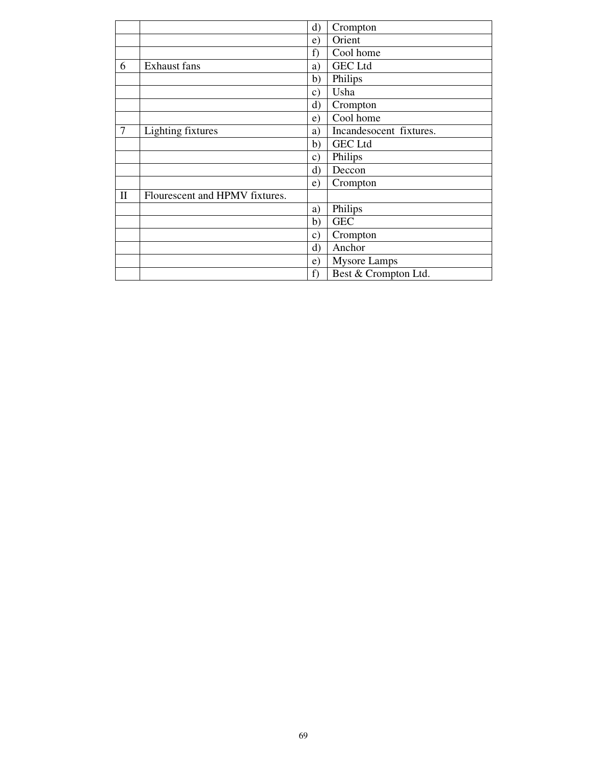|              |                                | $\rm d)$        | Crompton                |
|--------------|--------------------------------|-----------------|-------------------------|
|              |                                | e)              | Orient                  |
|              |                                | f               | Cool home               |
| 6            | <b>Exhaust</b> fans            | a)              | <b>GEC</b> Ltd          |
|              |                                | b)              | Philips                 |
|              |                                | $\mathcal{C}$ ) | Usha                    |
|              |                                | $\mathbf{d}$    | Crompton                |
|              |                                | $\epsilon$ )    | Cool home               |
| 7            | Lighting fixtures              | a)              | Incandesocent fixtures. |
|              |                                | b)              | <b>GEC</b> Ltd          |
|              |                                | $\mathbf{c})$   | Philips                 |
|              |                                | $\rm d$         | Deccon                  |
|              |                                | e)              | Crompton                |
| $\mathbf{I}$ | Flourescent and HPMV fixtures. |                 |                         |
|              |                                | a)              | Philips                 |
|              |                                | b)              | <b>GEC</b>              |
|              |                                | $\mathbf{c})$   | Crompton                |
|              |                                | $\mathbf{d}$    | Anchor                  |
|              |                                | e)              | <b>Mysore Lamps</b>     |
|              |                                | f)              | Best & Crompton Ltd.    |
|              |                                |                 |                         |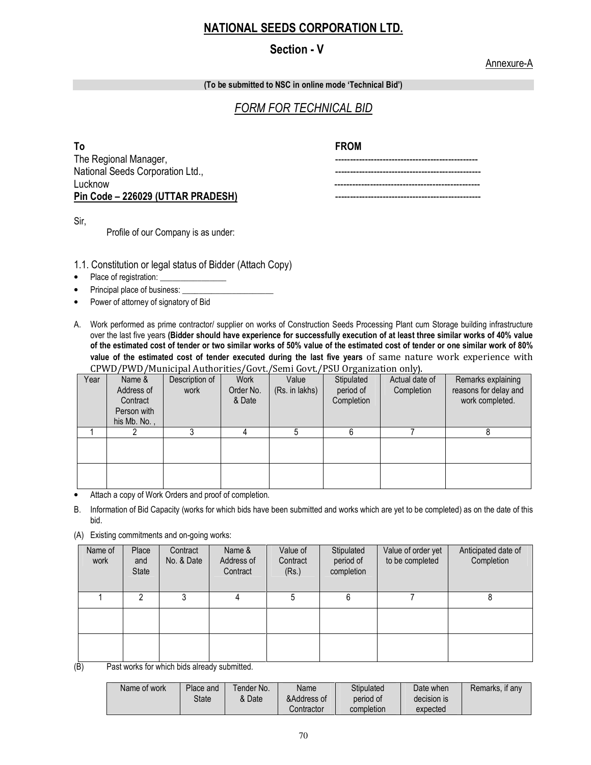# NATIONAL SEEDS CORPORATION LTD.

# Section - V

Annexure-A

#### (To be submitted to NSC in online mode 'Technical Bid')

# FORM FOR TECHNICAL BID

To the contract of the contract of the FROM The Regional Manager, National Seeds Corporation Ltd.,

Sir,

| 1116116910116110116961,           |  |
|-----------------------------------|--|
| National Seeds Corporation Ltd.,  |  |
| Lucknow                           |  |
| Pin Code - 226029 (UTTAR PRADESH) |  |
|                                   |  |

Profile of our Company is as under:

1.1. Constitution or legal status of Bidder (Attach Copy)

- Place of registration:
- Principal place of business:
- Power of attorney of signatory of Bid
- A. Work performed as prime contractor/ supplier on works of Construction Seeds Processing Plant cum Storage building infrastructure over the last five years (Bidder should have experience for successfully execution of at least three similar works of 40% value of the estimated cost of tender or two similar works of 50% value of the estimated cost of tender or one similar work of 80% value of the estimated cost of tender executed during the last five years of same nature work experience with CPWD/PWD/Municipal Authorities/Govt./Semi Govt./PSU Organization only).

| Year | Name &<br>Address of<br>Contract | a <i>well well chancepartraction theor</i> dover <i>bonn</i> dover to organization only t<br>Description of<br>work | Work<br>Order No.<br>& Date | Value<br>(Rs. in lakhs) | Stipulated<br>period of<br>Completion | Actual date of<br>Completion | Remarks explaining<br>reasons for delay and<br>work completed. |
|------|----------------------------------|---------------------------------------------------------------------------------------------------------------------|-----------------------------|-------------------------|---------------------------------------|------------------------------|----------------------------------------------------------------|
|      | Person with<br>his $Mb. No.$ ,   |                                                                                                                     |                             |                         |                                       |                              |                                                                |
|      |                                  |                                                                                                                     |                             |                         |                                       |                              |                                                                |
|      |                                  |                                                                                                                     |                             |                         |                                       |                              |                                                                |
|      |                                  |                                                                                                                     |                             |                         |                                       |                              |                                                                |

• Attach a copy of Work Orders and proof of completion.

B. Information of Bid Capacity (works for which bids have been submitted and works which are yet to be completed) as on the date of this bid.

(A) Existing commitments and on-going works:

|        | Name of<br>work | Place<br>and<br>State | Contract<br>No. & Date | Name &<br>Address of<br>Contract | Value of<br>Contract<br>(Rs.) | Stipulated<br>period of<br>completion | Value of order yet<br>to be completed | Anticipated date of<br>Completion |
|--------|-----------------|-----------------------|------------------------|----------------------------------|-------------------------------|---------------------------------------|---------------------------------------|-----------------------------------|
|        |                 |                       |                        |                                  | 5                             | 6                                     |                                       | 8                                 |
|        |                 |                       |                        |                                  |                               |                                       |                                       |                                   |
| $\sim$ |                 |                       | .                      | .                                |                               |                                       |                                       |                                   |

(B) Past works for which bids already submitted.

| Name of work | Place and    | Tender No. | Name        | <b>Stipulated</b> | Date when   | Remarks, if any |
|--------------|--------------|------------|-------------|-------------------|-------------|-----------------|
|              | <b>State</b> | & Date     | &Address of | period of         | decision is |                 |
|              |              |            | Contractor  | completion        | expected    |                 |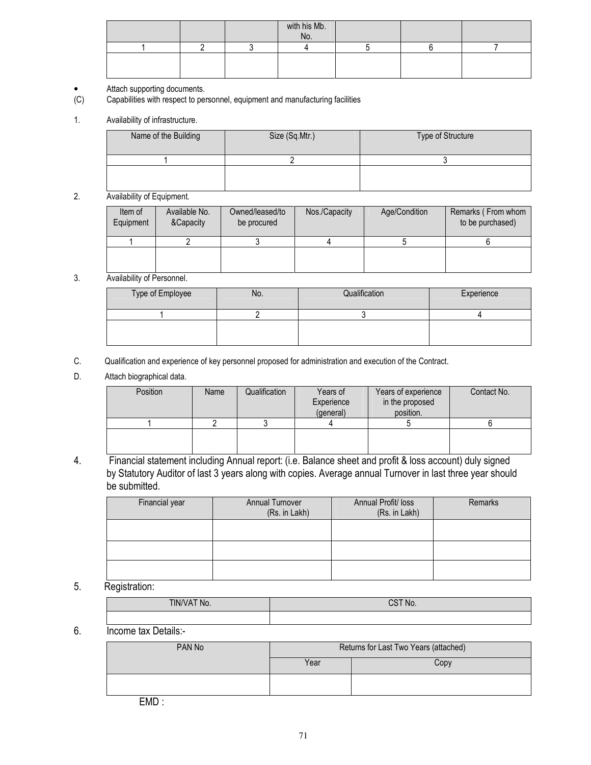|  | with his Mb.<br>No. |  |  |
|--|---------------------|--|--|
|  |                     |  |  |
|  |                     |  |  |

# • Attach supporting documents.<br>(C) Capabilities with respect to per

Capabilities with respect to personnel, equipment and manufacturing facilities

# 1. Availability of infrastructure.

| Name of the Building | Size (Sq.Mtr.) | <b>Type of Structure</b> |
|----------------------|----------------|--------------------------|
|                      |                |                          |
|                      |                |                          |

# 2. Availability of Equipment.

| Item of<br>Equipment | Available No.<br>& Capacity | Owned/leased/to<br>be procured | Nos./Capacity | Age/Condition | Remarks (From whom<br>to be purchased) |
|----------------------|-----------------------------|--------------------------------|---------------|---------------|----------------------------------------|
|                      |                             |                                |               |               |                                        |
|                      |                             |                                |               |               |                                        |

## 3. Availability of Personnel.

| Type of Employee | NO. | Qualification | Experience |
|------------------|-----|---------------|------------|
|                  |     |               |            |
|                  |     |               |            |
|                  |     |               |            |

C. Qualification and experience of key personnel proposed for administration and execution of the Contract.

#### D. Attach biographical data.

| Position | Name | Qualification | Years of<br>Experience<br>(general) | Years of experience<br>in the proposed<br>position. | Contact No. |
|----------|------|---------------|-------------------------------------|-----------------------------------------------------|-------------|
|          |      |               |                                     |                                                     |             |
|          |      |               |                                     |                                                     |             |

4. Financial statement including Annual report: (i.e. Balance sheet and profit & loss account) duly signed by Statutory Auditor of last 3 years along with copies. Average annual Turnover in last three year should be submitted.

| Financial year | Annual Turnover<br>(Rs. in Lakh) | Annual Profit/ loss<br>(Rs. in Lakh) | Remarks |
|----------------|----------------------------------|--------------------------------------|---------|
|                |                                  |                                      |         |
|                |                                  |                                      |         |
|                |                                  |                                      |         |

# 5. Registration:

| TINIMA<br>NO.<br>. II W<br>. . | .<br>No. |
|--------------------------------|----------|
|                                |          |

#### 6. Income tax Details:-

| PAN No |      | Returns for Last Two Years (attached) |
|--------|------|---------------------------------------|
|        | Year | Copy                                  |
|        |      |                                       |

EMD :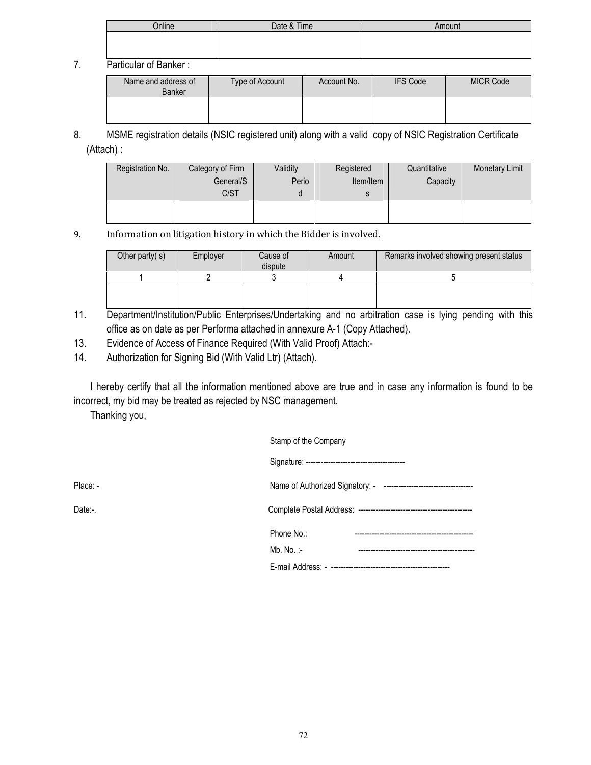| Online | Date & Time | Amount |
|--------|-------------|--------|
|        |             |        |
|        |             |        |

7. Particular of Banker :

| Name and address of<br><b>Banker</b> | Type of Account | Account No. | <b>IFS Code</b> | <b>MICR Code</b> |
|--------------------------------------|-----------------|-------------|-----------------|------------------|
|                                      |                 |             |                 |                  |

8. MSME registration details (NSIC registered unit) along with a valid copy of NSIC Registration Certificate (Attach) :

| Registration No. | Category of Firm<br>General/S<br>C/ST | Validity<br>Perio | Registered<br>Item/Item | Quantitative<br>Capacity | <b>Monetary Limit</b> |
|------------------|---------------------------------------|-------------------|-------------------------|--------------------------|-----------------------|
|                  |                                       |                   |                         |                          |                       |

9. Information on litigation history in which the Bidder is involved.

| Other party $(s)$ | Employer | Cause of<br>dispute | Amount | Remarks involved showing present status |
|-------------------|----------|---------------------|--------|-----------------------------------------|
|                   |          |                     |        |                                         |
|                   |          |                     |        |                                         |

11. Department/Institution/Public Enterprises/Undertaking and no arbitration case is lying pending with this office as on date as per Performa attached in annexure A-1 (Copy Attached).

13. Evidence of Access of Finance Required (With Valid Proof) Attach:-

14. Authorization for Signing Bid (With Valid Ltr) (Attach).

I hereby certify that all the information mentioned above are true and in case any information is found to be incorrect, my bid may be treated as rejected by NSC management.

Thanking you,

|          | Stamp of the Company |
|----------|----------------------|
|          |                      |
| Place: - |                      |
| Date:-.  |                      |
|          | Phone No.:           |
|          | $Mb. No. -$          |
|          |                      |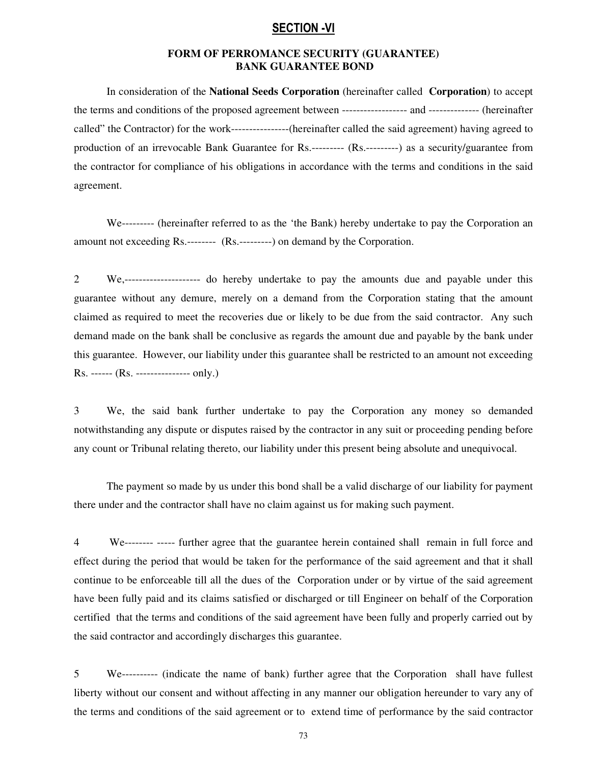#### SECTION -VI

#### **FORM OF PERROMANCE SECURITY (GUARANTEE) BANK GUARANTEE BOND**

 In consideration of the **National Seeds Corporation** (hereinafter called **Corporation**) to accept the terms and conditions of the proposed agreement between ------------------ and -------------- (hereinafter called" the Contractor) for the work----------------(hereinafter called the said agreement) having agreed to production of an irrevocable Bank Guarantee for Rs.--------- (Rs.---------) as a security/guarantee from the contractor for compliance of his obligations in accordance with the terms and conditions in the said agreement.

 We--------- (hereinafter referred to as the 'the Bank) hereby undertake to pay the Corporation an amount not exceeding Rs.-------- (Rs.---------) on demand by the Corporation.

2 We,--------------------- do hereby undertake to pay the amounts due and payable under this guarantee without any demure, merely on a demand from the Corporation stating that the amount claimed as required to meet the recoveries due or likely to be due from the said contractor. Any such demand made on the bank shall be conclusive as regards the amount due and payable by the bank under this guarantee. However, our liability under this guarantee shall be restricted to an amount not exceeding Rs. ------ (Rs. --------------- only.)

3 We, the said bank further undertake to pay the Corporation any money so demanded notwithstanding any dispute or disputes raised by the contractor in any suit or proceeding pending before any count or Tribunal relating thereto, our liability under this present being absolute and unequivocal.

 The payment so made by us under this bond shall be a valid discharge of our liability for payment there under and the contractor shall have no claim against us for making such payment.

4 We-------- ----- further agree that the guarantee herein contained shall remain in full force and effect during the period that would be taken for the performance of the said agreement and that it shall continue to be enforceable till all the dues of the Corporation under or by virtue of the said agreement have been fully paid and its claims satisfied or discharged or till Engineer on behalf of the Corporation certified that the terms and conditions of the said agreement have been fully and properly carried out by the said contractor and accordingly discharges this guarantee.

5 We---------- (indicate the name of bank) further agree that the Corporation shall have fullest liberty without our consent and without affecting in any manner our obligation hereunder to vary any of the terms and conditions of the said agreement or to extend time of performance by the said contractor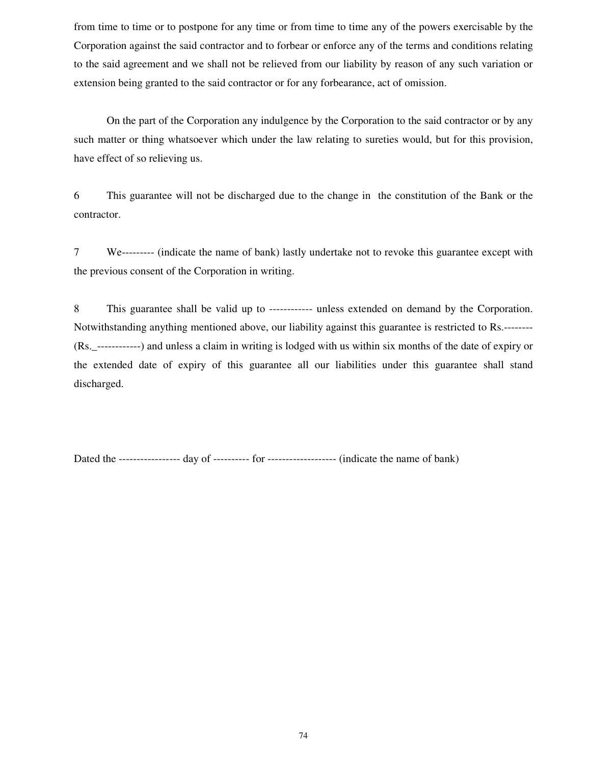from time to time or to postpone for any time or from time to time any of the powers exercisable by the Corporation against the said contractor and to forbear or enforce any of the terms and conditions relating to the said agreement and we shall not be relieved from our liability by reason of any such variation or extension being granted to the said contractor or for any forbearance, act of omission.

 On the part of the Corporation any indulgence by the Corporation to the said contractor or by any such matter or thing whatsoever which under the law relating to sureties would, but for this provision, have effect of so relieving us.

6 This guarantee will not be discharged due to the change in the constitution of the Bank or the contractor.

7 We--------- (indicate the name of bank) lastly undertake not to revoke this guarantee except with the previous consent of the Corporation in writing.

8 This guarantee shall be valid up to ------------ unless extended on demand by the Corporation. Notwithstanding anything mentioned above, our liability against this guarantee is restricted to Rs.-------- (Rs.\_------------) and unless a claim in writing is lodged with us within six months of the date of expiry or the extended date of expiry of this guarantee all our liabilities under this guarantee shall stand discharged.

Dated the ----------------- day of ---------- for ------------------- (indicate the name of bank)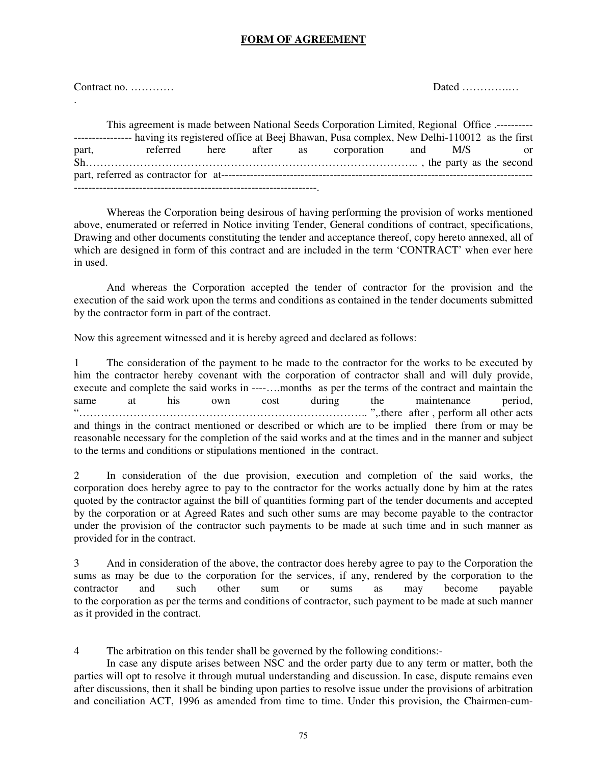#### **FORM OF AGREEMENT**

Contract no. …………

.

This agreement is made between National Seeds Corporation Limited, Regional Office .---------- ---------------- having its registered office at Beej Bhawan, Pusa complex, New Delhi-110012 as the first part, referred here after as corporation and M/S or Sh……………………………………………………………………………….. , the party as the second part, referred as contractor for at-------------------------------------------------------------------------------------- -------------------------------------------------------------------.

Whereas the Corporation being desirous of having performing the provision of works mentioned above, enumerated or referred in Notice inviting Tender, General conditions of contract, specifications, Drawing and other documents constituting the tender and acceptance thereof, copy hereto annexed, all of which are designed in form of this contract and are included in the term 'CONTRACT' when ever here in used.

And whereas the Corporation accepted the tender of contractor for the provision and the execution of the said work upon the terms and conditions as contained in the tender documents submitted by the contractor form in part of the contract.

Now this agreement witnessed and it is hereby agreed and declared as follows:

1 The consideration of the payment to be made to the contractor for the works to be executed by him the contractor hereby covenant with the corporation of contractor shall and will duly provide, execute and complete the said works in ----….months as per the terms of the contract and maintain the same at his own cost during the maintenance period, "…………………………………………………………………….. ",.there after , perform all other acts and things in the contract mentioned or described or which are to be implied there from or may be reasonable necessary for the completion of the said works and at the times and in the manner and subject to the terms and conditions or stipulations mentioned in the contract.

2 In consideration of the due provision, execution and completion of the said works, the corporation does hereby agree to pay to the contractor for the works actually done by him at the rates quoted by the contractor against the bill of quantities forming part of the tender documents and accepted by the corporation or at Agreed Rates and such other sums are may become payable to the contractor under the provision of the contractor such payments to be made at such time and in such manner as provided for in the contract.

3 And in consideration of the above, the contractor does hereby agree to pay to the Corporation the sums as may be due to the corporation for the services, if any, rendered by the corporation to the contractor and such other sum or sums as may become payable to the corporation as per the terms and conditions of contractor, such payment to be made at such manner as it provided in the contract.

4 The arbitration on this tender shall be governed by the following conditions:-

 In case any dispute arises between NSC and the order party due to any term or matter, both the parties will opt to resolve it through mutual understanding and discussion. In case, dispute remains even after discussions, then it shall be binding upon parties to resolve issue under the provisions of arbitration and conciliation ACT, 1996 as amended from time to time. Under this provision, the Chairmen-cum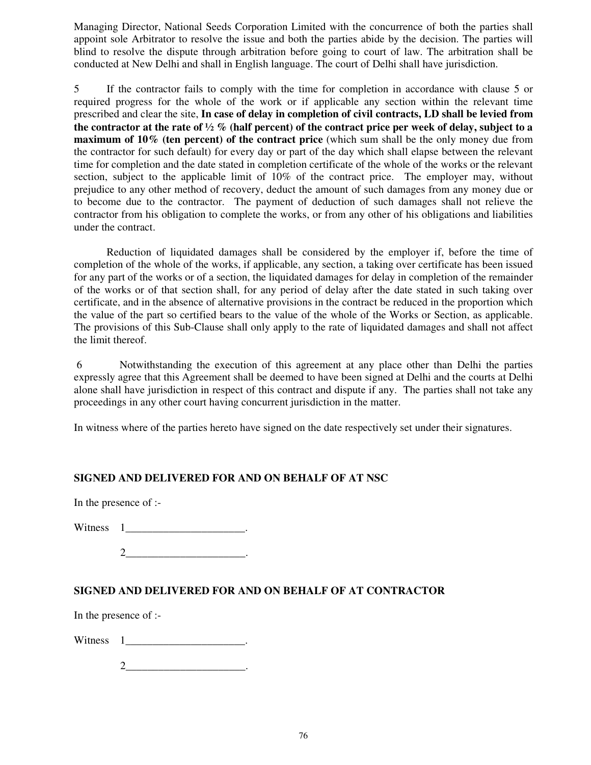Managing Director, National Seeds Corporation Limited with the concurrence of both the parties shall appoint sole Arbitrator to resolve the issue and both the parties abide by the decision. The parties will blind to resolve the dispute through arbitration before going to court of law. The arbitration shall be conducted at New Delhi and shall in English language. The court of Delhi shall have jurisdiction.

5 If the contractor fails to comply with the time for completion in accordance with clause 5 or required progress for the whole of the work or if applicable any section within the relevant time prescribed and clear the site, **In case of delay in completion of civil contracts, LD shall be levied from the contractor at the rate of ½ % (half percent) of the contract price per week of delay, subject to a maximum of 10% (ten percent) of the contract price** (which sum shall be the only money due from the contractor for such default) for every day or part of the day which shall elapse between the relevant time for completion and the date stated in completion certificate of the whole of the works or the relevant section, subject to the applicable limit of 10% of the contract price. The employer may, without prejudice to any other method of recovery, deduct the amount of such damages from any money due or to become due to the contractor. The payment of deduction of such damages shall not relieve the contractor from his obligation to complete the works, or from any other of his obligations and liabilities under the contract.

 Reduction of liquidated damages shall be considered by the employer if, before the time of completion of the whole of the works, if applicable, any section, a taking over certificate has been issued for any part of the works or of a section, the liquidated damages for delay in completion of the remainder of the works or of that section shall, for any period of delay after the date stated in such taking over certificate, and in the absence of alternative provisions in the contract be reduced in the proportion which the value of the part so certified bears to the value of the whole of the Works or Section, as applicable. The provisions of this Sub-Clause shall only apply to the rate of liquidated damages and shall not affect the limit thereof.

 6 Notwithstanding the execution of this agreement at any place other than Delhi the parties expressly agree that this Agreement shall be deemed to have been signed at Delhi and the courts at Delhi alone shall have jurisdiction in respect of this contract and dispute if any. The parties shall not take any proceedings in any other court having concurrent jurisdiction in the matter.

In witness where of the parties hereto have signed on the date respectively set under their signatures.

### **SIGNED AND DELIVERED FOR AND ON BEHALF OF AT NSC**

In the presence of :-

Witness  $1$   $\qquad$ 

 $2$ 

#### **SIGNED AND DELIVERED FOR AND ON BEHALF OF AT CONTRACTOR**

In the presence of :-

Witness  $1$ \_\_\_\_\_\_\_\_\_\_\_\_\_\_\_\_\_\_\_\_\_\_\_\_\_.

2\_\_\_\_\_\_\_\_\_\_\_\_\_\_\_\_\_\_\_\_\_\_.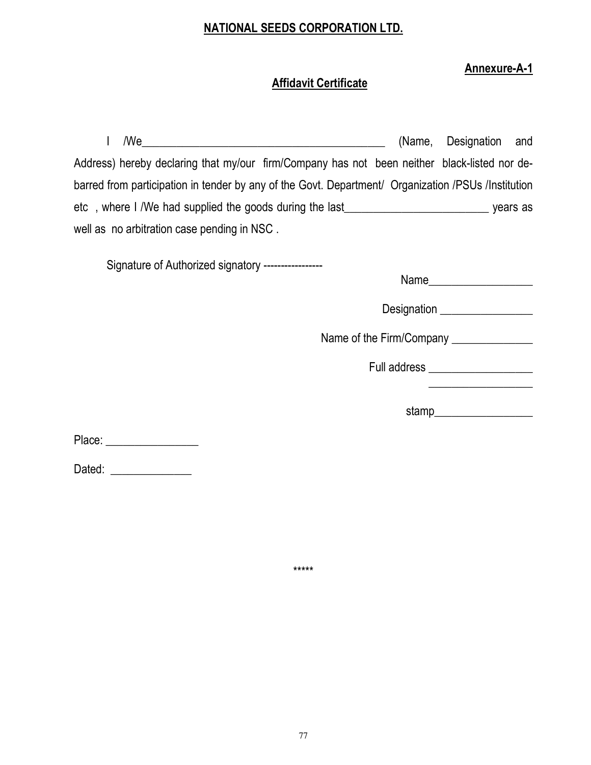## NATIONAL SEEDS CORPORATION LTD.

## Annexure-A-1

## Affidavit Certificate

I /We\_\_\_\_\_\_\_\_\_\_\_\_\_\_\_\_\_\_\_\_\_\_\_\_\_\_\_\_\_\_\_\_\_\_\_\_\_\_\_\_\_\_ (Name, Designation and Address) hereby declaring that my/our firm/Company has not been neither black-listed nor debarred from participation in tender by any of the Govt. Department/ Organization /PSUs /Institution etc , where I /We had supplied the goods during the last\_\_\_\_\_\_\_\_\_\_\_\_\_\_\_\_\_\_\_\_\_\_\_\_\_ years as well as no arbitration case pending in NSC .

Signature of Authorized signatory -----------------

Name

Designation **Designation** 

Name of the Firm/Company \_\_\_\_\_\_\_\_\_\_\_\_\_\_

Full address \_\_\_\_\_\_\_\_\_\_\_\_\_\_\_\_\_\_

stamp\_\_\_\_\_\_\_\_\_\_\_\_\_\_\_\_\_

 $\mathcal{L}=\mathcal{L}=\mathcal{L}=\mathcal{L}=\mathcal{L}$ 

Place: \_\_\_\_\_\_\_\_\_\_\_\_\_\_\_\_

Dated: \_\_\_\_\_\_\_\_\_\_\_\_\_\_

\*\*\*\*\*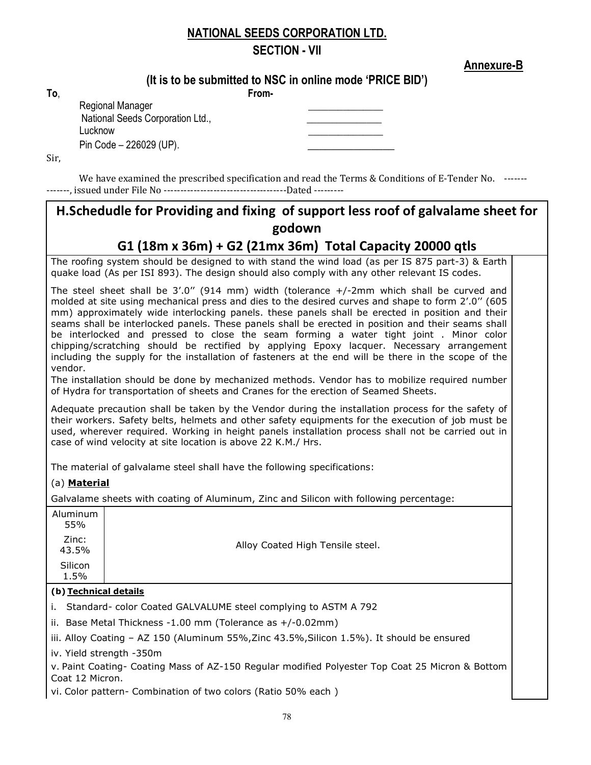### NATIONAL SEEDS CORPORATION LTD.

## SECTION - VII

### Annexure-B

## (It is to be submitted to NSC in online mode 'PRICE BID')

To, From-

| Regional Manager                 |  |
|----------------------------------|--|
| National Seeds Corporation Ltd., |  |
| Lucknow                          |  |
| Pin Code - 226029 (UP).          |  |

Sir,

We have examined the prescribed specification and read the Terms & Conditions of E-Tender No. --------------, issued under File No -------------------------------------Dated ---------

# H.Schedudle for Providing and fixing of support less roof of galvalame sheet for godown

## G1 (18m x 36m) + G2 (21mx 36m) Total Capacity 20000 qtls

The roofing system should be designed to with stand the wind load (as per IS 875 part-3) & Earth quake load (As per ISI 893). The design should also comply with any other relevant IS codes.

The steel sheet shall be  $3'.0''$  (914 mm) width (tolerance  $+/-2$ mm which shall be curved and molded at site using mechanical press and dies to the desired curves and shape to form 2'.0'' (605 mm) approximately wide interlocking panels. these panels shall be erected in position and their seams shall be interlocked panels. These panels shall be erected in position and their seams shall be interlocked and pressed to close the seam forming a water tight joint . Minor color chipping/scratching should be rectified by applying Epoxy lacquer. Necessary arrangement including the supply for the installation of fasteners at the end will be there in the scope of the vendor.

The installation should be done by mechanized methods. Vendor has to mobilize required number of Hydra for transportation of sheets and Cranes for the erection of Seamed Sheets.

Adequate precaution shall be taken by the Vendor during the installation process for the safety of their workers. Safety belts, helmets and other safety equipments for the execution of job must be used, wherever required. Working in height panels installation process shall not be carried out in case of wind velocity at site location is above 22 K.M./ Hrs.

The material of galvalame steel shall have the following specifications:

### (a) Material

Galvalame sheets with coating of Aluminum, Zinc and Silicon with following percentage:

| Aluminum<br>55% |                                  |
|-----------------|----------------------------------|
| Zinc:<br>43.5%  | Alloy Coated High Tensile steel. |
| Silicon<br>1.5% |                                  |

#### (b) Technical details

i. Standard- color Coated GALVALUME steel complying to ASTM A 792

ii. Base Metal Thickness -1.00 mm (Tolerance as +/-0.02mm)

iii. Alloy Coating – AZ 150 (Aluminum 55%,Zinc 43.5%,Silicon 1.5%). It should be ensured

iv. Yield strength -350m

v. Paint Coating- Coating Mass of AZ-150 Regular modified Polyester Top Coat 25 Micron & Bottom Coat 12 Micron.

vi. Color pattern- Combination of two colors (Ratio 50% each )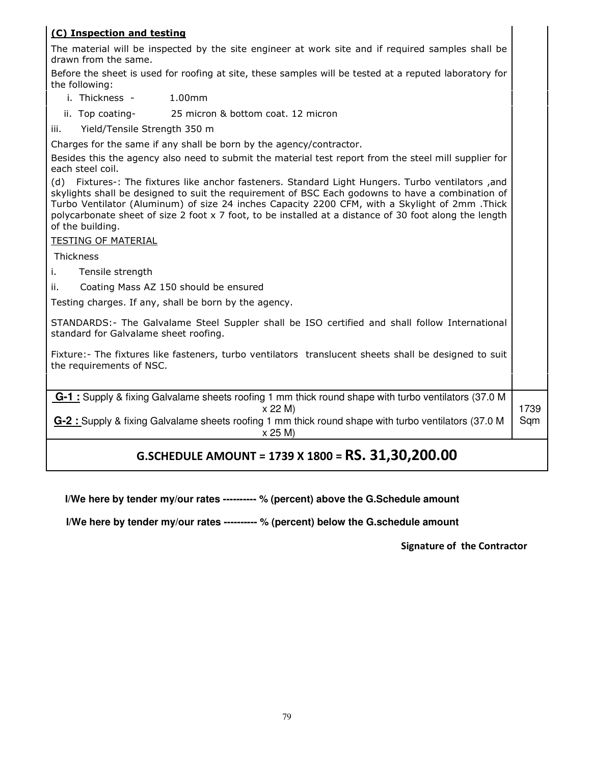#### (C) Inspection and testing

The material will be inspected by the site engineer at work site and if required samples shall be drawn from the same.

Before the sheet is used for roofing at site, these samples will be tested at a reputed laboratory for the following:

- i. Thickness 1.00mm
- ii. Top coating- 25 micron & bottom coat. 12 micron
- iii. Yield/Tensile Strength 350 m

Charges for the same if any shall be born by the agency/contractor.

Besides this the agency also need to submit the material test report from the steel mill supplier for each steel coil.

(d) Fixtures-: The fixtures like anchor fasteners. Standard Light Hungers. Turbo ventilators ,and skylights shall be designed to suit the requirement of BSC Each godowns to have a combination of Turbo Ventilator (Aluminum) of size 24 inches Capacity 2200 CFM, with a Skylight of 2mm .Thick polycarbonate sheet of size 2 foot x 7 foot, to be installed at a distance of 30 foot along the length of the building.

#### TESTING OF MATERIAL

**Thickness** 

- i. Tensile strength
- ii. Coating Mass AZ 150 should be ensured

Testing charges. If any, shall be born by the agency.

STANDARDS:- The Galvalame Steel Suppler shall be ISO certified and shall follow International standard for Galvalame sheet roofing.

Fixture:- The fixtures like fasteners, turbo ventilators translucent sheets shall be designed to suit the requirements of NSC.

 **G-1 :** Supply & fixing Galvalame sheets roofing 1 mm thick round shape with turbo ventilators (37.0 M x 22 M) 1739

**G-2 :** Supply & fixing Galvalame sheets roofing 1 mm thick round shape with turbo ventilators (37.0 M x 25 M) Sqm

## G.SCHEDULE AMOUNT = 1739 X 1800 = RS. 31,30,200.00

**I/We here by tender my/our rates ---------- % (percent) above the G.Schedule amount** 

 **I/We here by tender my/our rates ---------- % (percent) below the G.schedule amount** 

Signature of the Contractor